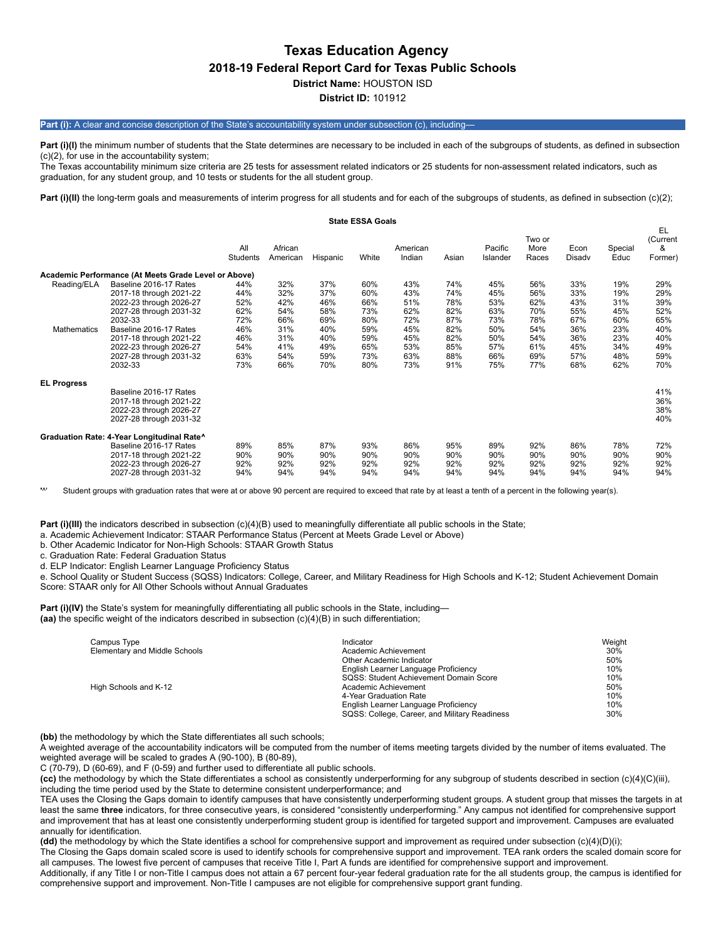# **Texas Education Agency 2018-19 Federal Report Card for Texas Public Schools District Name:** HOUSTON ISD

**District ID:** 101912

#### Part (i): A clear and concise description of the State's accountability system under subsection (c), including

Part (i)(I) the minimum number of students that the State determines are necessary to be included in each of the subgroups of students, as defined in subsection (c)(2), for use in the accountability system;

The Texas accountability minimum size criteria are 25 tests for assessment related indicators or 25 students for non-assessment related indicators, such as graduation, for any student group, and 10 tests or students for the all student group.

Part (i)(II) the long-term goals and measurements of interim progress for all students and for each of the subgroups of students, as defined in subsection (c)(2);

|                            |                                                                                                                                                                                                                                          |                                                                    |                                                                    |                                                                    | <b>State ESSA Goals</b>                                            |                                                                    |                                                                    |                                                                    |                                                                    |                                                                    |                                                                    |                                                                    |
|----------------------------|------------------------------------------------------------------------------------------------------------------------------------------------------------------------------------------------------------------------------------------|--------------------------------------------------------------------|--------------------------------------------------------------------|--------------------------------------------------------------------|--------------------------------------------------------------------|--------------------------------------------------------------------|--------------------------------------------------------------------|--------------------------------------------------------------------|--------------------------------------------------------------------|--------------------------------------------------------------------|--------------------------------------------------------------------|--------------------------------------------------------------------|
|                            |                                                                                                                                                                                                                                          | All<br>Students                                                    | African<br>American                                                | Hispanic                                                           | White                                                              | American<br>Indian                                                 | Asian                                                              | Pacific<br>Islander                                                | Two or<br>More<br>Races                                            | Econ<br>Disady                                                     | Special<br>Educ                                                    | EL<br>(Current<br>&<br>Former)                                     |
|                            | Academic Performance (At Meets Grade Level or Above)                                                                                                                                                                                     |                                                                    |                                                                    |                                                                    |                                                                    |                                                                    |                                                                    |                                                                    |                                                                    |                                                                    |                                                                    |                                                                    |
| Reading/ELA<br>Mathematics | Baseline 2016-17 Rates<br>2017-18 through 2021-22<br>2022-23 through 2026-27<br>2027-28 through 2031-32<br>2032-33<br>Baseline 2016-17 Rates<br>2017-18 through 2021-22<br>2022-23 through 2026-27<br>2027-28 through 2031-32<br>2032-33 | 44%<br>44%<br>52%<br>62%<br>72%<br>46%<br>46%<br>54%<br>63%<br>73% | 32%<br>32%<br>42%<br>54%<br>66%<br>31%<br>31%<br>41%<br>54%<br>66% | 37%<br>37%<br>46%<br>58%<br>69%<br>40%<br>40%<br>49%<br>59%<br>70% | 60%<br>60%<br>66%<br>73%<br>80%<br>59%<br>59%<br>65%<br>73%<br>80% | 43%<br>43%<br>51%<br>62%<br>72%<br>45%<br>45%<br>53%<br>63%<br>73% | 74%<br>74%<br>78%<br>82%<br>87%<br>82%<br>82%<br>85%<br>88%<br>91% | 45%<br>45%<br>53%<br>63%<br>73%<br>50%<br>50%<br>57%<br>66%<br>75% | 56%<br>56%<br>62%<br>70%<br>78%<br>54%<br>54%<br>61%<br>69%<br>77% | 33%<br>33%<br>43%<br>55%<br>67%<br>36%<br>36%<br>45%<br>57%<br>68% | 19%<br>19%<br>31%<br>45%<br>60%<br>23%<br>23%<br>34%<br>48%<br>62% | 29%<br>29%<br>39%<br>52%<br>65%<br>40%<br>40%<br>49%<br>59%<br>70% |
| <b>EL Progress</b>         | Baseline 2016-17 Rates<br>2017-18 through 2021-22<br>2022-23 through 2026-27<br>2027-28 through 2031-32                                                                                                                                  |                                                                    |                                                                    |                                                                    |                                                                    |                                                                    |                                                                    |                                                                    |                                                                    |                                                                    |                                                                    | 41%<br>36%<br>38%<br>40%                                           |
|                            | Graduation Rate: 4-Year Longitudinal Rate^<br>Baseline 2016-17 Rates<br>2017-18 through 2021-22<br>2022-23 through 2026-27<br>2027-28 through 2031-32                                                                                    | 89%<br>90%<br>92%<br>94%                                           | 85%<br>90%<br>92%<br>94%                                           | 87%<br>90%<br>92%<br>94%                                           | 93%<br>90%<br>92%<br>94%                                           | 86%<br>90%<br>92%<br>94%                                           | 95%<br>90%<br>92%<br>94%                                           | 89%<br>90%<br>92%<br>94%                                           | 92%<br>90%<br>92%<br>94%                                           | 86%<br>90%<br>92%<br>94%                                           | 78%<br>90%<br>92%<br>94%                                           | 72%<br>90%<br>92%<br>94%                                           |

**'**^' Student groups with graduation rates that were at or above 90 percent are required to exceed that rate by at least a tenth of a percent in the following year(s).

**Part (i)(III)** the indicators described in subsection (c)(4)(B) used to meaningfully differentiate all public schools in the State;

a. Academic Achievement Indicator: STAAR Performance Status (Percent at Meets Grade Level or Above)

b. Other Academic Indicator for Non-High Schools: STAAR Growth Status

c. Graduation Rate: Federal Graduation Status

d. ELP Indicator: English Learner Language Proficiency Status

e. School Quality or Student Success (SQSS) Indicators: College, Career, and Military Readiness for High Schools and K-12; Student Achievement Domain Score: STAAR only for All Other Schools without Annual Graduates

**Part (i)(IV)** the State's system for meaningfully differentiating all public schools in the State, including— **(aa)** the specific weight of the indicators described in subsection (c)(4)(B) in such differentiation;

| Campus Type                   | Indicator                                     | Weight |
|-------------------------------|-----------------------------------------------|--------|
| Elementary and Middle Schools | Academic Achievement                          | 30%    |
|                               | Other Academic Indicator                      | 50%    |
|                               | English Learner Language Proficiency          | 10%    |
|                               | SQSS: Student Achievement Domain Score        | 10%    |
| High Schools and K-12         | Academic Achievement                          | 50%    |
|                               | 4-Year Graduation Rate                        | 10%    |
|                               | English Learner Language Proficiency          | 10%    |
|                               | SQSS: College, Career, and Military Readiness | 30%    |

**(bb)** the methodology by which the State differentiates all such schools;

A weighted average of the accountability indicators will be computed from the number of items meeting targets divided by the number of items evaluated. The weighted average will be scaled to grades A (90-100), B (80-89),

C (70-79), D (60-69), and F (0-59) and further used to differentiate all public schools.

**(cc)** the methodology by which the State differentiates a school as consistently underperforming for any subgroup of students described in section (c)(4)(C)(iii), including the time period used by the State to determine consistent underperformance; and

TEA uses the Closing the Gaps domain to identify campuses that have consistently underperforming student groups. A student group that misses the targets in at least the same **three** indicators, for three consecutive years, is considered "consistently underperforming." Any campus not identified for comprehensive support and improvement that has at least one consistently underperforming student group is identified for targeted support and improvement. Campuses are evaluated annually for identification.

**(dd)** the methodology by which the State identifies a school for comprehensive support and improvement as required under subsection (c)(4)(D)(i);

The Closing the Gaps domain scaled score is used to identify schools for comprehensive support and improvement. TEA rank orders the scaled domain score for all campuses. The lowest five percent of campuses that receive Title I, Part A funds are identified for comprehensive support and improvement.

Additionally, if any Title I or non-Title I campus does not attain a 67 percent four-year federal graduation rate for the all students group, the campus is identified for comprehensive support and improvement. Non-Title I campuses are not eligible for comprehensive support grant funding.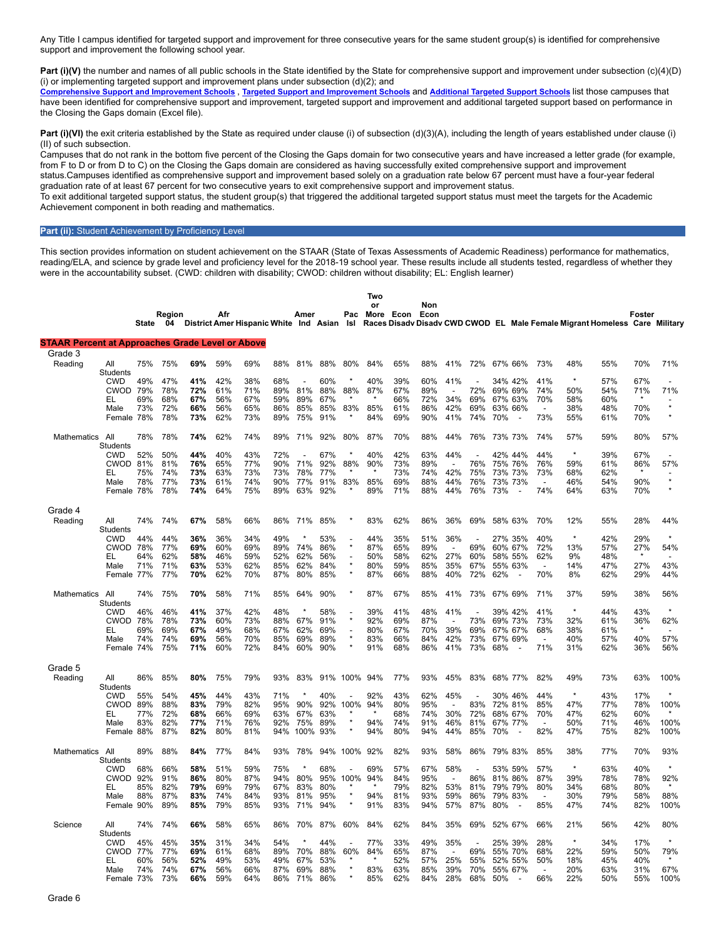Any Title I campus identified for targeted support and improvement for three consecutive years for the same student group(s) is identified for comprehensive support and improvement the following school year.

**Part (i)(V)** the number and names of all public schools in the State identified by the State for comprehensive support and improvement under subsection (c)(4)(D) (i) or implementing targeted support and improvement plans under subsection  $(d)(2)$ ; and

[Comprehensive](https://tea.texas.gov/sites/default/files/comprehensive_support_2019.xlsx) Support and [Improvement](https://tea.texas.gov/sites/default/files/target_support_2019.xlsx) Schools , Targeted Support and Improvement Schools and [Additional](https://tea.texas.gov/sites/default/files/additional_targeted_support_2019.xlsx) Targeted Support Schools list those campuses that have been identified for comprehensive support and improvement, targeted support and improvement and additional targeted support based on performance in the Closing the Gaps domain (Excel file).

Part (i)(VI) the exit criteria established by the State as required under clause (i) of subsection (d)(3)(A), including the length of years established under clause (i) (II) of such subsection.

Campuses that do not rank in the bottom five percent of the Closing the Gaps domain for two consecutive years and have increased a letter grade (for example, from F to D or from D to C) on the Closing the Gaps domain are considered as having successfully exited comprehensive support and improvement status.Campuses identified as comprehensive support and improvement based solely on a graduation rate below 67 percent must have a four-year federal graduation rate of at least 67 percent for two consecutive years to exit comprehensive support and improvement status. To exit additional targeted support status, the student group(s) that triggered the additional targeted support status must meet the targets for the Academic

Achievement component in both reading and mathematics.

### **Part (ii):** Student Achievement by Proficiency Level

This section provides information on student achievement on the STAAR (State of Texas Assessments of Academic Readiness) performance for mathematics, reading/ELA, and science by grade level and proficiency level for the 2018-19 school year. These results include all students tested, regardless of whether they were in the accountability subset. (CWD: children with disability; CWOD: children without disability; EL: English learner)

|                                                         |                        | <b>State</b> | Region<br>04 |            | Afr        | District Amer Hispanic White Ind Asian Isl |            | Amer        |            | Pac                       | Two<br>or<br>More | Econ       | Non<br>Econ |                          |            |     |                                     |                                 |            | Races Disady Disady CWD CWOD EL Male Female Migrant Homeless Care Military | Foster     |                          |
|---------------------------------------------------------|------------------------|--------------|--------------|------------|------------|--------------------------------------------|------------|-------------|------------|---------------------------|-------------------|------------|-------------|--------------------------|------------|-----|-------------------------------------|---------------------------------|------------|----------------------------------------------------------------------------|------------|--------------------------|
| <b>STAAR Percent at Approaches Grade Level or Above</b> |                        |              |              |            |            |                                            |            |             |            |                           |                   |            |             |                          |            |     |                                     |                                 |            |                                                                            |            |                          |
| Grade 3                                                 |                        |              |              |            |            |                                            |            |             |            |                           |                   |            |             |                          |            |     |                                     |                                 |            |                                                                            |            |                          |
| Reading                                                 | All<br>Students        | 75%          | 75%          | 69%        | 59%        | 69%                                        | 88%        | 81%         | 88%        | 80%                       | 84%               | 65%        | 88%         | 41%                      | 72%        |     | 67% 66%                             | 73%                             | 48%        | 55%                                                                        | 70%        | 71%                      |
|                                                         | CWD                    | 49%          | 47%          | 41%        | 42%        | 38%                                        | 68%        |             | 60%        | $\star$                   | 40%               | 39%        | 60%         | 41%                      |            |     | 34% 42%                             | 41%                             | $\star$    | 57%                                                                        | 67%        |                          |
|                                                         | <b>CWOD</b>            | 79%          | 78%          | 72%        | 61%        | 71%                                        | 89%        | 81%         | 88%        | 88%                       | 87%               | 67%        | 89%         |                          | 72%        |     | 69% 69%                             | 74%                             | 50%        | 54%                                                                        | 71%        | 71%                      |
|                                                         | EL                     | 69%          | 68%          | 67%        | 56%        | 67%                                        | 59%        | 89%         | 67%        |                           |                   | 66%        | 72%         | 34%                      | 69%        |     | 67% 63%                             | 70%                             | 58%        | 60%                                                                        | $\star$    | $\star$                  |
|                                                         | Male<br>Female 78%     | 73%          | 72%<br>78%   | 66%<br>73% | 56%<br>62% | 65%<br>73%                                 | 86%<br>89% | 85%<br>75%  | 85%<br>91% | 83%                       | 85%<br>84%        | 61%<br>69% | 86%<br>90%  | 42%<br>41%               | 69%<br>74% | 70% | 63% 66%                             | $\overline{\phantom{a}}$<br>73% | 38%<br>55% | 48%<br>61%                                                                 | 70%<br>70% |                          |
|                                                         |                        |              |              |            |            |                                            |            |             |            |                           |                   |            |             |                          |            |     |                                     |                                 |            |                                                                            |            |                          |
| Mathematics                                             | All<br><b>Students</b> | 78%          | 78%          | 74%        | 62%        | 74%                                        | 89%        | 71%         | 92%        | 80%                       | 87%               | 70%        | 88%         | 44%                      | 76%        |     | 73% 73%                             | 74%                             | 57%        | 59%                                                                        | 80%        | 57%                      |
|                                                         | <b>CWD</b>             | 52%          | 50%          | 44%        | 40%        | 43%                                        | 72%        |             | 67%        | $\star$                   | 40%               | 42%        | 63%         | 44%                      |            |     | 42% 44%                             | 44%                             | $\star$    | 39%                                                                        | 67%        |                          |
|                                                         | CWOD 81%               |              | 81%          | 76%        | 65%        | 77%                                        | 90%        | 71%         | 92%        | 88%                       | 90%               | 73%        | 89%         | $\overline{a}$           | 76%        |     | 75% 76%                             | 76%                             | 59%        | 61%                                                                        | 86%        | 57%                      |
|                                                         | EL                     | 75%          | 74%          | 73%        | 63%        | 73%                                        | 73%        | 78%         | 77%        |                           |                   | 73%        | 74%         | 42%                      | 75%        |     | 73% 73%                             | 73%                             | 68%        | 62%                                                                        | $\star$    | $\star$                  |
|                                                         | Male                   | 78%          | 77%          | 73%        | 61%        | 74%                                        | 90%        | 77%         | 91%        | 83%                       | 85%               | 69%        | 88%         | 44%                      | 76%        |     | 73% 73%<br>$\overline{\phantom{a}}$ |                                 | 46%        | 54%                                                                        | 90%        | $\star$                  |
|                                                         | Female 78%             |              | 78%          | 74%        | 64%        | 75%                                        | 89%        | 63%         | 92%        |                           | 89%               | 71%        | 88%         | 44%                      | 76%        | 73% |                                     | 74%                             | 64%        | 63%                                                                        | 70%        |                          |
| Grade 4                                                 |                        |              |              |            |            |                                            |            |             |            |                           |                   |            |             |                          |            |     |                                     |                                 |            |                                                                            |            |                          |
| Reading                                                 | All                    | 74%          | 74%          | 67%        | 58%        | 66%                                        | 86%        | 71%         | 85%        |                           | 83%               | 62%        | 86%         | 36%                      | 69%        |     | 58% 63%                             | 70%                             | 12%        | 55%                                                                        | 28%        | 44%                      |
|                                                         | Students<br><b>CWD</b> | 44%          | 44%          | 36%        | 36%        | 34%                                        | 49%        |             | 53%        |                           | 44%               | 35%        | 51%         | 36%                      |            |     | 27% 35%                             | 40%                             | $\star$    | 42%                                                                        | 29%        | $\star$                  |
|                                                         | <b>CWOD</b>            | 78%          | 77%          | 69%        | 60%        | 69%                                        | 89%        | 74%         | 86%        | $\star$                   | 87%               | 65%        | 89%         | $\overline{a}$           | 69%        |     | 60% 67%                             | 72%                             | 13%        | 57%                                                                        | 27%        | 54%                      |
|                                                         | EL                     | 64%          | 62%          | 58%        | 46%        | 59%                                        | 52%        | 62%         | 56%        |                           | 50%               | 58%        | 62%         | 27%                      | 60%        |     | 58% 55%                             | 62%                             | 9%         | 48%                                                                        |            |                          |
|                                                         | Male                   | 71%          | 71%          | 63%        | 53%        | 62%                                        | 85%        | 62%         | 84%        | $\star$<br>$\star$        | 80%               | 59%        | 85%         | 35%                      | 67%        |     | 55% 63%                             | $\overline{a}$                  | 14%        | 47%                                                                        | 27%        | 43%                      |
|                                                         | Female 77%             |              | 77%          | 70%        | 62%        | 70%                                        | 87%        | 80%         | 85%        |                           | 87%               | 66%        | 88%         | 40%                      | 72%        | 62% | $\overline{a}$                      | 70%                             | 8%         | 62%                                                                        | 29%        | 44%                      |
| Mathematics                                             | All<br><b>Students</b> | 74%          | 75%          | 70%        | 58%        | 71%                                        | 85%        | 64%         | 90%        |                           | 87%               | 67%        | 85%         | 41%                      | 73%        |     | 67% 69%                             | 71%                             | 37%        | 59%                                                                        | 38%        | 56%                      |
|                                                         | <b>CWD</b>             | 46%          | 46%          | 41%        | 37%        | 42%                                        | 48%        | $\star$     | 58%        |                           | 39%               | 41%        | 48%         | 41%                      |            |     | 39% 42%                             | 41%                             | $\star$    | 44%                                                                        | 43%        | $\star$                  |
|                                                         | <b>CWOD</b>            | 78%          | 78%          | 73%        | 60%        | 73%                                        | 88%        | 67%         | 91%        | $\star$                   | 92%               | 69%        | 87%         |                          | 73%        |     | 69% 73%                             | 73%                             | 32%        | 61%                                                                        | 36%        | 62%                      |
|                                                         | EL                     | 69%          | 69%          | 67%        | 49%        | 68%                                        | 67%        | 62%         | 69%        | $\overline{a}$<br>$\star$ | 80%               | 67%        | 70%         | 39%                      | 69%        |     | 67% 67%                             | 68%                             | 38%        | 61%                                                                        |            | $\overline{\phantom{a}}$ |
|                                                         | Male<br>Female 74%     | 74%          | 74%<br>75%   | 69%<br>71% | 56%<br>60% | 70%<br>72%                                 | 85%<br>84% | 69%<br>60%  | 89%<br>90% | $\star$                   | 83%<br>91%        | 66%<br>68% | 84%<br>86%  | 42%<br>41%               | 73%<br>73% | 68% | 67% 69%                             | $\overline{\phantom{a}}$<br>71% | 40%<br>31% | 57%<br>62%                                                                 | 40%<br>36% | 57%<br>56%               |
|                                                         |                        |              |              |            |            |                                            |            |             |            |                           |                   |            |             |                          |            |     |                                     |                                 |            |                                                                            |            |                          |
| Grade 5                                                 |                        |              |              |            |            |                                            |            |             |            |                           |                   |            |             |                          |            |     |                                     |                                 |            |                                                                            |            |                          |
| Reading                                                 | All<br><b>Students</b> | 86%          | 85%          | 80%        | 75%        | 79%                                        | 93%        | 83%         |            | 91% 100%                  | 94%               | 77%        | 93%         | 45%                      | 83%        |     | 68% 77%                             | 82%                             | 49%        | 73%                                                                        | 63%        | 100%                     |
|                                                         | <b>CWD</b>             | 55%          | 54%          | 45%        | 44%        | 43%                                        | 71%        |             | 40%        |                           | 92%               | 43%        | 62%         | 45%                      |            |     | 30% 46%                             | 44%                             | $\star$    | 43%                                                                        | 17%        |                          |
|                                                         | CWOD                   | 89%          | 88%          | 83%        | 79%        | 82%                                        | 95%        | 90%         | 92%        | 100%                      | 94%               | 80%        | 95%         |                          | 83%        |     | 72% 81%                             | 85%                             | 47%        | 77%                                                                        | 78%        | 100%                     |
|                                                         | EL                     | 77%          | 72%          | 68%        | 66%        | 69%                                        | 63%        | 67%         | 63%        | $\star$                   |                   | 68%        | 74%         | 30%                      | 72%        |     | 68% 67%                             | 70%                             | 47%        | 62%                                                                        | 60%        |                          |
|                                                         | Male<br>Female 88%     | 83%          | 82%<br>87%   | 77%<br>82% | 71%<br>80% | 76%<br>81%                                 | 92%<br>94% | 75%<br>100% | 89%<br>93% | $\star$                   | 94%<br>94%        | 74%<br>80% | 91%<br>94%  | 46%<br>44%               | 81%<br>85% | 70% | 67% 77%<br>$\overline{a}$           | $\overline{a}$<br>82%           | 50%<br>47% | 71%<br>75%                                                                 | 46%<br>82% | 100%<br>100%             |
|                                                         |                        |              |              |            |            |                                            |            |             |            |                           |                   |            |             |                          |            |     |                                     |                                 |            |                                                                            |            |                          |
| Mathematics                                             | All<br><b>Students</b> | 89%          | 88%          | 84%        | 77%        | 84%                                        | 93%        | 78%         |            | 94% 100%                  | 92%               | 82%        | 93%         | 58%                      | 86%        |     | 79% 83%                             | 85%                             | 38%        | 77%                                                                        | 70%        | 93%                      |
|                                                         | <b>CWD</b>             | 68%          | 66%          | 58%        | 51%        | 59%                                        | 75%        |             | 68%        |                           | 69%               | 57%        | 67%         | 58%                      |            |     | 53% 59%                             | 57%                             | $\star$    | 63%                                                                        | 40%        | $\star$                  |
|                                                         | <b>CWOD</b>            | 92%          | 91%          | 86%        | 80%        | 87%                                        | 94%        | 80%         | 95%        | 100%                      | 94%               | 84%        | 95%         | $\overline{\phantom{a}}$ | 86%        |     | 81% 86%                             | 87%                             | 39%        | 78%                                                                        | 78%        | 92%                      |
|                                                         | EL                     | 85%          | 82%          | 79%        | 69%        | 79%                                        | 67%        | 83%         | 80%        | $\star$                   |                   | 79%        | 82%         | 53%                      | 81%        |     | 79% 79%                             | 80%                             | 34%        | 68%                                                                        | 80%        |                          |
|                                                         | Male<br>Female 90%     | 88%          | 87%<br>89%   | 83%        | 74%<br>79% | 84%                                        | 93%        | 81%<br>71%  | 95%<br>94% | ź                         | 94%               | 81%<br>83% | 93%<br>94%  | 59%                      | 86%<br>87% | 80% | 79% 83%<br>$\overline{a}$           | 85%                             | 30%        | 79%                                                                        | 58%        | 88%                      |
|                                                         |                        |              |              | 85%        |            | 85%                                        | 93%        |             |            |                           | 91%               |            |             | 57%                      |            |     |                                     |                                 | 47%        | 74%                                                                        | 82%        | 100%                     |
| Science                                                 | All                    | 74%          | 74%          | 66%        | 58%        | 65%                                        | 86%        | 70%         | 87%        | 60%                       | 84%               | 62%        | 84%         | 35%                      | 69%        |     | 52% 67%                             | 66%                             | 21%        | 56%                                                                        | 42%        | 80%                      |
|                                                         | Students<br><b>CWD</b> | 45%          | 45%          | 35%        | 31%        | 34%                                        | 54%        |             | 44%        | $\overline{\phantom{a}}$  | 77%               | 33%        | 49%         | 35%                      |            |     | 25% 39%                             | 28%                             | $\star$    | 34%                                                                        | 17%        | $\star$                  |
|                                                         | <b>CWOD</b>            | 77%          | 77%          | 69%        | 61%        | 68%                                        | 89%        | 70%         | 88%        | 60%                       | 84%               | 65%        | 87%         |                          | 69%        |     | 55% 70%                             | 68%                             | 22%        | 59%                                                                        | 50%        | 79%                      |
|                                                         | EL                     | 60%          | 56%          | 52%        | 49%        | 53%                                        | 49%        | 67%         | 53%        |                           |                   | 52%        | 57%         | 25%                      | 55%        |     | 52% 55%                             | 50%                             | 18%        | 45%                                                                        | 40%        |                          |
|                                                         | Male                   | 74%          | 74%          | 67%        | 56%        | 66%                                        | 87%        | 69%         | 88%        |                           | 83%               | 63%        | 85%         | 39%                      | 70%        |     | 55% 67%                             |                                 | 20%        | 63%                                                                        | 31%        | 67%                      |
|                                                         | Female 73%             |              | 73%          | 66%        | 59%        | 64%                                        | 86%        | 71%         | 86%        |                           | 85%               | 62%        | 84%         | 28%                      | 68%        | 50% |                                     | 66%                             | 22%        | 50%                                                                        | 55%        | 100%                     |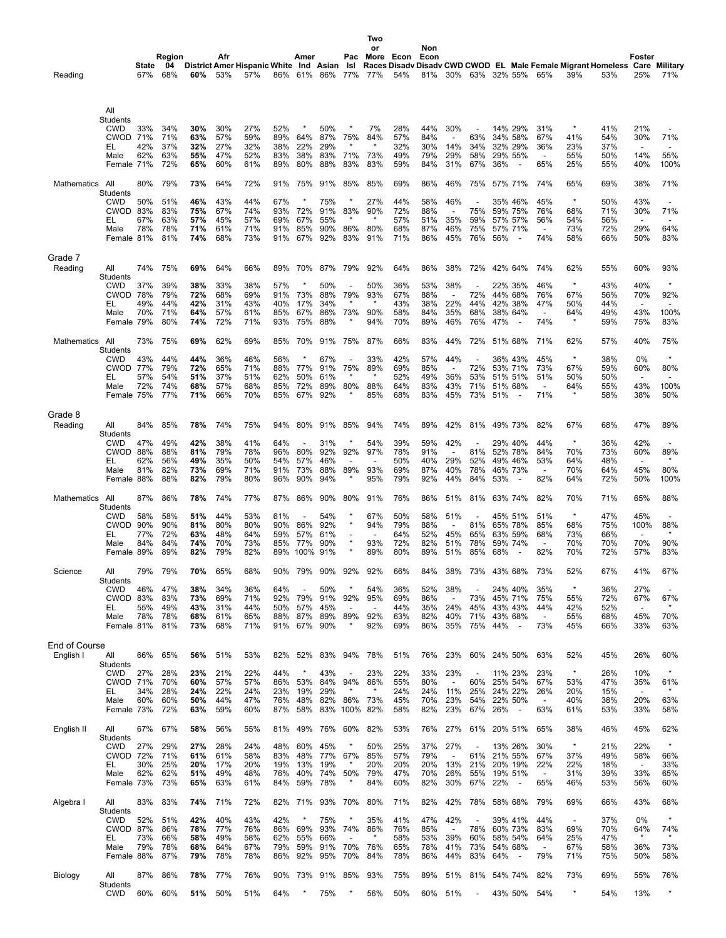| Reading              |                                                           | State<br>67%      | Region<br>04<br>68%             | 60%                             | Afr<br>53%                      | District Amer Hispanic White Ind Asian<br>57% | 86% 61%                         | Amer                                   | 86% 77%                         | Pac<br>Isl                           | Two<br>or<br>More Econ<br>77%              | 54%                             | Non<br>Econ<br>81%              |                                                      | 30% 63% 32% 55%                 |     |                                                                      | 65%                                                  | 39%                                     | Races Disady Disady CWD CWOD EL Male Female Migrant Homeless Care Military<br>53% | Foster<br>25%                                       | 71%                                                       |
|----------------------|-----------------------------------------------------------|-------------------|---------------------------------|---------------------------------|---------------------------------|-----------------------------------------------|---------------------------------|----------------------------------------|---------------------------------|--------------------------------------|--------------------------------------------|---------------------------------|---------------------------------|------------------------------------------------------|---------------------------------|-----|----------------------------------------------------------------------|------------------------------------------------------|-----------------------------------------|-----------------------------------------------------------------------------------|-----------------------------------------------------|-----------------------------------------------------------|
|                      | All<br>Students<br><b>CWD</b><br><b>CWOD 71%</b><br>EL    | 33%<br>42%        | 34%<br>71%<br>37%               | 30%<br>63%<br>32%               | 30%<br>57%<br>27%               | 27%<br>59%<br>32%                             | 52%<br>89%<br>38%               | $\ast$<br>64%<br>22%                   | 50%<br>87%<br>29%               | 75%                                  | 7%<br>84%                                  | 28%<br>57%<br>32%               | 44%<br>84%<br>30%               | 30%<br>14%                                           | 63%<br>34%                      |     | 14% 29%<br>34% 58%<br>32% 29%                                        | 31%<br>67%<br>36%                                    | $^{\ast}$<br>41%<br>23%                 | 41%<br>54%<br>37%                                                                 | 21%<br>30%<br>$\overline{a}$                        | 71%<br>$\overline{\phantom{a}}$                           |
|                      | Male<br>Female 71%                                        | 62%               | 63%<br>72%                      | 55%<br>65%                      | 47%<br>60%                      | 52%<br>61%                                    | 83%<br>89%                      | 38%<br>80%                             | 83%<br>88%                      | 71%<br>83%                           | 73%<br>83%                                 | 49%<br>59%                      | 79%<br>84%                      | 29%<br>31%                                           | 58%<br>67%                      | 36% | 29% 55%<br>$\overline{\phantom{a}}$                                  | $\overline{\phantom{a}}$<br>65%                      | 55%<br>25%                              | 50%<br>55%                                                                        | 14%<br>40%                                          | 55%<br>100%                                               |
| <b>Mathematics</b>   | All<br>Students<br><b>CWD</b>                             | 80%<br>50%        | 79%<br>51%                      | 73%<br>46%                      | 64%<br>43%                      | 72%<br>44%                                    | 91%<br>67%                      | 75%                                    | 91%<br>75%                      | 85%                                  | 85%<br>27%                                 | 69%<br>44%                      | 86%<br>58%                      | 46%<br>46%                                           | 75%                             |     | 57% 71%<br>35% 46%                                                   | 74%<br>45%                                           | 65%<br>$\star$                          | 69%<br>50%                                                                        | 38%<br>43%                                          | 71%<br>$\overline{\phantom{a}}$                           |
|                      | <b>CWOD 83%</b><br>EL<br>Male<br>Female 81%               | 67%<br>78%        | 83%<br>63%<br>78%<br>81%        | 75%<br>57%<br>71%<br>74%        | 67%<br>45%<br>61%<br>68%        | 74%<br>57%<br>71%<br>73%                      | 93%<br>69%<br>91%<br>91%        | 72%<br>67%<br>85%<br>67%               | 91%<br>55%<br>90%<br>92%        | 83%<br>$\star$<br>86%<br>83%         | 90%<br>$\star$<br>80%<br>91%               | 72%<br>57%<br>68%<br>71%        | 88%<br>51%<br>87%<br>86%        | 35%<br>46%<br>45%                                    | 75%<br>59%<br>75%<br>76%        | 56% | 59% 75%<br>57% 57%<br>57% 71%                                        | 76%<br>56%<br>$\overline{a}$<br>74%                  | 68%<br>54%<br>73%<br>58%                | 71%<br>56%<br>72%<br>66%                                                          | 30%<br>$\overline{\phantom{a}}$<br>29%<br>50%       | 71%<br>$\overline{\phantom{0}}$<br>64%<br>83%             |
| Grade 7<br>Reading   | All                                                       | 74%               | 75%                             | 69%                             | 64%                             | 66%                                           | 89%                             | 70%                                    | 87%                             | 79%                                  | 92%                                        | 64%                             | 86%                             | 38%                                                  | 72%                             |     | 42% 64%                                                              | 74%                                                  | 62%                                     | 55%                                                                               | 60%                                                 | 93%                                                       |
|                      | Students<br><b>CWD</b><br>CWOD 78%                        | 37%               | 39%<br>79%                      | 38%<br>72%                      | 33%<br>68%                      | 38%<br>69%                                    | 57%<br>91%                      | $\ast$<br>73%                          | 50%<br>88%                      | 79%                                  | 50%<br>93%                                 | 36%<br>67%                      | 53%<br>88%                      | 38%<br>$\overline{a}$                                | 72%                             |     | 22% 35%<br>44% 68%                                                   | 46%<br>76%                                           | $\star$<br>67%                          | 43%<br>56%                                                                        | 40%<br>70%                                          | $\star$<br>92%                                            |
|                      | EL<br>Male<br>Female 79%                                  | 49%<br>70%        | 44%<br>71%<br>80%               | 42%<br>64%<br>74%               | 31%<br>57%<br>72%               | 43%<br>61%<br>71%                             | 40%<br>85%<br>93%               | 17%<br>67%<br>75%                      | 34%<br>86%<br>88%               | 73%                                  | 90%<br>94%                                 | 43%<br>58%<br>70%               | 38%<br>84%<br>89%               | 22%<br>35%<br>46%                                    | 44%<br>68%<br>76%               | 47% | 42% 38%<br>38% 64%<br>$\overline{\phantom{a}}$                       | 47%<br>$\overline{\phantom{a}}$<br>74%               | 50%<br>64%<br>$\ast$                    | 44%<br>49%<br>59%                                                                 | 43%<br>75%                                          | 100%<br>83%                                               |
| Mathematics All      | Students                                                  | 73%               | 75%                             | 69%                             | 62%                             | 69%                                           | 85%                             | 70%                                    | 91%                             | 75%                                  | 87%                                        | 66%                             | 83%                             | 44%                                                  | 72%                             |     | 51% 68%                                                              | 71%                                                  | 62%                                     | 57%                                                                               | 40%                                                 | 75%                                                       |
|                      | <b>CWD</b><br><b>CWOD 77%</b><br>EL<br>Male<br>Female 75% | 43%<br>57%<br>72% | 44%<br>79%<br>54%<br>74%<br>77% | 44%<br>72%<br>51%<br>68%<br>71% | 36%<br>65%<br>37%<br>57%<br>66% | 46%<br>71%<br>51%<br>68%<br>70%               | 56%<br>88%<br>62%<br>85%<br>85% | 77%<br>50%<br>72%<br>67%               | 67%<br>91%<br>61%<br>89%<br>92% | 75%<br>80%                           | 33%<br>89%<br>88%<br>85%                   | 42%<br>69%<br>52%<br>64%<br>68% | 57%<br>85%<br>49%<br>83%<br>83% | 44%<br>$\overline{\phantom{a}}$<br>36%<br>43%<br>45% | 72%<br>53%<br>71%<br>73%        | 51% | 36% 43%<br>53% 71%<br>51% 51%<br>51% 68%                             | 45%<br>73%<br>51%<br>$\blacksquare$<br>71%           | $\star$<br>67%<br>50%<br>64%<br>$\star$ | 38%<br>59%<br>50%<br>55%<br>58%                                                   | 0%<br>60%<br>$\overline{\phantom{a}}$<br>43%<br>38% | $\star$<br>80%<br>$\overline{\phantom{a}}$<br>100%<br>50% |
| Grade 8<br>Reading   | All                                                       | 84%               | 85%                             | 78%                             | 74%                             | 75%                                           | 94%                             | 80%                                    | 91%                             | 85%                                  | 94%                                        | 74%                             | 89%                             | 42%                                                  | 81%                             |     | 49% 73%                                                              | 82%                                                  | 67%                                     | 68%                                                                               | 47%                                                 | 89%                                                       |
|                      | Students<br><b>CWD</b><br>CWOD 88%                        | 47%               | 49%<br>88%                      | 42%<br>81%                      | 38%<br>79%                      | 41%<br>78%                                    | 64%<br>96%                      | 80%                                    | 31%<br>92%                      | 92%                                  | 54%<br>97%                                 | 39%<br>78%                      | 59%<br>91%                      | 42%                                                  | 81%                             |     | 29% 40%<br>52% 78%                                                   | 44%<br>84%                                           | $\star$<br>70%                          | 36%<br>73%                                                                        | 42%<br>60%                                          | 89%                                                       |
|                      | EL<br>Male<br>Female 88%                                  | 62%<br>81%        | 56%<br>82%<br>88%               | 49%<br>73%<br>82%               | 35%<br>69%<br>79%               | 50%<br>71%<br>80%                             | 54%<br>91%<br>96%               | 57%<br>73%<br>90%                      | 46%<br>88%<br>94%               | $\overline{\phantom{a}}$<br>89%      | $\overline{\phantom{a}}$<br>93%<br>95%     | 50%<br>69%<br>79%               | 40%<br>87%<br>92%               | 29%<br>40%<br>44%                                    | 52%<br>78%<br>84%               | 53% | 49% 46%<br>46% 73%                                                   | 53%<br>$\overline{\phantom{a}}$<br>82%               | 64%<br>70%<br>64%                       | 48%<br>64%<br>72%                                                                 | $\overline{\phantom{a}}$<br>45%<br>50%              | 80%<br>100%                                               |
| Mathematics All      | Students                                                  | 87%               | 86%                             | 78%                             | 74%                             | 77%                                           | 87%                             | 86%                                    | 90%                             | 80%                                  | 91%                                        | 76%                             | 86%                             | 51%                                                  | 81%                             |     | 63% 74%                                                              | 82%                                                  | 70%                                     | 71%                                                                               | 65%                                                 | 88%                                                       |
|                      | CWD<br>CWOD 90%<br>EL                                     | 58%<br>77%        | 58%<br>90%<br>72%               | 51%<br>81%<br>63%               | 44%<br>80%<br>48%               | 53%<br>80%<br>64%                             | 61%<br>90%<br>59%               | $\overline{\phantom{a}}$<br>86%<br>57% | 54%<br>92%<br>61%               | $\star$<br>$\star$<br>$\overline{a}$ | 67%<br>94%                                 | 50%<br>79%<br>64%               | 58%<br>88%<br>52%               | 51%<br>$\overline{a}$<br>45%                         | 81%<br>65%                      |     | 45% 51%<br>65% 78%<br>63% 59%                                        | 51%<br>85%<br>68%                                    | $\star$<br>68%<br>73%                   | 47%<br>75%<br>66%                                                                 | 45%<br>100%<br>$\overline{\phantom{a}}$             | $\overline{\phantom{a}}$<br>88%<br>$\star$                |
|                      | Male<br>Female 89%                                        | 84%               | 84%<br>89%                      | 74%<br>82%                      | 70%<br>79%                      | 73%<br>82%                                    | 85%<br>89%                      | 77%<br>100%                            | 90%<br>91%                      |                                      | 93%<br>89%                                 | 72%<br>80%                      | 82%<br>89%                      | 51%<br>51%                                           | 78%<br>85%                      | 68% | 59% 74%<br>$\overline{\phantom{a}}$                                  | $\overline{a}$<br>82%                                | 70%<br>70%                              | 70%<br>72%                                                                        | 70%<br>57%                                          | 90%<br>83%                                                |
| Science              | All<br><b>Students</b>                                    | 79%               | 79%                             | 70%                             | 65%                             | 68%                                           | 90%                             | 79%                                    | 90%                             | 92%                                  | 92%                                        | 66%                             | 84%                             | 38%                                                  | 73%                             |     | 43% 68%                                                              | 73%                                                  | 52%                                     | 67%                                                                               | 41%                                                 | 67%                                                       |
|                      | <b>CWD</b><br>CWOD 83%<br>EL<br>Male<br>Female 81%        | 46%<br>55%<br>78% | 47%<br>83%<br>49%<br>78%<br>81% | 38%<br>73%<br>43%<br>68%<br>73% | 34%<br>69%<br>31%<br>61%<br>68% | 36%<br>71%<br>44%<br>65%<br>71%               | 64%<br>92%<br>50%<br>88%<br>91% | 79%<br>57%<br>87%<br>67%               | 50%<br>91%<br>45%<br>89%<br>90% | $\star$<br>92%<br>89%<br>$\star$     | 54%<br>95%<br>$\overline{a}$<br>92%<br>92% | 36%<br>69%<br>44%<br>63%<br>69% | 52%<br>86%<br>35%<br>82%<br>86% | 38%<br>24%<br>40%<br>35%                             | 73%<br>45%<br>71%<br>75%        | 44% | 24% 40%<br>45% 71%<br>43% 43%<br>43% 68%<br>$\overline{\phantom{a}}$ | 35%<br>75%<br>44%<br>$\overline{\phantom{a}}$<br>73% | $\star$<br>55%<br>42%<br>55%<br>45%     | 36%<br>72%<br>52%<br>68%<br>66%                                                   | 27%<br>67%<br>$\blacksquare$<br>45%<br>33%          | 67%<br>70%<br>63%                                         |
| <b>End of Course</b> |                                                           |                   |                                 |                                 |                                 |                                               |                                 |                                        |                                 |                                      |                                            |                                 |                                 |                                                      |                                 |     |                                                                      |                                                      |                                         |                                                                                   |                                                     |                                                           |
| English I            | All<br>Students<br><b>CWD</b>                             | 66%<br>27%        | 65%<br>28%                      | 56%<br>23%                      | 51%<br>21%                      | 53%<br>22%                                    | 82%<br>44%                      | 52%<br>$\ast$                          | 83%<br>43%                      | 94%<br>$\overline{\phantom{a}}$      | 78%<br>23%                                 | 51%<br>22%                      | 76%<br>33%                      | 23%<br>23%                                           | 60%<br>$\overline{\phantom{a}}$ |     | 24% 50%<br>11% 23%                                                   | 63%<br>23%                                           | 52%<br>$\star$                          | 45%<br>26%                                                                        | 26%<br>10%                                          | 60%<br>$\star$                                            |
|                      | <b>CWOD 71%</b><br>EL.<br>Male                            | 34%<br>60%        | 70%<br>28%<br>60%               | 60%<br>24%<br>50%               | 57%<br>22%<br>44%               | 57%<br>24%<br>47%                             | 86%<br>23%<br>76%               | 53%<br>19%<br>48%                      | 84%<br>29%<br>82%               | 94%<br>86%                           | 86%<br>73%                                 | 55%<br>24%<br>45%               | 80%<br>24%<br>70%               | $\overline{\phantom{a}}$<br>11%<br>23%               | 60%<br>25%<br>54%               |     | 25% 54%<br>24% 22%<br>22% 50%                                        | 67%<br>26%<br>$\overline{\phantom{a}}$               | 53%<br>20%<br>40%                       | 47%<br>15%<br>38%                                                                 | 35%<br>$\overline{\phantom{a}}$<br>20%              | 61%<br>63%                                                |
| English II           | Female 73%<br>All                                         | 67%               | 72%<br>67%                      | 63%<br>58%                      | 59%<br>56%                      | 60%<br>55%                                    | 87%<br>81%                      | 58%<br>49%                             | 83%<br>76%                      | 100%<br>60%                          | 82%<br>82%                                 | 58%<br>53%                      | 82%<br>76%                      | 23%<br>27%                                           | 67%<br>61%                      | 26% | $\overline{\phantom{a}}$<br>20% 51%                                  | 63%<br>65%                                           | 61%<br>38%                              | 53%<br>46%                                                                        | 33%<br>45%                                          | 58%<br>62%                                                |
|                      | Students<br><b>CWD</b>                                    | 27%               | 29%                             | 27%                             | 28%                             | 24%                                           | 48%                             | 60%                                    | 45%                             | $\star$                              | 50%                                        | 25%                             | 37%                             | 27%                                                  |                                 |     | 13% 26%                                                              | 30%                                                  | $\star$                                 | 21%                                                                               | 22%                                                 | $^{\star}$                                                |
|                      | CWOD 72%<br>EL<br>Male<br>Female 73%                      | 30%<br>62%        | 71%<br>25%<br>62%<br>73%        | 61%<br>20%<br>51%<br>65%        | 61%<br>17%<br>49%<br>63%        | 58%<br>20%<br>48%<br>61%                      | 83%<br>19%<br>76%<br>84%        | 48%<br>13%<br>40%<br>59%               | 77%<br>19%<br>74%<br>78%        | 67%<br>50%<br>$\star$                | 85%<br>20%<br>79%<br>84%                   | 57%<br>20%<br>47%<br>60%        | 79%<br>20%<br>70%<br>82%        | 13%<br>26%<br>30%                                    | 61%<br>21%<br>55%<br>67%        | 22% | 21% 55%<br>20% 19%<br>19% 51%<br>$\overline{\phantom{a}}$            | 67%<br>22%<br>$\overline{\phantom{a}}$<br>65%        | 37%<br>22%<br>31%<br>46%                | 49%<br>18%<br>39%<br>53%                                                          | 58%<br>$\blacksquare$<br>33%<br>56%                 | 66%<br>33%<br>65%<br>60%                                  |
| Algebra I            | All<br>Students                                           | 83%               | 83%                             | 74%                             | 71%                             | 72%                                           | 82%                             | 71%                                    | 93%                             | 70%                                  | 80%                                        | 71%                             | 82%                             | 42%                                                  | 78%                             |     | 58% 68%                                                              | 79%                                                  | 69%                                     | 66%                                                                               | 43%                                                 | 68%                                                       |
|                      | <b>CWD</b><br><b>CWOD 87%</b>                             | 52%<br>73%        | 51%<br>86%<br>66%               | 42%<br>78%                      | 40%<br>77%<br>49%               | 43%<br>76%                                    | 42%<br>86%                      | 69%                                    | 75%<br>93%<br>66%               | 74%<br>$\overline{\phantom{a}}$      | 35%<br>86%                                 | 41%<br>76%<br>58%               | 47%<br>85%<br>53%               | 42%<br>39%                                           | 78%                             |     | 39% 41%<br>60% 73%                                                   | 44%<br>83%<br>64%                                    | $\overline{\phantom{a}}$<br>69%         | 37%<br>70%                                                                        | 0%<br>64%                                           | 74%                                                       |
|                      | EL<br>Male<br>Female 88%                                  | 79%               | 78%<br>87%                      | 58%<br>68%<br>79%               | 64%<br>78%                      | 58%<br>67%<br>78%                             | 62%<br>79%<br>86%               | 55%<br>59%<br>92%                      | 91%<br>95%                      | 70%<br>70%                           | 76%<br>84%                                 | 65%<br>78%                      | 78%<br>86%                      | 41%<br>44%                                           | 60%<br>73%<br>83%               | 64% | 58% 54%<br>54% 68%<br>$\overline{\phantom{a}}$                       | $\overline{\phantom{a}}$<br>79%                      | 25%<br>67%<br>71%                       | 47%<br>58%<br>75%                                                                 | 36%<br>50%                                          | 73%<br>58%                                                |
| Biology              | All<br>Students<br><b>CWD</b>                             | 87%<br>60%        | 86%<br>60%                      | 78%<br>51%                      | 77%<br>50%                      | 76%<br>51%                                    | 90%<br>64%                      | 73%                                    | 91%<br>75%                      | 85%                                  | 93%<br>56%                                 | 75%<br>50%                      | 89%<br>60%                      | 51%<br>51%                                           | 81%                             |     | 54% 74%<br>43% 50%                                                   | 82%<br>54%                                           | 73%<br>$\ast$                           | 69%<br>54%                                                                        | 55%<br>13%                                          | 76%<br>$\star$                                            |
|                      |                                                           |                   |                                 |                                 |                                 |                                               |                                 |                                        |                                 |                                      |                                            |                                 |                                 |                                                      |                                 |     |                                                                      |                                                      |                                         |                                                                                   |                                                     |                                                           |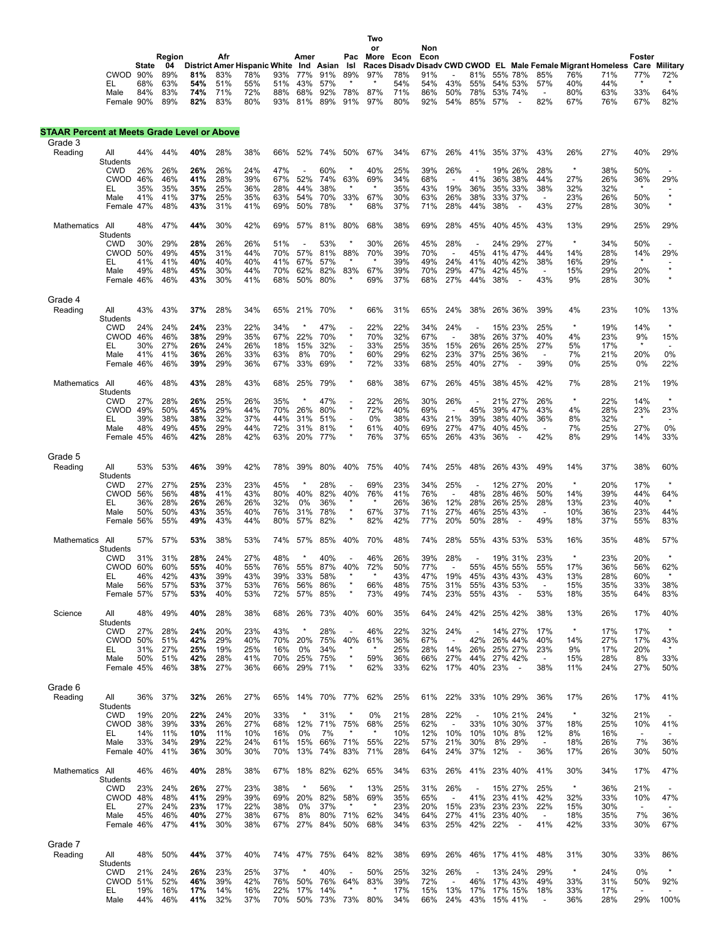State 04 District Amer Hispanic White Ind Asian Isl Races Disadv Disadv CWD CWOD EL Male Female Migrant Homeless Care Military<br>CWOD 90% 89% 81% 83% 78% 93% 77% 91% 89% 97% 78% 91% - 81% 55% 78% 85% 76% 71% 77% 72%<br>\* **Region Afr Amer Pac More Econ Econ or Non Foster** Male 84% 83% **74%** 71% 72% 88% 68% 92% 78% 87% 71% 86% 50% 78% 53% 74% - 80% 63% 33% 64% Female 90% 89% **82%** 83% 80% 93% 81% 89% 91% 97% 80% 92% 54% 85% 57% - 82% 67% 76% 67% 82%

**Two**

## **STAAR Percent at Meets Grade Level or Above**

| Reading<br>44%<br>44%<br>40%<br>28%<br>38%<br>50%<br>34%<br>26%<br>35% 37%<br>43%<br>26%<br>27%<br>40%<br>All<br>66%<br>52%<br>74%<br>67%<br>67%<br>41%<br>Students<br>$\star$<br><b>CWD</b><br>26%<br>47%<br>60%<br>39%<br>38%<br>50%<br>26%<br>26%<br>26%<br>24%<br>40%<br>25%<br>26%<br>19% 26%<br>28%<br>27%<br>CWOD 46%<br>46%<br>41%<br>28%<br>39%<br>63%<br>69%<br>34%<br>68%<br>44%<br>26%<br>36%<br>67%<br>52%<br>74%<br>41%<br>36% 38%<br>$\overline{\phantom{a}}$<br>35%<br>35%<br>35%<br>25%<br>36%<br>28%<br>44%<br>38%<br>$\star$<br>35%<br>43%<br>19%<br>36%<br>35% 33%<br>38%<br>32%<br>32%<br>$\star$<br>EL<br>$\star$<br>41%<br>41%<br>37%<br>25%<br>35%<br>63%<br>54%<br>70%<br>33%<br>67%<br>30%<br>63%<br>26%<br>38%<br>33% 37%<br>23%<br>26%<br>50%<br>Male<br>$\overline{\phantom{a}}$<br>$\star$<br>Female 47%<br>48%<br>43%<br>31%<br>41%<br>69%<br>50%<br>78%<br>$\star$<br>68%<br>37%<br>71%<br>28%<br>44%<br>38%<br>43%<br>27%<br>28%<br>30%<br>48%<br>47%<br>44%<br>30%<br>42%<br>81%<br>80%<br>68%<br>38%<br>69%<br>28%<br>45%<br>40% 45%<br>43%<br>13%<br>29%<br>25%<br>Mathematics<br>All<br>69%<br>57%<br>Students<br>28%<br>$\star$<br><b>CWD</b><br>30%<br>29%<br>28%<br>26%<br>26%<br>51%<br>53%<br>×<br>30%<br>26%<br>45%<br>24% 29%<br>27%<br>34%<br>50%<br><b>CWOD 50%</b><br>49%<br>45%<br>31%<br>44%<br>70%<br>57%<br>81%<br>88%<br>70%<br>39%<br>70%<br>45%<br>41% 47%<br>44%<br>14%<br>28%<br>14%<br>$\overline{\phantom{a}}$<br>$\star$<br>41%<br>41%<br>40%<br>40%<br>40%<br>41%<br>67%<br>57%<br>39%<br>49%<br>24%<br>41%<br>40% 42%<br>38%<br>16%<br>29%<br>EL<br>$\star$<br>82%<br>83%<br>67%<br>49%<br>48%<br>45%<br>30%<br>44%<br>70%<br>39%<br>70%<br>29%<br>42% 45%<br>15%<br>29%<br>20%<br>Male<br>62%<br>47%<br>$\overline{\phantom{a}}$<br>$\star$<br>80%<br>Female 46%<br>46%<br>30%<br>41%<br>68%<br>50%<br>69%<br>37%<br>68%<br>27%<br>44%<br>38%<br>43%<br>9%<br>28%<br>30%<br>43%<br>$\overline{\phantom{a}}$<br>Grade 4<br>Reading<br>43%<br>43%<br>37%<br>28%<br>34%<br>21%<br>70%<br>66%<br>31%<br>65%<br>24%<br>38%<br>26% 36%<br>39%<br>4%<br>23%<br>10%<br>All<br>65%<br><b>Students</b><br>24%<br>24%<br>23%<br>22%<br>34%<br>47%<br>22%<br>22%<br>34%<br>24%<br>$\star$<br>19%<br>14%<br>$\star$<br>24%<br>15% 23%<br>25%<br>CWD<br>$\overline{\phantom{a}}$<br>$\star$<br>29%<br>35%<br>70%<br>32%<br><b>CWOD</b><br>46%<br>46%<br>38%<br>67%<br>22%<br>70%<br>67%<br>38%<br>26% 37%<br>40%<br>4%<br>23%<br>9%<br>$\overline{\phantom{a}}$<br>27%<br>32%<br>25%<br>30%<br>26%<br>24%<br>26%<br>18%<br>15%<br>33%<br>35%<br>15%<br>26%<br>26% 25%<br>27%<br>5%<br>17%<br>EL<br>$\star$<br>29%<br>23%<br>25% 36%<br>20%<br>0%<br>41%<br>41%<br>36%<br>26%<br>33%<br>8%<br>70%<br>60%<br>62%<br>37%<br>7%<br>21%<br>Male<br>63%<br>$\blacksquare$<br>$\star$<br>39%<br>29%<br>36%<br>33%<br>69%<br>33%<br>25%<br>39%<br>0%<br>25%<br>0%<br>Female 46%<br>46%<br>67%<br>72%<br>68%<br>40%<br>27%<br>$\overline{\phantom{a}}$<br>48%<br>43%<br>28%<br>43%<br>79%<br>68%<br>38%<br>67%<br>42%<br>7%<br>28%<br>46%<br>68%<br>25%<br>26%<br>45%<br>38% 45%<br>21%<br>Mathematics<br>All<br>Students<br>$\star$<br>$\star$<br>22%<br>14%<br><b>CWD</b><br>28%<br>26%<br>25%<br>26%<br>35%<br>$\ast$<br>47%<br>22%<br>26%<br>30%<br>26%<br>26%<br>27%<br>21% 27%<br>$\overline{\phantom{a}}$<br>$\star$<br><b>CWOD 49%</b><br>50%<br>45%<br>29%<br>44%<br>70%<br>80%<br>40%<br>4%<br>28%<br>23%<br>26%<br>72%<br>69%<br>45%<br>39% 47%<br>43%<br>32%<br>$\star$<br>39%<br>38%<br>38%<br>32%<br>37%<br>44%<br>31%<br>0%<br>38%<br>43%<br>21%<br>39%<br>38% 40%<br>8%<br>EL<br>51%<br>36%<br>$\overline{a}$<br>$\blacksquare$<br>48%<br>49%<br>29%<br>44%<br>81%<br>61%<br>40%<br>27%<br>40% 45%<br>7%<br>25%<br>27%<br>Male<br>45%<br>72%<br>31%<br>69%<br>47%<br>$\overline{\phantom{a}}$<br>$\star$<br>Female 45%<br>46%<br>42%<br>28%<br>42%<br>77%<br>76%<br>37%<br>26%<br>43%<br>36%<br>42%<br>8%<br>29%<br>14%<br>63%<br>20%<br>65%<br>Grade 5<br>39%<br>42%<br>40%<br>40%<br>25%<br>26% 43%<br>14%<br>37%<br>38%<br>Reading<br>All<br>53%<br>53%<br>46%<br>78%<br>39%<br>80%<br>75%<br>74%<br>48%<br>49%<br>Students<br>$\star$<br>$\star$<br><b>CWD</b><br>27%<br>27%<br>25%<br>23%<br>23%<br>45%<br>28%<br>69%<br>23%<br>34%<br>25%<br>12% 27%<br>20%<br>20%<br>17%<br>$\overline{\phantom{a}}$<br><b>CWOD 56%</b><br>56%<br>48%<br>41%<br>43%<br>80%<br>40%<br>82%<br>40%<br>76%<br>41%<br>76%<br>48%<br>28% 46%<br>50%<br>14%<br>39%<br>44%<br>$\overline{\phantom{a}}$<br>36%<br>28%<br>26%<br>26%<br>26%<br>32%<br>0%<br>36%<br>26%<br>36%<br>12%<br>28%<br>26% 25%<br>28%<br>13%<br>23%<br>40%<br>EL<br>$\star$<br>50%<br>50%<br>43%<br>35%<br>40%<br>76%<br>31%<br>78%<br>67%<br>37%<br>71%<br>27%<br>46%<br>25% 43%<br>10%<br>36%<br>23%<br>Male<br>$\overline{\phantom{a}}$<br>82%<br>$\star$<br>Female 56%<br>55%<br>49%<br>43%<br>44%<br>80%<br>57%<br>82%<br>42%<br>77%<br>20%<br>50%<br>28%<br>49%<br>18%<br>37%<br>55%<br>$\overline{\phantom{a}}$<br>All<br>57%<br>57%<br>53%<br>38%<br>53%<br>74%<br>57%<br>85%<br>40%<br>70%<br>48%<br>74%<br>28%<br>55%<br>43% 53%<br>53%<br>16%<br>35%<br>48%<br>Mathematics<br>Students<br>$\star$<br>$\star$<br>31%<br>31%<br>28%<br>24%<br>27%<br>48%<br>$\star$<br>40%<br>46%<br>26%<br>39%<br>28%<br>19% 31%<br>23%<br>23%<br>20%<br>CWD<br>$\overline{\phantom{a}}$<br>CWOD 60%<br>60%<br>55%<br>40%<br>55%<br>76%<br>55%<br>87%<br>40%<br>72%<br>50%<br>77%<br>55%<br>45% 55%<br>55%<br>17%<br>36%<br>56%<br>42%<br>39%<br>43%<br>39%<br>58%<br>43%<br>47%<br>19%<br>46%<br>43%<br>33%<br>45%<br>43% 43%<br>43%<br>13%<br>28%<br>60%<br>EL<br>$\star$<br>86%<br>66%<br>56%<br>57%<br>37%<br>53%<br>56%<br>48%<br>75%<br>31%<br>43% 53%<br>15%<br>35%<br>33%<br>Male<br>53%<br>76%<br>55%<br>$\blacksquare$<br>85%<br>$\star$<br>49%<br>53%<br>83%<br>57%<br>53%<br>40%<br>53%<br>72%<br>57%<br>73%<br>74%<br>23%<br>43%<br>18%<br>35%<br>64%<br>Female 57%<br>55%<br>49%<br>38%<br>17%<br>All<br>40%<br>28%<br>68%<br>73%<br>40%<br>60%<br>35%<br>64%<br>24%<br>42%<br>25% 42%<br>38%<br>13%<br>26%<br>Science<br>48%<br>26%<br>Students<br>$\ast$<br><b>CWD</b><br>23%<br>43%<br>28%<br>17%<br>17%<br>27%<br>28%<br>24%<br>20%<br>46%<br>22%<br>32%<br>24%<br>14% 27%<br>17%<br>$\overline{\phantom{a}}$<br>40%<br>50%<br>51%<br>42%<br>29%<br>40%<br>70%<br>20%<br>75%<br>61%<br>36%<br>67%<br>42%<br>26% 44%<br>40%<br>14%<br>27%<br>17%<br>43%<br>CWOD<br>27%<br>25%<br>19%<br>25%<br>34%<br>25%<br>28%<br>14%<br>25% 27%<br>23%<br>9%<br>17%<br>20%<br>$\star$<br>EL<br>31%<br>16%<br>0%<br>26%<br>$\star$<br>42%<br>28%<br>25%<br>75%<br>59%<br>36%<br>27%<br>15%<br>28%<br>8%<br>33%<br>50%<br>51%<br>41%<br>70%<br>66%<br>44%<br>27% 42%<br>Male<br>46%<br>38%<br>27%<br>36%<br>66%<br>29%<br>71%<br>62%<br>33%<br>62%<br>17%<br>40%<br>23%<br>38%<br>11%<br>24%<br>27%<br>50%<br>Female 45%<br>Grade 6<br>Reading<br>All<br>36%<br>37%<br>32%<br>26%<br>27%<br>65% 14%<br>70% 77%<br>62%<br>25%<br>61%<br>22%<br>33% 10% 29%<br>36%<br>17%<br>26%<br>17%<br><b>Students</b><br>$\star$<br>20%<br>33%<br>32%<br><b>CWD</b><br>19%<br>20%<br>22%<br>24%<br>31%<br>0%<br>21%<br>28%<br>22%<br>10% 21%<br>24%<br>21%<br>CWOD 38%<br>39%<br>33%<br>26%<br>27%<br>68%<br>12%<br>71%<br>75%<br>68%<br>25%<br>62%<br>33%<br>10% 30%<br>37%<br>18%<br>25%<br>10%<br>$\overline{\phantom{a}}$<br>14%<br>10%<br>11%<br>16%<br>0%<br>7%<br>10%<br>12%<br>10%<br>10% 8%<br>8%<br>16%<br>EL<br>11%<br>10%<br>10%<br>12%<br>$\overline{\phantom{a}}$<br>33%<br>34%<br>29%<br>22%<br>24%<br>15%<br>66%<br>71%<br>22%<br>57%<br>21%<br>30%<br>8% 29%<br>26%<br>7%<br>36%<br>61%<br>55%<br>18%<br>Male<br>$\overline{\phantom{a}}$<br>Female 40%<br>41%<br>36%<br>30%<br>30%<br>70%<br>13%<br>74%<br>83%<br>71%<br>28%<br>64%<br>24%<br>37%<br>12%<br>36%<br>17%<br>26%<br>30%<br>50%<br>$\overline{\phantom{a}}$<br>46%<br>40%<br>28%<br>38%<br>82%<br>62%<br>65%<br>34%<br>26%<br>41%<br>23% 40%<br>41%<br>30%<br>34%<br>17%<br>47%<br>Mathematics All<br>46%<br>67%<br>18%<br>63%<br><b>Students</b><br>$\star$<br><b>CWD</b><br>23%<br>24%<br>26%<br>27%<br>23%<br>38%<br>56%<br>13%<br>25%<br>31%<br>26%<br>15% 27%<br>25%<br>36%<br>21%<br>$\ast$<br>$\blacksquare$<br>CWOD 48%<br>48%<br>41%<br>29%<br>39%<br>69%<br>20%<br>82%<br>58%<br>69%<br>35%<br>65%<br>41%<br>23% 41%<br>42%<br>32%<br>33%<br>10%<br>47%<br>$\overline{\phantom{a}}$<br>27%<br>24%<br>23%<br>17%<br>22%<br>38%<br>0%<br>37%<br>23%<br>20%<br>15%<br>23%<br>23% 23%<br>22%<br>30%<br>15%<br>EL,<br>$\overline{\phantom{a}}$<br>$\overline{\phantom{a}}$<br>27%<br>7%<br>36%<br>45%<br>46%<br>40%<br>27%<br>38%<br>67%<br>8%<br>80%<br>71%<br>62%<br>34%<br>64%<br>41%<br>23% 40%<br>18%<br>35%<br>Male<br>$\overline{\phantom{a}}$<br>41%<br>47%<br>30%<br>38%<br>84%<br>50%<br>34%<br>42%<br>30%<br>67%<br>Female 46%<br>41%<br>67%<br>27%<br>68%<br>63%<br>25%<br>42%<br>22%<br>33%<br>$\overline{\phantom{a}}$<br>Grade 7<br>40%<br>82%<br>38%<br>17% 41%<br>31%<br>30%<br>33%<br>Reading<br>All<br>48%<br>50%<br>44%<br>37%<br>74%<br>47%<br>75%<br>64%<br>69%<br>26%<br>46%<br>48%<br>Students<br>$\star$<br><b>CWD</b><br>21%<br>26%<br>23%<br>25%<br>37%<br>40%<br>25%<br>32%<br>26%<br>24%<br>0%<br>24%<br>50%<br>13% 24%<br>29%<br>$\overline{\phantom{a}}$<br>46%<br>64%<br>39%<br>92%<br><b>CWOD 51%</b><br>52%<br>39%<br>42%<br>76%<br>50%<br>76%<br>83%<br>72%<br>46%<br>49%<br>33%<br>31%<br>50%<br>17% 43%<br>$\overline{\phantom{a}}$<br>14%<br>$\star$<br>17%<br>13%<br>17% 15%<br>19%<br>17%<br>14%<br>16%<br>22%<br>17%<br>*<br>15%<br>17%<br>33%<br>17%<br>EL.<br>16%<br>18%<br>$\blacksquare$<br>32%<br>73% 73%<br>34%<br>24%<br>29%<br>100%<br>Male<br>44%<br>46%<br>41%<br>37%<br>70%<br>50%<br>80%<br>66%<br>43%<br>15% 41%<br>36%<br>28% | Grade 3 |  |  |  |  |  |  |  |  |  |  |     |
|--------------------------------------------------------------------------------------------------------------------------------------------------------------------------------------------------------------------------------------------------------------------------------------------------------------------------------------------------------------------------------------------------------------------------------------------------------------------------------------------------------------------------------------------------------------------------------------------------------------------------------------------------------------------------------------------------------------------------------------------------------------------------------------------------------------------------------------------------------------------------------------------------------------------------------------------------------------------------------------------------------------------------------------------------------------------------------------------------------------------------------------------------------------------------------------------------------------------------------------------------------------------------------------------------------------------------------------------------------------------------------------------------------------------------------------------------------------------------------------------------------------------------------------------------------------------------------------------------------------------------------------------------------------------------------------------------------------------------------------------------------------------------------------------------------------------------------------------------------------------------------------------------------------------------------------------------------------------------------------------------------------------------------------------------------------------------------------------------------------------------------------------------------------------------------------------------------------------------------------------------------------------------------------------------------------------------------------------------------------------------------------------------------------------------------------------------------------------------------------------------------------------------------------------------------------------------------------------------------------------------------------------------------------------------------------------------------------------------------------------------------------------------------------------------------------------------------------------------------------------------------------------------------------------------------------------------------------------------------------------------------------------------------------------------------------------------------------------------------------------------------------------------------------------------------------------------------------------------------------------------------------------------------------------------------------------------------------------------------------------------------------------------------------------------------------------------------------------------------------------------------------------------------------------------------------------------------------------------------------------------------------------------------------------------------------------------------------------------------------------------------------------------------------------------------------------------------------------------------------------------------------------------------------------------------------------------------------------------------------------------------------------------------------------------------------------------------------------------------------------------------------------------------------------------------------------------------------------------------------------------------------------------------------------------------------------------------------------------------------------------------------------------------------------------------------------------------------------------------------------------------------------------------------------------------------------------------------------------------------------------------------------------------------------------------------------------------------------------------------------------------------------------------------------------------------------------------------------------------------------------------------------------------------------------------------------------------------------------------------------------------------------------------------------------------------------------------------------------------------------------------------------------------------------------------------------------------------------------------------------------------------------------------------------------------------------------------------------------------------------------------------------------------------------------------------------------------------------------------------------------------------------------------------------------------------------------------------------------------------------------------------------------------------------------------------------------------------------------------------------------------------------------------------------------------------------------------------------------------------------------------------------------------------------------------------------------------------------------------------------------------------------------------------------------------------------------------------------------------------------------------------------------------------------------------------------------------------------------------------------------------------------------------------------------------------------------------------------------------------------------------------------------------------------------------------------------------------------------------------------------------------------------------------------------------------------------------------------------------------------------------------------------------------------------------------------------------------------------------------------------------------------------------------------------------------------------------------------------------------------------------------------------------------------------------------------------------------------------------------------------------------------------------------------------------------------------------------------------------------------------------------------------------------------------------------------------------------------------------------------------------------------------------------------------------------------------------------------------------------------------------------------------------------------------------------------------------------------------------------------------------------------------------------------------------------------------------------------------------------------------------------------------------------------------------------------------------------------------------------------------------------------------------------------------------------------------------------------------------------------------------------------------------------------------------------------------------------------------------------------------------------------------------------------------------------------------------------------------------------------------------------------------------------------------------------------------------------------------------------------------------------------------------------------------------------------------------------------------------------------------------------------------------------------------------------------------------------------------------------------------------------------------------------------------------------------------------------------------------------------------------------------------------------------------------------------------------------------------------------------------------------------------------------------------------------------------------------------------------------------------------------------------------------------------------------------------------------------------------------------------------------------------------------------------------------------------------------------------------------------------------------------------------------------------------------------------------------------------------------------------------------------------------------------------------------------------------------------------------------------------------------------------------------------------------------------------------------------------------------------------------------------------------------------------------------------------------------------------------------------------------------------------------------------------------------------------------------------------------------------------------------------------------------------------------------------------------------------------------------------|---------|--|--|--|--|--|--|--|--|--|--|-----|
|                                                                                                                                                                                                                                                                                                                                                                                                                                                                                                                                                                                                                                                                                                                                                                                                                                                                                                                                                                                                                                                                                                                                                                                                                                                                                                                                                                                                                                                                                                                                                                                                                                                                                                                                                                                                                                                                                                                                                                                                                                                                                                                                                                                                                                                                                                                                                                                                                                                                                                                                                                                                                                                                                                                                                                                                                                                                                                                                                                                                                                                                                                                                                                                                                                                                                                                                                                                                                                                                                                                                                                                                                                                                                                                                                                                                                                                                                                                                                                                                                                                                                                                                                                                                                                                                                                                                                                                                                                                                                                                                                                                                                                                                                                                                                                                                                                                                                                                                                                                                                                                                                                                                                                                                                                                                                                                                                                                                                                                                                                                                                                                                                                                                                                                                                                                                                                                                                                                                                                                                                                                                                                                                                                                                                                                                                                                                                                                                                                                                                                                                                                                                                                                                                                                                                                                                                                                                                                                                                                                                                                                                                                                                                                                                                                                                                                                                                                                                                                                                                                                                                                                                                                                                                                                                                                                                                                                                                                                                                                                                                                                                                                                                                                                                                                                                                                                                                                                                                                                                                                                                                                                                                                                                                                                                                                                                                                                                                                                                                                                                                                                                                                                                                                                                                                                                                                                                                                                                                                                                                                                                                                                                                                                                                                                                                                                                                                                                    |         |  |  |  |  |  |  |  |  |  |  | 29% |
|                                                                                                                                                                                                                                                                                                                                                                                                                                                                                                                                                                                                                                                                                                                                                                                                                                                                                                                                                                                                                                                                                                                                                                                                                                                                                                                                                                                                                                                                                                                                                                                                                                                                                                                                                                                                                                                                                                                                                                                                                                                                                                                                                                                                                                                                                                                                                                                                                                                                                                                                                                                                                                                                                                                                                                                                                                                                                                                                                                                                                                                                                                                                                                                                                                                                                                                                                                                                                                                                                                                                                                                                                                                                                                                                                                                                                                                                                                                                                                                                                                                                                                                                                                                                                                                                                                                                                                                                                                                                                                                                                                                                                                                                                                                                                                                                                                                                                                                                                                                                                                                                                                                                                                                                                                                                                                                                                                                                                                                                                                                                                                                                                                                                                                                                                                                                                                                                                                                                                                                                                                                                                                                                                                                                                                                                                                                                                                                                                                                                                                                                                                                                                                                                                                                                                                                                                                                                                                                                                                                                                                                                                                                                                                                                                                                                                                                                                                                                                                                                                                                                                                                                                                                                                                                                                                                                                                                                                                                                                                                                                                                                                                                                                                                                                                                                                                                                                                                                                                                                                                                                                                                                                                                                                                                                                                                                                                                                                                                                                                                                                                                                                                                                                                                                                                                                                                                                                                                                                                                                                                                                                                                                                                                                                                                                                                                                                                                                    |         |  |  |  |  |  |  |  |  |  |  |     |
|                                                                                                                                                                                                                                                                                                                                                                                                                                                                                                                                                                                                                                                                                                                                                                                                                                                                                                                                                                                                                                                                                                                                                                                                                                                                                                                                                                                                                                                                                                                                                                                                                                                                                                                                                                                                                                                                                                                                                                                                                                                                                                                                                                                                                                                                                                                                                                                                                                                                                                                                                                                                                                                                                                                                                                                                                                                                                                                                                                                                                                                                                                                                                                                                                                                                                                                                                                                                                                                                                                                                                                                                                                                                                                                                                                                                                                                                                                                                                                                                                                                                                                                                                                                                                                                                                                                                                                                                                                                                                                                                                                                                                                                                                                                                                                                                                                                                                                                                                                                                                                                                                                                                                                                                                                                                                                                                                                                                                                                                                                                                                                                                                                                                                                                                                                                                                                                                                                                                                                                                                                                                                                                                                                                                                                                                                                                                                                                                                                                                                                                                                                                                                                                                                                                                                                                                                                                                                                                                                                                                                                                                                                                                                                                                                                                                                                                                                                                                                                                                                                                                                                                                                                                                                                                                                                                                                                                                                                                                                                                                                                                                                                                                                                                                                                                                                                                                                                                                                                                                                                                                                                                                                                                                                                                                                                                                                                                                                                                                                                                                                                                                                                                                                                                                                                                                                                                                                                                                                                                                                                                                                                                                                                                                                                                                                                                                                                                                    |         |  |  |  |  |  |  |  |  |  |  |     |
|                                                                                                                                                                                                                                                                                                                                                                                                                                                                                                                                                                                                                                                                                                                                                                                                                                                                                                                                                                                                                                                                                                                                                                                                                                                                                                                                                                                                                                                                                                                                                                                                                                                                                                                                                                                                                                                                                                                                                                                                                                                                                                                                                                                                                                                                                                                                                                                                                                                                                                                                                                                                                                                                                                                                                                                                                                                                                                                                                                                                                                                                                                                                                                                                                                                                                                                                                                                                                                                                                                                                                                                                                                                                                                                                                                                                                                                                                                                                                                                                                                                                                                                                                                                                                                                                                                                                                                                                                                                                                                                                                                                                                                                                                                                                                                                                                                                                                                                                                                                                                                                                                                                                                                                                                                                                                                                                                                                                                                                                                                                                                                                                                                                                                                                                                                                                                                                                                                                                                                                                                                                                                                                                                                                                                                                                                                                                                                                                                                                                                                                                                                                                                                                                                                                                                                                                                                                                                                                                                                                                                                                                                                                                                                                                                                                                                                                                                                                                                                                                                                                                                                                                                                                                                                                                                                                                                                                                                                                                                                                                                                                                                                                                                                                                                                                                                                                                                                                                                                                                                                                                                                                                                                                                                                                                                                                                                                                                                                                                                                                                                                                                                                                                                                                                                                                                                                                                                                                                                                                                                                                                                                                                                                                                                                                                                                                                                                                                    |         |  |  |  |  |  |  |  |  |  |  | 29% |
|                                                                                                                                                                                                                                                                                                                                                                                                                                                                                                                                                                                                                                                                                                                                                                                                                                                                                                                                                                                                                                                                                                                                                                                                                                                                                                                                                                                                                                                                                                                                                                                                                                                                                                                                                                                                                                                                                                                                                                                                                                                                                                                                                                                                                                                                                                                                                                                                                                                                                                                                                                                                                                                                                                                                                                                                                                                                                                                                                                                                                                                                                                                                                                                                                                                                                                                                                                                                                                                                                                                                                                                                                                                                                                                                                                                                                                                                                                                                                                                                                                                                                                                                                                                                                                                                                                                                                                                                                                                                                                                                                                                                                                                                                                                                                                                                                                                                                                                                                                                                                                                                                                                                                                                                                                                                                                                                                                                                                                                                                                                                                                                                                                                                                                                                                                                                                                                                                                                                                                                                                                                                                                                                                                                                                                                                                                                                                                                                                                                                                                                                                                                                                                                                                                                                                                                                                                                                                                                                                                                                                                                                                                                                                                                                                                                                                                                                                                                                                                                                                                                                                                                                                                                                                                                                                                                                                                                                                                                                                                                                                                                                                                                                                                                                                                                                                                                                                                                                                                                                                                                                                                                                                                                                                                                                                                                                                                                                                                                                                                                                                                                                                                                                                                                                                                                                                                                                                                                                                                                                                                                                                                                                                                                                                                                                                                                                                                                                    |         |  |  |  |  |  |  |  |  |  |  |     |
|                                                                                                                                                                                                                                                                                                                                                                                                                                                                                                                                                                                                                                                                                                                                                                                                                                                                                                                                                                                                                                                                                                                                                                                                                                                                                                                                                                                                                                                                                                                                                                                                                                                                                                                                                                                                                                                                                                                                                                                                                                                                                                                                                                                                                                                                                                                                                                                                                                                                                                                                                                                                                                                                                                                                                                                                                                                                                                                                                                                                                                                                                                                                                                                                                                                                                                                                                                                                                                                                                                                                                                                                                                                                                                                                                                                                                                                                                                                                                                                                                                                                                                                                                                                                                                                                                                                                                                                                                                                                                                                                                                                                                                                                                                                                                                                                                                                                                                                                                                                                                                                                                                                                                                                                                                                                                                                                                                                                                                                                                                                                                                                                                                                                                                                                                                                                                                                                                                                                                                                                                                                                                                                                                                                                                                                                                                                                                                                                                                                                                                                                                                                                                                                                                                                                                                                                                                                                                                                                                                                                                                                                                                                                                                                                                                                                                                                                                                                                                                                                                                                                                                                                                                                                                                                                                                                                                                                                                                                                                                                                                                                                                                                                                                                                                                                                                                                                                                                                                                                                                                                                                                                                                                                                                                                                                                                                                                                                                                                                                                                                                                                                                                                                                                                                                                                                                                                                                                                                                                                                                                                                                                                                                                                                                                                                                                                                                                                                    |         |  |  |  |  |  |  |  |  |  |  |     |
|                                                                                                                                                                                                                                                                                                                                                                                                                                                                                                                                                                                                                                                                                                                                                                                                                                                                                                                                                                                                                                                                                                                                                                                                                                                                                                                                                                                                                                                                                                                                                                                                                                                                                                                                                                                                                                                                                                                                                                                                                                                                                                                                                                                                                                                                                                                                                                                                                                                                                                                                                                                                                                                                                                                                                                                                                                                                                                                                                                                                                                                                                                                                                                                                                                                                                                                                                                                                                                                                                                                                                                                                                                                                                                                                                                                                                                                                                                                                                                                                                                                                                                                                                                                                                                                                                                                                                                                                                                                                                                                                                                                                                                                                                                                                                                                                                                                                                                                                                                                                                                                                                                                                                                                                                                                                                                                                                                                                                                                                                                                                                                                                                                                                                                                                                                                                                                                                                                                                                                                                                                                                                                                                                                                                                                                                                                                                                                                                                                                                                                                                                                                                                                                                                                                                                                                                                                                                                                                                                                                                                                                                                                                                                                                                                                                                                                                                                                                                                                                                                                                                                                                                                                                                                                                                                                                                                                                                                                                                                                                                                                                                                                                                                                                                                                                                                                                                                                                                                                                                                                                                                                                                                                                                                                                                                                                                                                                                                                                                                                                                                                                                                                                                                                                                                                                                                                                                                                                                                                                                                                                                                                                                                                                                                                                                                                                                                                                                    |         |  |  |  |  |  |  |  |  |  |  |     |
|                                                                                                                                                                                                                                                                                                                                                                                                                                                                                                                                                                                                                                                                                                                                                                                                                                                                                                                                                                                                                                                                                                                                                                                                                                                                                                                                                                                                                                                                                                                                                                                                                                                                                                                                                                                                                                                                                                                                                                                                                                                                                                                                                                                                                                                                                                                                                                                                                                                                                                                                                                                                                                                                                                                                                                                                                                                                                                                                                                                                                                                                                                                                                                                                                                                                                                                                                                                                                                                                                                                                                                                                                                                                                                                                                                                                                                                                                                                                                                                                                                                                                                                                                                                                                                                                                                                                                                                                                                                                                                                                                                                                                                                                                                                                                                                                                                                                                                                                                                                                                                                                                                                                                                                                                                                                                                                                                                                                                                                                                                                                                                                                                                                                                                                                                                                                                                                                                                                                                                                                                                                                                                                                                                                                                                                                                                                                                                                                                                                                                                                                                                                                                                                                                                                                                                                                                                                                                                                                                                                                                                                                                                                                                                                                                                                                                                                                                                                                                                                                                                                                                                                                                                                                                                                                                                                                                                                                                                                                                                                                                                                                                                                                                                                                                                                                                                                                                                                                                                                                                                                                                                                                                                                                                                                                                                                                                                                                                                                                                                                                                                                                                                                                                                                                                                                                                                                                                                                                                                                                                                                                                                                                                                                                                                                                                                                                                                                                    |         |  |  |  |  |  |  |  |  |  |  |     |
|                                                                                                                                                                                                                                                                                                                                                                                                                                                                                                                                                                                                                                                                                                                                                                                                                                                                                                                                                                                                                                                                                                                                                                                                                                                                                                                                                                                                                                                                                                                                                                                                                                                                                                                                                                                                                                                                                                                                                                                                                                                                                                                                                                                                                                                                                                                                                                                                                                                                                                                                                                                                                                                                                                                                                                                                                                                                                                                                                                                                                                                                                                                                                                                                                                                                                                                                                                                                                                                                                                                                                                                                                                                                                                                                                                                                                                                                                                                                                                                                                                                                                                                                                                                                                                                                                                                                                                                                                                                                                                                                                                                                                                                                                                                                                                                                                                                                                                                                                                                                                                                                                                                                                                                                                                                                                                                                                                                                                                                                                                                                                                                                                                                                                                                                                                                                                                                                                                                                                                                                                                                                                                                                                                                                                                                                                                                                                                                                                                                                                                                                                                                                                                                                                                                                                                                                                                                                                                                                                                                                                                                                                                                                                                                                                                                                                                                                                                                                                                                                                                                                                                                                                                                                                                                                                                                                                                                                                                                                                                                                                                                                                                                                                                                                                                                                                                                                                                                                                                                                                                                                                                                                                                                                                                                                                                                                                                                                                                                                                                                                                                                                                                                                                                                                                                                                                                                                                                                                                                                                                                                                                                                                                                                                                                                                                                                                                                                                    |         |  |  |  |  |  |  |  |  |  |  | 29% |
|                                                                                                                                                                                                                                                                                                                                                                                                                                                                                                                                                                                                                                                                                                                                                                                                                                                                                                                                                                                                                                                                                                                                                                                                                                                                                                                                                                                                                                                                                                                                                                                                                                                                                                                                                                                                                                                                                                                                                                                                                                                                                                                                                                                                                                                                                                                                                                                                                                                                                                                                                                                                                                                                                                                                                                                                                                                                                                                                                                                                                                                                                                                                                                                                                                                                                                                                                                                                                                                                                                                                                                                                                                                                                                                                                                                                                                                                                                                                                                                                                                                                                                                                                                                                                                                                                                                                                                                                                                                                                                                                                                                                                                                                                                                                                                                                                                                                                                                                                                                                                                                                                                                                                                                                                                                                                                                                                                                                                                                                                                                                                                                                                                                                                                                                                                                                                                                                                                                                                                                                                                                                                                                                                                                                                                                                                                                                                                                                                                                                                                                                                                                                                                                                                                                                                                                                                                                                                                                                                                                                                                                                                                                                                                                                                                                                                                                                                                                                                                                                                                                                                                                                                                                                                                                                                                                                                                                                                                                                                                                                                                                                                                                                                                                                                                                                                                                                                                                                                                                                                                                                                                                                                                                                                                                                                                                                                                                                                                                                                                                                                                                                                                                                                                                                                                                                                                                                                                                                                                                                                                                                                                                                                                                                                                                                                                                                                                                                    |         |  |  |  |  |  |  |  |  |  |  |     |
|                                                                                                                                                                                                                                                                                                                                                                                                                                                                                                                                                                                                                                                                                                                                                                                                                                                                                                                                                                                                                                                                                                                                                                                                                                                                                                                                                                                                                                                                                                                                                                                                                                                                                                                                                                                                                                                                                                                                                                                                                                                                                                                                                                                                                                                                                                                                                                                                                                                                                                                                                                                                                                                                                                                                                                                                                                                                                                                                                                                                                                                                                                                                                                                                                                                                                                                                                                                                                                                                                                                                                                                                                                                                                                                                                                                                                                                                                                                                                                                                                                                                                                                                                                                                                                                                                                                                                                                                                                                                                                                                                                                                                                                                                                                                                                                                                                                                                                                                                                                                                                                                                                                                                                                                                                                                                                                                                                                                                                                                                                                                                                                                                                                                                                                                                                                                                                                                                                                                                                                                                                                                                                                                                                                                                                                                                                                                                                                                                                                                                                                                                                                                                                                                                                                                                                                                                                                                                                                                                                                                                                                                                                                                                                                                                                                                                                                                                                                                                                                                                                                                                                                                                                                                                                                                                                                                                                                                                                                                                                                                                                                                                                                                                                                                                                                                                                                                                                                                                                                                                                                                                                                                                                                                                                                                                                                                                                                                                                                                                                                                                                                                                                                                                                                                                                                                                                                                                                                                                                                                                                                                                                                                                                                                                                                                                                                                                                                                    |         |  |  |  |  |  |  |  |  |  |  |     |
|                                                                                                                                                                                                                                                                                                                                                                                                                                                                                                                                                                                                                                                                                                                                                                                                                                                                                                                                                                                                                                                                                                                                                                                                                                                                                                                                                                                                                                                                                                                                                                                                                                                                                                                                                                                                                                                                                                                                                                                                                                                                                                                                                                                                                                                                                                                                                                                                                                                                                                                                                                                                                                                                                                                                                                                                                                                                                                                                                                                                                                                                                                                                                                                                                                                                                                                                                                                                                                                                                                                                                                                                                                                                                                                                                                                                                                                                                                                                                                                                                                                                                                                                                                                                                                                                                                                                                                                                                                                                                                                                                                                                                                                                                                                                                                                                                                                                                                                                                                                                                                                                                                                                                                                                                                                                                                                                                                                                                                                                                                                                                                                                                                                                                                                                                                                                                                                                                                                                                                                                                                                                                                                                                                                                                                                                                                                                                                                                                                                                                                                                                                                                                                                                                                                                                                                                                                                                                                                                                                                                                                                                                                                                                                                                                                                                                                                                                                                                                                                                                                                                                                                                                                                                                                                                                                                                                                                                                                                                                                                                                                                                                                                                                                                                                                                                                                                                                                                                                                                                                                                                                                                                                                                                                                                                                                                                                                                                                                                                                                                                                                                                                                                                                                                                                                                                                                                                                                                                                                                                                                                                                                                                                                                                                                                                                                                                                                                                    |         |  |  |  |  |  |  |  |  |  |  | 29% |
|                                                                                                                                                                                                                                                                                                                                                                                                                                                                                                                                                                                                                                                                                                                                                                                                                                                                                                                                                                                                                                                                                                                                                                                                                                                                                                                                                                                                                                                                                                                                                                                                                                                                                                                                                                                                                                                                                                                                                                                                                                                                                                                                                                                                                                                                                                                                                                                                                                                                                                                                                                                                                                                                                                                                                                                                                                                                                                                                                                                                                                                                                                                                                                                                                                                                                                                                                                                                                                                                                                                                                                                                                                                                                                                                                                                                                                                                                                                                                                                                                                                                                                                                                                                                                                                                                                                                                                                                                                                                                                                                                                                                                                                                                                                                                                                                                                                                                                                                                                                                                                                                                                                                                                                                                                                                                                                                                                                                                                                                                                                                                                                                                                                                                                                                                                                                                                                                                                                                                                                                                                                                                                                                                                                                                                                                                                                                                                                                                                                                                                                                                                                                                                                                                                                                                                                                                                                                                                                                                                                                                                                                                                                                                                                                                                                                                                                                                                                                                                                                                                                                                                                                                                                                                                                                                                                                                                                                                                                                                                                                                                                                                                                                                                                                                                                                                                                                                                                                                                                                                                                                                                                                                                                                                                                                                                                                                                                                                                                                                                                                                                                                                                                                                                                                                                                                                                                                                                                                                                                                                                                                                                                                                                                                                                                                                                                                                                                                    |         |  |  |  |  |  |  |  |  |  |  |     |
|                                                                                                                                                                                                                                                                                                                                                                                                                                                                                                                                                                                                                                                                                                                                                                                                                                                                                                                                                                                                                                                                                                                                                                                                                                                                                                                                                                                                                                                                                                                                                                                                                                                                                                                                                                                                                                                                                                                                                                                                                                                                                                                                                                                                                                                                                                                                                                                                                                                                                                                                                                                                                                                                                                                                                                                                                                                                                                                                                                                                                                                                                                                                                                                                                                                                                                                                                                                                                                                                                                                                                                                                                                                                                                                                                                                                                                                                                                                                                                                                                                                                                                                                                                                                                                                                                                                                                                                                                                                                                                                                                                                                                                                                                                                                                                                                                                                                                                                                                                                                                                                                                                                                                                                                                                                                                                                                                                                                                                                                                                                                                                                                                                                                                                                                                                                                                                                                                                                                                                                                                                                                                                                                                                                                                                                                                                                                                                                                                                                                                                                                                                                                                                                                                                                                                                                                                                                                                                                                                                                                                                                                                                                                                                                                                                                                                                                                                                                                                                                                                                                                                                                                                                                                                                                                                                                                                                                                                                                                                                                                                                                                                                                                                                                                                                                                                                                                                                                                                                                                                                                                                                                                                                                                                                                                                                                                                                                                                                                                                                                                                                                                                                                                                                                                                                                                                                                                                                                                                                                                                                                                                                                                                                                                                                                                                                                                                                                                    |         |  |  |  |  |  |  |  |  |  |  |     |
|                                                                                                                                                                                                                                                                                                                                                                                                                                                                                                                                                                                                                                                                                                                                                                                                                                                                                                                                                                                                                                                                                                                                                                                                                                                                                                                                                                                                                                                                                                                                                                                                                                                                                                                                                                                                                                                                                                                                                                                                                                                                                                                                                                                                                                                                                                                                                                                                                                                                                                                                                                                                                                                                                                                                                                                                                                                                                                                                                                                                                                                                                                                                                                                                                                                                                                                                                                                                                                                                                                                                                                                                                                                                                                                                                                                                                                                                                                                                                                                                                                                                                                                                                                                                                                                                                                                                                                                                                                                                                                                                                                                                                                                                                                                                                                                                                                                                                                                                                                                                                                                                                                                                                                                                                                                                                                                                                                                                                                                                                                                                                                                                                                                                                                                                                                                                                                                                                                                                                                                                                                                                                                                                                                                                                                                                                                                                                                                                                                                                                                                                                                                                                                                                                                                                                                                                                                                                                                                                                                                                                                                                                                                                                                                                                                                                                                                                                                                                                                                                                                                                                                                                                                                                                                                                                                                                                                                                                                                                                                                                                                                                                                                                                                                                                                                                                                                                                                                                                                                                                                                                                                                                                                                                                                                                                                                                                                                                                                                                                                                                                                                                                                                                                                                                                                                                                                                                                                                                                                                                                                                                                                                                                                                                                                                                                                                                                                                                    |         |  |  |  |  |  |  |  |  |  |  |     |
|                                                                                                                                                                                                                                                                                                                                                                                                                                                                                                                                                                                                                                                                                                                                                                                                                                                                                                                                                                                                                                                                                                                                                                                                                                                                                                                                                                                                                                                                                                                                                                                                                                                                                                                                                                                                                                                                                                                                                                                                                                                                                                                                                                                                                                                                                                                                                                                                                                                                                                                                                                                                                                                                                                                                                                                                                                                                                                                                                                                                                                                                                                                                                                                                                                                                                                                                                                                                                                                                                                                                                                                                                                                                                                                                                                                                                                                                                                                                                                                                                                                                                                                                                                                                                                                                                                                                                                                                                                                                                                                                                                                                                                                                                                                                                                                                                                                                                                                                                                                                                                                                                                                                                                                                                                                                                                                                                                                                                                                                                                                                                                                                                                                                                                                                                                                                                                                                                                                                                                                                                                                                                                                                                                                                                                                                                                                                                                                                                                                                                                                                                                                                                                                                                                                                                                                                                                                                                                                                                                                                                                                                                                                                                                                                                                                                                                                                                                                                                                                                                                                                                                                                                                                                                                                                                                                                                                                                                                                                                                                                                                                                                                                                                                                                                                                                                                                                                                                                                                                                                                                                                                                                                                                                                                                                                                                                                                                                                                                                                                                                                                                                                                                                                                                                                                                                                                                                                                                                                                                                                                                                                                                                                                                                                                                                                                                                                                                                    |         |  |  |  |  |  |  |  |  |  |  |     |
|                                                                                                                                                                                                                                                                                                                                                                                                                                                                                                                                                                                                                                                                                                                                                                                                                                                                                                                                                                                                                                                                                                                                                                                                                                                                                                                                                                                                                                                                                                                                                                                                                                                                                                                                                                                                                                                                                                                                                                                                                                                                                                                                                                                                                                                                                                                                                                                                                                                                                                                                                                                                                                                                                                                                                                                                                                                                                                                                                                                                                                                                                                                                                                                                                                                                                                                                                                                                                                                                                                                                                                                                                                                                                                                                                                                                                                                                                                                                                                                                                                                                                                                                                                                                                                                                                                                                                                                                                                                                                                                                                                                                                                                                                                                                                                                                                                                                                                                                                                                                                                                                                                                                                                                                                                                                                                                                                                                                                                                                                                                                                                                                                                                                                                                                                                                                                                                                                                                                                                                                                                                                                                                                                                                                                                                                                                                                                                                                                                                                                                                                                                                                                                                                                                                                                                                                                                                                                                                                                                                                                                                                                                                                                                                                                                                                                                                                                                                                                                                                                                                                                                                                                                                                                                                                                                                                                                                                                                                                                                                                                                                                                                                                                                                                                                                                                                                                                                                                                                                                                                                                                                                                                                                                                                                                                                                                                                                                                                                                                                                                                                                                                                                                                                                                                                                                                                                                                                                                                                                                                                                                                                                                                                                                                                                                                                                                                                                                    |         |  |  |  |  |  |  |  |  |  |  |     |
|                                                                                                                                                                                                                                                                                                                                                                                                                                                                                                                                                                                                                                                                                                                                                                                                                                                                                                                                                                                                                                                                                                                                                                                                                                                                                                                                                                                                                                                                                                                                                                                                                                                                                                                                                                                                                                                                                                                                                                                                                                                                                                                                                                                                                                                                                                                                                                                                                                                                                                                                                                                                                                                                                                                                                                                                                                                                                                                                                                                                                                                                                                                                                                                                                                                                                                                                                                                                                                                                                                                                                                                                                                                                                                                                                                                                                                                                                                                                                                                                                                                                                                                                                                                                                                                                                                                                                                                                                                                                                                                                                                                                                                                                                                                                                                                                                                                                                                                                                                                                                                                                                                                                                                                                                                                                                                                                                                                                                                                                                                                                                                                                                                                                                                                                                                                                                                                                                                                                                                                                                                                                                                                                                                                                                                                                                                                                                                                                                                                                                                                                                                                                                                                                                                                                                                                                                                                                                                                                                                                                                                                                                                                                                                                                                                                                                                                                                                                                                                                                                                                                                                                                                                                                                                                                                                                                                                                                                                                                                                                                                                                                                                                                                                                                                                                                                                                                                                                                                                                                                                                                                                                                                                                                                                                                                                                                                                                                                                                                                                                                                                                                                                                                                                                                                                                                                                                                                                                                                                                                                                                                                                                                                                                                                                                                                                                                                                                                    |         |  |  |  |  |  |  |  |  |  |  | 13% |
|                                                                                                                                                                                                                                                                                                                                                                                                                                                                                                                                                                                                                                                                                                                                                                                                                                                                                                                                                                                                                                                                                                                                                                                                                                                                                                                                                                                                                                                                                                                                                                                                                                                                                                                                                                                                                                                                                                                                                                                                                                                                                                                                                                                                                                                                                                                                                                                                                                                                                                                                                                                                                                                                                                                                                                                                                                                                                                                                                                                                                                                                                                                                                                                                                                                                                                                                                                                                                                                                                                                                                                                                                                                                                                                                                                                                                                                                                                                                                                                                                                                                                                                                                                                                                                                                                                                                                                                                                                                                                                                                                                                                                                                                                                                                                                                                                                                                                                                                                                                                                                                                                                                                                                                                                                                                                                                                                                                                                                                                                                                                                                                                                                                                                                                                                                                                                                                                                                                                                                                                                                                                                                                                                                                                                                                                                                                                                                                                                                                                                                                                                                                                                                                                                                                                                                                                                                                                                                                                                                                                                                                                                                                                                                                                                                                                                                                                                                                                                                                                                                                                                                                                                                                                                                                                                                                                                                                                                                                                                                                                                                                                                                                                                                                                                                                                                                                                                                                                                                                                                                                                                                                                                                                                                                                                                                                                                                                                                                                                                                                                                                                                                                                                                                                                                                                                                                                                                                                                                                                                                                                                                                                                                                                                                                                                                                                                                                                                    |         |  |  |  |  |  |  |  |  |  |  |     |
|                                                                                                                                                                                                                                                                                                                                                                                                                                                                                                                                                                                                                                                                                                                                                                                                                                                                                                                                                                                                                                                                                                                                                                                                                                                                                                                                                                                                                                                                                                                                                                                                                                                                                                                                                                                                                                                                                                                                                                                                                                                                                                                                                                                                                                                                                                                                                                                                                                                                                                                                                                                                                                                                                                                                                                                                                                                                                                                                                                                                                                                                                                                                                                                                                                                                                                                                                                                                                                                                                                                                                                                                                                                                                                                                                                                                                                                                                                                                                                                                                                                                                                                                                                                                                                                                                                                                                                                                                                                                                                                                                                                                                                                                                                                                                                                                                                                                                                                                                                                                                                                                                                                                                                                                                                                                                                                                                                                                                                                                                                                                                                                                                                                                                                                                                                                                                                                                                                                                                                                                                                                                                                                                                                                                                                                                                                                                                                                                                                                                                                                                                                                                                                                                                                                                                                                                                                                                                                                                                                                                                                                                                                                                                                                                                                                                                                                                                                                                                                                                                                                                                                                                                                                                                                                                                                                                                                                                                                                                                                                                                                                                                                                                                                                                                                                                                                                                                                                                                                                                                                                                                                                                                                                                                                                                                                                                                                                                                                                                                                                                                                                                                                                                                                                                                                                                                                                                                                                                                                                                                                                                                                                                                                                                                                                                                                                                                                                                    |         |  |  |  |  |  |  |  |  |  |  |     |
|                                                                                                                                                                                                                                                                                                                                                                                                                                                                                                                                                                                                                                                                                                                                                                                                                                                                                                                                                                                                                                                                                                                                                                                                                                                                                                                                                                                                                                                                                                                                                                                                                                                                                                                                                                                                                                                                                                                                                                                                                                                                                                                                                                                                                                                                                                                                                                                                                                                                                                                                                                                                                                                                                                                                                                                                                                                                                                                                                                                                                                                                                                                                                                                                                                                                                                                                                                                                                                                                                                                                                                                                                                                                                                                                                                                                                                                                                                                                                                                                                                                                                                                                                                                                                                                                                                                                                                                                                                                                                                                                                                                                                                                                                                                                                                                                                                                                                                                                                                                                                                                                                                                                                                                                                                                                                                                                                                                                                                                                                                                                                                                                                                                                                                                                                                                                                                                                                                                                                                                                                                                                                                                                                                                                                                                                                                                                                                                                                                                                                                                                                                                                                                                                                                                                                                                                                                                                                                                                                                                                                                                                                                                                                                                                                                                                                                                                                                                                                                                                                                                                                                                                                                                                                                                                                                                                                                                                                                                                                                                                                                                                                                                                                                                                                                                                                                                                                                                                                                                                                                                                                                                                                                                                                                                                                                                                                                                                                                                                                                                                                                                                                                                                                                                                                                                                                                                                                                                                                                                                                                                                                                                                                                                                                                                                                                                                                                                                    |         |  |  |  |  |  |  |  |  |  |  | 15% |
|                                                                                                                                                                                                                                                                                                                                                                                                                                                                                                                                                                                                                                                                                                                                                                                                                                                                                                                                                                                                                                                                                                                                                                                                                                                                                                                                                                                                                                                                                                                                                                                                                                                                                                                                                                                                                                                                                                                                                                                                                                                                                                                                                                                                                                                                                                                                                                                                                                                                                                                                                                                                                                                                                                                                                                                                                                                                                                                                                                                                                                                                                                                                                                                                                                                                                                                                                                                                                                                                                                                                                                                                                                                                                                                                                                                                                                                                                                                                                                                                                                                                                                                                                                                                                                                                                                                                                                                                                                                                                                                                                                                                                                                                                                                                                                                                                                                                                                                                                                                                                                                                                                                                                                                                                                                                                                                                                                                                                                                                                                                                                                                                                                                                                                                                                                                                                                                                                                                                                                                                                                                                                                                                                                                                                                                                                                                                                                                                                                                                                                                                                                                                                                                                                                                                                                                                                                                                                                                                                                                                                                                                                                                                                                                                                                                                                                                                                                                                                                                                                                                                                                                                                                                                                                                                                                                                                                                                                                                                                                                                                                                                                                                                                                                                                                                                                                                                                                                                                                                                                                                                                                                                                                                                                                                                                                                                                                                                                                                                                                                                                                                                                                                                                                                                                                                                                                                                                                                                                                                                                                                                                                                                                                                                                                                                                                                                                                                                    |         |  |  |  |  |  |  |  |  |  |  |     |
|                                                                                                                                                                                                                                                                                                                                                                                                                                                                                                                                                                                                                                                                                                                                                                                                                                                                                                                                                                                                                                                                                                                                                                                                                                                                                                                                                                                                                                                                                                                                                                                                                                                                                                                                                                                                                                                                                                                                                                                                                                                                                                                                                                                                                                                                                                                                                                                                                                                                                                                                                                                                                                                                                                                                                                                                                                                                                                                                                                                                                                                                                                                                                                                                                                                                                                                                                                                                                                                                                                                                                                                                                                                                                                                                                                                                                                                                                                                                                                                                                                                                                                                                                                                                                                                                                                                                                                                                                                                                                                                                                                                                                                                                                                                                                                                                                                                                                                                                                                                                                                                                                                                                                                                                                                                                                                                                                                                                                                                                                                                                                                                                                                                                                                                                                                                                                                                                                                                                                                                                                                                                                                                                                                                                                                                                                                                                                                                                                                                                                                                                                                                                                                                                                                                                                                                                                                                                                                                                                                                                                                                                                                                                                                                                                                                                                                                                                                                                                                                                                                                                                                                                                                                                                                                                                                                                                                                                                                                                                                                                                                                                                                                                                                                                                                                                                                                                                                                                                                                                                                                                                                                                                                                                                                                                                                                                                                                                                                                                                                                                                                                                                                                                                                                                                                                                                                                                                                                                                                                                                                                                                                                                                                                                                                                                                                                                                                                                    |         |  |  |  |  |  |  |  |  |  |  |     |
|                                                                                                                                                                                                                                                                                                                                                                                                                                                                                                                                                                                                                                                                                                                                                                                                                                                                                                                                                                                                                                                                                                                                                                                                                                                                                                                                                                                                                                                                                                                                                                                                                                                                                                                                                                                                                                                                                                                                                                                                                                                                                                                                                                                                                                                                                                                                                                                                                                                                                                                                                                                                                                                                                                                                                                                                                                                                                                                                                                                                                                                                                                                                                                                                                                                                                                                                                                                                                                                                                                                                                                                                                                                                                                                                                                                                                                                                                                                                                                                                                                                                                                                                                                                                                                                                                                                                                                                                                                                                                                                                                                                                                                                                                                                                                                                                                                                                                                                                                                                                                                                                                                                                                                                                                                                                                                                                                                                                                                                                                                                                                                                                                                                                                                                                                                                                                                                                                                                                                                                                                                                                                                                                                                                                                                                                                                                                                                                                                                                                                                                                                                                                                                                                                                                                                                                                                                                                                                                                                                                                                                                                                                                                                                                                                                                                                                                                                                                                                                                                                                                                                                                                                                                                                                                                                                                                                                                                                                                                                                                                                                                                                                                                                                                                                                                                                                                                                                                                                                                                                                                                                                                                                                                                                                                                                                                                                                                                                                                                                                                                                                                                                                                                                                                                                                                                                                                                                                                                                                                                                                                                                                                                                                                                                                                                                                                                                                                                    |         |  |  |  |  |  |  |  |  |  |  | 22% |
|                                                                                                                                                                                                                                                                                                                                                                                                                                                                                                                                                                                                                                                                                                                                                                                                                                                                                                                                                                                                                                                                                                                                                                                                                                                                                                                                                                                                                                                                                                                                                                                                                                                                                                                                                                                                                                                                                                                                                                                                                                                                                                                                                                                                                                                                                                                                                                                                                                                                                                                                                                                                                                                                                                                                                                                                                                                                                                                                                                                                                                                                                                                                                                                                                                                                                                                                                                                                                                                                                                                                                                                                                                                                                                                                                                                                                                                                                                                                                                                                                                                                                                                                                                                                                                                                                                                                                                                                                                                                                                                                                                                                                                                                                                                                                                                                                                                                                                                                                                                                                                                                                                                                                                                                                                                                                                                                                                                                                                                                                                                                                                                                                                                                                                                                                                                                                                                                                                                                                                                                                                                                                                                                                                                                                                                                                                                                                                                                                                                                                                                                                                                                                                                                                                                                                                                                                                                                                                                                                                                                                                                                                                                                                                                                                                                                                                                                                                                                                                                                                                                                                                                                                                                                                                                                                                                                                                                                                                                                                                                                                                                                                                                                                                                                                                                                                                                                                                                                                                                                                                                                                                                                                                                                                                                                                                                                                                                                                                                                                                                                                                                                                                                                                                                                                                                                                                                                                                                                                                                                                                                                                                                                                                                                                                                                                                                                                                                                    |         |  |  |  |  |  |  |  |  |  |  |     |
|                                                                                                                                                                                                                                                                                                                                                                                                                                                                                                                                                                                                                                                                                                                                                                                                                                                                                                                                                                                                                                                                                                                                                                                                                                                                                                                                                                                                                                                                                                                                                                                                                                                                                                                                                                                                                                                                                                                                                                                                                                                                                                                                                                                                                                                                                                                                                                                                                                                                                                                                                                                                                                                                                                                                                                                                                                                                                                                                                                                                                                                                                                                                                                                                                                                                                                                                                                                                                                                                                                                                                                                                                                                                                                                                                                                                                                                                                                                                                                                                                                                                                                                                                                                                                                                                                                                                                                                                                                                                                                                                                                                                                                                                                                                                                                                                                                                                                                                                                                                                                                                                                                                                                                                                                                                                                                                                                                                                                                                                                                                                                                                                                                                                                                                                                                                                                                                                                                                                                                                                                                                                                                                                                                                                                                                                                                                                                                                                                                                                                                                                                                                                                                                                                                                                                                                                                                                                                                                                                                                                                                                                                                                                                                                                                                                                                                                                                                                                                                                                                                                                                                                                                                                                                                                                                                                                                                                                                                                                                                                                                                                                                                                                                                                                                                                                                                                                                                                                                                                                                                                                                                                                                                                                                                                                                                                                                                                                                                                                                                                                                                                                                                                                                                                                                                                                                                                                                                                                                                                                                                                                                                                                                                                                                                                                                                                                                                                                    |         |  |  |  |  |  |  |  |  |  |  | 19% |
|                                                                                                                                                                                                                                                                                                                                                                                                                                                                                                                                                                                                                                                                                                                                                                                                                                                                                                                                                                                                                                                                                                                                                                                                                                                                                                                                                                                                                                                                                                                                                                                                                                                                                                                                                                                                                                                                                                                                                                                                                                                                                                                                                                                                                                                                                                                                                                                                                                                                                                                                                                                                                                                                                                                                                                                                                                                                                                                                                                                                                                                                                                                                                                                                                                                                                                                                                                                                                                                                                                                                                                                                                                                                                                                                                                                                                                                                                                                                                                                                                                                                                                                                                                                                                                                                                                                                                                                                                                                                                                                                                                                                                                                                                                                                                                                                                                                                                                                                                                                                                                                                                                                                                                                                                                                                                                                                                                                                                                                                                                                                                                                                                                                                                                                                                                                                                                                                                                                                                                                                                                                                                                                                                                                                                                                                                                                                                                                                                                                                                                                                                                                                                                                                                                                                                                                                                                                                                                                                                                                                                                                                                                                                                                                                                                                                                                                                                                                                                                                                                                                                                                                                                                                                                                                                                                                                                                                                                                                                                                                                                                                                                                                                                                                                                                                                                                                                                                                                                                                                                                                                                                                                                                                                                                                                                                                                                                                                                                                                                                                                                                                                                                                                                                                                                                                                                                                                                                                                                                                                                                                                                                                                                                                                                                                                                                                                                                                                    |         |  |  |  |  |  |  |  |  |  |  |     |
|                                                                                                                                                                                                                                                                                                                                                                                                                                                                                                                                                                                                                                                                                                                                                                                                                                                                                                                                                                                                                                                                                                                                                                                                                                                                                                                                                                                                                                                                                                                                                                                                                                                                                                                                                                                                                                                                                                                                                                                                                                                                                                                                                                                                                                                                                                                                                                                                                                                                                                                                                                                                                                                                                                                                                                                                                                                                                                                                                                                                                                                                                                                                                                                                                                                                                                                                                                                                                                                                                                                                                                                                                                                                                                                                                                                                                                                                                                                                                                                                                                                                                                                                                                                                                                                                                                                                                                                                                                                                                                                                                                                                                                                                                                                                                                                                                                                                                                                                                                                                                                                                                                                                                                                                                                                                                                                                                                                                                                                                                                                                                                                                                                                                                                                                                                                                                                                                                                                                                                                                                                                                                                                                                                                                                                                                                                                                                                                                                                                                                                                                                                                                                                                                                                                                                                                                                                                                                                                                                                                                                                                                                                                                                                                                                                                                                                                                                                                                                                                                                                                                                                                                                                                                                                                                                                                                                                                                                                                                                                                                                                                                                                                                                                                                                                                                                                                                                                                                                                                                                                                                                                                                                                                                                                                                                                                                                                                                                                                                                                                                                                                                                                                                                                                                                                                                                                                                                                                                                                                                                                                                                                                                                                                                                                                                                                                                                                                                    |         |  |  |  |  |  |  |  |  |  |  |     |
|                                                                                                                                                                                                                                                                                                                                                                                                                                                                                                                                                                                                                                                                                                                                                                                                                                                                                                                                                                                                                                                                                                                                                                                                                                                                                                                                                                                                                                                                                                                                                                                                                                                                                                                                                                                                                                                                                                                                                                                                                                                                                                                                                                                                                                                                                                                                                                                                                                                                                                                                                                                                                                                                                                                                                                                                                                                                                                                                                                                                                                                                                                                                                                                                                                                                                                                                                                                                                                                                                                                                                                                                                                                                                                                                                                                                                                                                                                                                                                                                                                                                                                                                                                                                                                                                                                                                                                                                                                                                                                                                                                                                                                                                                                                                                                                                                                                                                                                                                                                                                                                                                                                                                                                                                                                                                                                                                                                                                                                                                                                                                                                                                                                                                                                                                                                                                                                                                                                                                                                                                                                                                                                                                                                                                                                                                                                                                                                                                                                                                                                                                                                                                                                                                                                                                                                                                                                                                                                                                                                                                                                                                                                                                                                                                                                                                                                                                                                                                                                                                                                                                                                                                                                                                                                                                                                                                                                                                                                                                                                                                                                                                                                                                                                                                                                                                                                                                                                                                                                                                                                                                                                                                                                                                                                                                                                                                                                                                                                                                                                                                                                                                                                                                                                                                                                                                                                                                                                                                                                                                                                                                                                                                                                                                                                                                                                                                                                                    |         |  |  |  |  |  |  |  |  |  |  | 23% |
|                                                                                                                                                                                                                                                                                                                                                                                                                                                                                                                                                                                                                                                                                                                                                                                                                                                                                                                                                                                                                                                                                                                                                                                                                                                                                                                                                                                                                                                                                                                                                                                                                                                                                                                                                                                                                                                                                                                                                                                                                                                                                                                                                                                                                                                                                                                                                                                                                                                                                                                                                                                                                                                                                                                                                                                                                                                                                                                                                                                                                                                                                                                                                                                                                                                                                                                                                                                                                                                                                                                                                                                                                                                                                                                                                                                                                                                                                                                                                                                                                                                                                                                                                                                                                                                                                                                                                                                                                                                                                                                                                                                                                                                                                                                                                                                                                                                                                                                                                                                                                                                                                                                                                                                                                                                                                                                                                                                                                                                                                                                                                                                                                                                                                                                                                                                                                                                                                                                                                                                                                                                                                                                                                                                                                                                                                                                                                                                                                                                                                                                                                                                                                                                                                                                                                                                                                                                                                                                                                                                                                                                                                                                                                                                                                                                                                                                                                                                                                                                                                                                                                                                                                                                                                                                                                                                                                                                                                                                                                                                                                                                                                                                                                                                                                                                                                                                                                                                                                                                                                                                                                                                                                                                                                                                                                                                                                                                                                                                                                                                                                                                                                                                                                                                                                                                                                                                                                                                                                                                                                                                                                                                                                                                                                                                                                                                                                                                                    |         |  |  |  |  |  |  |  |  |  |  |     |
|                                                                                                                                                                                                                                                                                                                                                                                                                                                                                                                                                                                                                                                                                                                                                                                                                                                                                                                                                                                                                                                                                                                                                                                                                                                                                                                                                                                                                                                                                                                                                                                                                                                                                                                                                                                                                                                                                                                                                                                                                                                                                                                                                                                                                                                                                                                                                                                                                                                                                                                                                                                                                                                                                                                                                                                                                                                                                                                                                                                                                                                                                                                                                                                                                                                                                                                                                                                                                                                                                                                                                                                                                                                                                                                                                                                                                                                                                                                                                                                                                                                                                                                                                                                                                                                                                                                                                                                                                                                                                                                                                                                                                                                                                                                                                                                                                                                                                                                                                                                                                                                                                                                                                                                                                                                                                                                                                                                                                                                                                                                                                                                                                                                                                                                                                                                                                                                                                                                                                                                                                                                                                                                                                                                                                                                                                                                                                                                                                                                                                                                                                                                                                                                                                                                                                                                                                                                                                                                                                                                                                                                                                                                                                                                                                                                                                                                                                                                                                                                                                                                                                                                                                                                                                                                                                                                                                                                                                                                                                                                                                                                                                                                                                                                                                                                                                                                                                                                                                                                                                                                                                                                                                                                                                                                                                                                                                                                                                                                                                                                                                                                                                                                                                                                                                                                                                                                                                                                                                                                                                                                                                                                                                                                                                                                                                                                                                                                                    |         |  |  |  |  |  |  |  |  |  |  | 0%  |
|                                                                                                                                                                                                                                                                                                                                                                                                                                                                                                                                                                                                                                                                                                                                                                                                                                                                                                                                                                                                                                                                                                                                                                                                                                                                                                                                                                                                                                                                                                                                                                                                                                                                                                                                                                                                                                                                                                                                                                                                                                                                                                                                                                                                                                                                                                                                                                                                                                                                                                                                                                                                                                                                                                                                                                                                                                                                                                                                                                                                                                                                                                                                                                                                                                                                                                                                                                                                                                                                                                                                                                                                                                                                                                                                                                                                                                                                                                                                                                                                                                                                                                                                                                                                                                                                                                                                                                                                                                                                                                                                                                                                                                                                                                                                                                                                                                                                                                                                                                                                                                                                                                                                                                                                                                                                                                                                                                                                                                                                                                                                                                                                                                                                                                                                                                                                                                                                                                                                                                                                                                                                                                                                                                                                                                                                                                                                                                                                                                                                                                                                                                                                                                                                                                                                                                                                                                                                                                                                                                                                                                                                                                                                                                                                                                                                                                                                                                                                                                                                                                                                                                                                                                                                                                                                                                                                                                                                                                                                                                                                                                                                                                                                                                                                                                                                                                                                                                                                                                                                                                                                                                                                                                                                                                                                                                                                                                                                                                                                                                                                                                                                                                                                                                                                                                                                                                                                                                                                                                                                                                                                                                                                                                                                                                                                                                                                                                                                    |         |  |  |  |  |  |  |  |  |  |  | 33% |
|                                                                                                                                                                                                                                                                                                                                                                                                                                                                                                                                                                                                                                                                                                                                                                                                                                                                                                                                                                                                                                                                                                                                                                                                                                                                                                                                                                                                                                                                                                                                                                                                                                                                                                                                                                                                                                                                                                                                                                                                                                                                                                                                                                                                                                                                                                                                                                                                                                                                                                                                                                                                                                                                                                                                                                                                                                                                                                                                                                                                                                                                                                                                                                                                                                                                                                                                                                                                                                                                                                                                                                                                                                                                                                                                                                                                                                                                                                                                                                                                                                                                                                                                                                                                                                                                                                                                                                                                                                                                                                                                                                                                                                                                                                                                                                                                                                                                                                                                                                                                                                                                                                                                                                                                                                                                                                                                                                                                                                                                                                                                                                                                                                                                                                                                                                                                                                                                                                                                                                                                                                                                                                                                                                                                                                                                                                                                                                                                                                                                                                                                                                                                                                                                                                                                                                                                                                                                                                                                                                                                                                                                                                                                                                                                                                                                                                                                                                                                                                                                                                                                                                                                                                                                                                                                                                                                                                                                                                                                                                                                                                                                                                                                                                                                                                                                                                                                                                                                                                                                                                                                                                                                                                                                                                                                                                                                                                                                                                                                                                                                                                                                                                                                                                                                                                                                                                                                                                                                                                                                                                                                                                                                                                                                                                                                                                                                                                                                    |         |  |  |  |  |  |  |  |  |  |  |     |
|                                                                                                                                                                                                                                                                                                                                                                                                                                                                                                                                                                                                                                                                                                                                                                                                                                                                                                                                                                                                                                                                                                                                                                                                                                                                                                                                                                                                                                                                                                                                                                                                                                                                                                                                                                                                                                                                                                                                                                                                                                                                                                                                                                                                                                                                                                                                                                                                                                                                                                                                                                                                                                                                                                                                                                                                                                                                                                                                                                                                                                                                                                                                                                                                                                                                                                                                                                                                                                                                                                                                                                                                                                                                                                                                                                                                                                                                                                                                                                                                                                                                                                                                                                                                                                                                                                                                                                                                                                                                                                                                                                                                                                                                                                                                                                                                                                                                                                                                                                                                                                                                                                                                                                                                                                                                                                                                                                                                                                                                                                                                                                                                                                                                                                                                                                                                                                                                                                                                                                                                                                                                                                                                                                                                                                                                                                                                                                                                                                                                                                                                                                                                                                                                                                                                                                                                                                                                                                                                                                                                                                                                                                                                                                                                                                                                                                                                                                                                                                                                                                                                                                                                                                                                                                                                                                                                                                                                                                                                                                                                                                                                                                                                                                                                                                                                                                                                                                                                                                                                                                                                                                                                                                                                                                                                                                                                                                                                                                                                                                                                                                                                                                                                                                                                                                                                                                                                                                                                                                                                                                                                                                                                                                                                                                                                                                                                                                                                    |         |  |  |  |  |  |  |  |  |  |  |     |
|                                                                                                                                                                                                                                                                                                                                                                                                                                                                                                                                                                                                                                                                                                                                                                                                                                                                                                                                                                                                                                                                                                                                                                                                                                                                                                                                                                                                                                                                                                                                                                                                                                                                                                                                                                                                                                                                                                                                                                                                                                                                                                                                                                                                                                                                                                                                                                                                                                                                                                                                                                                                                                                                                                                                                                                                                                                                                                                                                                                                                                                                                                                                                                                                                                                                                                                                                                                                                                                                                                                                                                                                                                                                                                                                                                                                                                                                                                                                                                                                                                                                                                                                                                                                                                                                                                                                                                                                                                                                                                                                                                                                                                                                                                                                                                                                                                                                                                                                                                                                                                                                                                                                                                                                                                                                                                                                                                                                                                                                                                                                                                                                                                                                                                                                                                                                                                                                                                                                                                                                                                                                                                                                                                                                                                                                                                                                                                                                                                                                                                                                                                                                                                                                                                                                                                                                                                                                                                                                                                                                                                                                                                                                                                                                                                                                                                                                                                                                                                                                                                                                                                                                                                                                                                                                                                                                                                                                                                                                                                                                                                                                                                                                                                                                                                                                                                                                                                                                                                                                                                                                                                                                                                                                                                                                                                                                                                                                                                                                                                                                                                                                                                                                                                                                                                                                                                                                                                                                                                                                                                                                                                                                                                                                                                                                                                                                                                                                    |         |  |  |  |  |  |  |  |  |  |  | 60% |
|                                                                                                                                                                                                                                                                                                                                                                                                                                                                                                                                                                                                                                                                                                                                                                                                                                                                                                                                                                                                                                                                                                                                                                                                                                                                                                                                                                                                                                                                                                                                                                                                                                                                                                                                                                                                                                                                                                                                                                                                                                                                                                                                                                                                                                                                                                                                                                                                                                                                                                                                                                                                                                                                                                                                                                                                                                                                                                                                                                                                                                                                                                                                                                                                                                                                                                                                                                                                                                                                                                                                                                                                                                                                                                                                                                                                                                                                                                                                                                                                                                                                                                                                                                                                                                                                                                                                                                                                                                                                                                                                                                                                                                                                                                                                                                                                                                                                                                                                                                                                                                                                                                                                                                                                                                                                                                                                                                                                                                                                                                                                                                                                                                                                                                                                                                                                                                                                                                                                                                                                                                                                                                                                                                                                                                                                                                                                                                                                                                                                                                                                                                                                                                                                                                                                                                                                                                                                                                                                                                                                                                                                                                                                                                                                                                                                                                                                                                                                                                                                                                                                                                                                                                                                                                                                                                                                                                                                                                                                                                                                                                                                                                                                                                                                                                                                                                                                                                                                                                                                                                                                                                                                                                                                                                                                                                                                                                                                                                                                                                                                                                                                                                                                                                                                                                                                                                                                                                                                                                                                                                                                                                                                                                                                                                                                                                                                                                                                    |         |  |  |  |  |  |  |  |  |  |  |     |
|                                                                                                                                                                                                                                                                                                                                                                                                                                                                                                                                                                                                                                                                                                                                                                                                                                                                                                                                                                                                                                                                                                                                                                                                                                                                                                                                                                                                                                                                                                                                                                                                                                                                                                                                                                                                                                                                                                                                                                                                                                                                                                                                                                                                                                                                                                                                                                                                                                                                                                                                                                                                                                                                                                                                                                                                                                                                                                                                                                                                                                                                                                                                                                                                                                                                                                                                                                                                                                                                                                                                                                                                                                                                                                                                                                                                                                                                                                                                                                                                                                                                                                                                                                                                                                                                                                                                                                                                                                                                                                                                                                                                                                                                                                                                                                                                                                                                                                                                                                                                                                                                                                                                                                                                                                                                                                                                                                                                                                                                                                                                                                                                                                                                                                                                                                                                                                                                                                                                                                                                                                                                                                                                                                                                                                                                                                                                                                                                                                                                                                                                                                                                                                                                                                                                                                                                                                                                                                                                                                                                                                                                                                                                                                                                                                                                                                                                                                                                                                                                                                                                                                                                                                                                                                                                                                                                                                                                                                                                                                                                                                                                                                                                                                                                                                                                                                                                                                                                                                                                                                                                                                                                                                                                                                                                                                                                                                                                                                                                                                                                                                                                                                                                                                                                                                                                                                                                                                                                                                                                                                                                                                                                                                                                                                                                                                                                                                                                    |         |  |  |  |  |  |  |  |  |  |  |     |
|                                                                                                                                                                                                                                                                                                                                                                                                                                                                                                                                                                                                                                                                                                                                                                                                                                                                                                                                                                                                                                                                                                                                                                                                                                                                                                                                                                                                                                                                                                                                                                                                                                                                                                                                                                                                                                                                                                                                                                                                                                                                                                                                                                                                                                                                                                                                                                                                                                                                                                                                                                                                                                                                                                                                                                                                                                                                                                                                                                                                                                                                                                                                                                                                                                                                                                                                                                                                                                                                                                                                                                                                                                                                                                                                                                                                                                                                                                                                                                                                                                                                                                                                                                                                                                                                                                                                                                                                                                                                                                                                                                                                                                                                                                                                                                                                                                                                                                                                                                                                                                                                                                                                                                                                                                                                                                                                                                                                                                                                                                                                                                                                                                                                                                                                                                                                                                                                                                                                                                                                                                                                                                                                                                                                                                                                                                                                                                                                                                                                                                                                                                                                                                                                                                                                                                                                                                                                                                                                                                                                                                                                                                                                                                                                                                                                                                                                                                                                                                                                                                                                                                                                                                                                                                                                                                                                                                                                                                                                                                                                                                                                                                                                                                                                                                                                                                                                                                                                                                                                                                                                                                                                                                                                                                                                                                                                                                                                                                                                                                                                                                                                                                                                                                                                                                                                                                                                                                                                                                                                                                                                                                                                                                                                                                                                                                                                                                                                    |         |  |  |  |  |  |  |  |  |  |  | 64% |
|                                                                                                                                                                                                                                                                                                                                                                                                                                                                                                                                                                                                                                                                                                                                                                                                                                                                                                                                                                                                                                                                                                                                                                                                                                                                                                                                                                                                                                                                                                                                                                                                                                                                                                                                                                                                                                                                                                                                                                                                                                                                                                                                                                                                                                                                                                                                                                                                                                                                                                                                                                                                                                                                                                                                                                                                                                                                                                                                                                                                                                                                                                                                                                                                                                                                                                                                                                                                                                                                                                                                                                                                                                                                                                                                                                                                                                                                                                                                                                                                                                                                                                                                                                                                                                                                                                                                                                                                                                                                                                                                                                                                                                                                                                                                                                                                                                                                                                                                                                                                                                                                                                                                                                                                                                                                                                                                                                                                                                                                                                                                                                                                                                                                                                                                                                                                                                                                                                                                                                                                                                                                                                                                                                                                                                                                                                                                                                                                                                                                                                                                                                                                                                                                                                                                                                                                                                                                                                                                                                                                                                                                                                                                                                                                                                                                                                                                                                                                                                                                                                                                                                                                                                                                                                                                                                                                                                                                                                                                                                                                                                                                                                                                                                                                                                                                                                                                                                                                                                                                                                                                                                                                                                                                                                                                                                                                                                                                                                                                                                                                                                                                                                                                                                                                                                                                                                                                                                                                                                                                                                                                                                                                                                                                                                                                                                                                                                                                    |         |  |  |  |  |  |  |  |  |  |  |     |
|                                                                                                                                                                                                                                                                                                                                                                                                                                                                                                                                                                                                                                                                                                                                                                                                                                                                                                                                                                                                                                                                                                                                                                                                                                                                                                                                                                                                                                                                                                                                                                                                                                                                                                                                                                                                                                                                                                                                                                                                                                                                                                                                                                                                                                                                                                                                                                                                                                                                                                                                                                                                                                                                                                                                                                                                                                                                                                                                                                                                                                                                                                                                                                                                                                                                                                                                                                                                                                                                                                                                                                                                                                                                                                                                                                                                                                                                                                                                                                                                                                                                                                                                                                                                                                                                                                                                                                                                                                                                                                                                                                                                                                                                                                                                                                                                                                                                                                                                                                                                                                                                                                                                                                                                                                                                                                                                                                                                                                                                                                                                                                                                                                                                                                                                                                                                                                                                                                                                                                                                                                                                                                                                                                                                                                                                                                                                                                                                                                                                                                                                                                                                                                                                                                                                                                                                                                                                                                                                                                                                                                                                                                                                                                                                                                                                                                                                                                                                                                                                                                                                                                                                                                                                                                                                                                                                                                                                                                                                                                                                                                                                                                                                                                                                                                                                                                                                                                                                                                                                                                                                                                                                                                                                                                                                                                                                                                                                                                                                                                                                                                                                                                                                                                                                                                                                                                                                                                                                                                                                                                                                                                                                                                                                                                                                                                                                                                                                    |         |  |  |  |  |  |  |  |  |  |  | 44% |
|                                                                                                                                                                                                                                                                                                                                                                                                                                                                                                                                                                                                                                                                                                                                                                                                                                                                                                                                                                                                                                                                                                                                                                                                                                                                                                                                                                                                                                                                                                                                                                                                                                                                                                                                                                                                                                                                                                                                                                                                                                                                                                                                                                                                                                                                                                                                                                                                                                                                                                                                                                                                                                                                                                                                                                                                                                                                                                                                                                                                                                                                                                                                                                                                                                                                                                                                                                                                                                                                                                                                                                                                                                                                                                                                                                                                                                                                                                                                                                                                                                                                                                                                                                                                                                                                                                                                                                                                                                                                                                                                                                                                                                                                                                                                                                                                                                                                                                                                                                                                                                                                                                                                                                                                                                                                                                                                                                                                                                                                                                                                                                                                                                                                                                                                                                                                                                                                                                                                                                                                                                                                                                                                                                                                                                                                                                                                                                                                                                                                                                                                                                                                                                                                                                                                                                                                                                                                                                                                                                                                                                                                                                                                                                                                                                                                                                                                                                                                                                                                                                                                                                                                                                                                                                                                                                                                                                                                                                                                                                                                                                                                                                                                                                                                                                                                                                                                                                                                                                                                                                                                                                                                                                                                                                                                                                                                                                                                                                                                                                                                                                                                                                                                                                                                                                                                                                                                                                                                                                                                                                                                                                                                                                                                                                                                                                                                                                                                    |         |  |  |  |  |  |  |  |  |  |  | 83% |
|                                                                                                                                                                                                                                                                                                                                                                                                                                                                                                                                                                                                                                                                                                                                                                                                                                                                                                                                                                                                                                                                                                                                                                                                                                                                                                                                                                                                                                                                                                                                                                                                                                                                                                                                                                                                                                                                                                                                                                                                                                                                                                                                                                                                                                                                                                                                                                                                                                                                                                                                                                                                                                                                                                                                                                                                                                                                                                                                                                                                                                                                                                                                                                                                                                                                                                                                                                                                                                                                                                                                                                                                                                                                                                                                                                                                                                                                                                                                                                                                                                                                                                                                                                                                                                                                                                                                                                                                                                                                                                                                                                                                                                                                                                                                                                                                                                                                                                                                                                                                                                                                                                                                                                                                                                                                                                                                                                                                                                                                                                                                                                                                                                                                                                                                                                                                                                                                                                                                                                                                                                                                                                                                                                                                                                                                                                                                                                                                                                                                                                                                                                                                                                                                                                                                                                                                                                                                                                                                                                                                                                                                                                                                                                                                                                                                                                                                                                                                                                                                                                                                                                                                                                                                                                                                                                                                                                                                                                                                                                                                                                                                                                                                                                                                                                                                                                                                                                                                                                                                                                                                                                                                                                                                                                                                                                                                                                                                                                                                                                                                                                                                                                                                                                                                                                                                                                                                                                                                                                                                                                                                                                                                                                                                                                                                                                                                                                                                    |         |  |  |  |  |  |  |  |  |  |  |     |
|                                                                                                                                                                                                                                                                                                                                                                                                                                                                                                                                                                                                                                                                                                                                                                                                                                                                                                                                                                                                                                                                                                                                                                                                                                                                                                                                                                                                                                                                                                                                                                                                                                                                                                                                                                                                                                                                                                                                                                                                                                                                                                                                                                                                                                                                                                                                                                                                                                                                                                                                                                                                                                                                                                                                                                                                                                                                                                                                                                                                                                                                                                                                                                                                                                                                                                                                                                                                                                                                                                                                                                                                                                                                                                                                                                                                                                                                                                                                                                                                                                                                                                                                                                                                                                                                                                                                                                                                                                                                                                                                                                                                                                                                                                                                                                                                                                                                                                                                                                                                                                                                                                                                                                                                                                                                                                                                                                                                                                                                                                                                                                                                                                                                                                                                                                                                                                                                                                                                                                                                                                                                                                                                                                                                                                                                                                                                                                                                                                                                                                                                                                                                                                                                                                                                                                                                                                                                                                                                                                                                                                                                                                                                                                                                                                                                                                                                                                                                                                                                                                                                                                                                                                                                                                                                                                                                                                                                                                                                                                                                                                                                                                                                                                                                                                                                                                                                                                                                                                                                                                                                                                                                                                                                                                                                                                                                                                                                                                                                                                                                                                                                                                                                                                                                                                                                                                                                                                                                                                                                                                                                                                                                                                                                                                                                                                                                                                                                    |         |  |  |  |  |  |  |  |  |  |  | 57% |
|                                                                                                                                                                                                                                                                                                                                                                                                                                                                                                                                                                                                                                                                                                                                                                                                                                                                                                                                                                                                                                                                                                                                                                                                                                                                                                                                                                                                                                                                                                                                                                                                                                                                                                                                                                                                                                                                                                                                                                                                                                                                                                                                                                                                                                                                                                                                                                                                                                                                                                                                                                                                                                                                                                                                                                                                                                                                                                                                                                                                                                                                                                                                                                                                                                                                                                                                                                                                                                                                                                                                                                                                                                                                                                                                                                                                                                                                                                                                                                                                                                                                                                                                                                                                                                                                                                                                                                                                                                                                                                                                                                                                                                                                                                                                                                                                                                                                                                                                                                                                                                                                                                                                                                                                                                                                                                                                                                                                                                                                                                                                                                                                                                                                                                                                                                                                                                                                                                                                                                                                                                                                                                                                                                                                                                                                                                                                                                                                                                                                                                                                                                                                                                                                                                                                                                                                                                                                                                                                                                                                                                                                                                                                                                                                                                                                                                                                                                                                                                                                                                                                                                                                                                                                                                                                                                                                                                                                                                                                                                                                                                                                                                                                                                                                                                                                                                                                                                                                                                                                                                                                                                                                                                                                                                                                                                                                                                                                                                                                                                                                                                                                                                                                                                                                                                                                                                                                                                                                                                                                                                                                                                                                                                                                                                                                                                                                                                                                    |         |  |  |  |  |  |  |  |  |  |  |     |
|                                                                                                                                                                                                                                                                                                                                                                                                                                                                                                                                                                                                                                                                                                                                                                                                                                                                                                                                                                                                                                                                                                                                                                                                                                                                                                                                                                                                                                                                                                                                                                                                                                                                                                                                                                                                                                                                                                                                                                                                                                                                                                                                                                                                                                                                                                                                                                                                                                                                                                                                                                                                                                                                                                                                                                                                                                                                                                                                                                                                                                                                                                                                                                                                                                                                                                                                                                                                                                                                                                                                                                                                                                                                                                                                                                                                                                                                                                                                                                                                                                                                                                                                                                                                                                                                                                                                                                                                                                                                                                                                                                                                                                                                                                                                                                                                                                                                                                                                                                                                                                                                                                                                                                                                                                                                                                                                                                                                                                                                                                                                                                                                                                                                                                                                                                                                                                                                                                                                                                                                                                                                                                                                                                                                                                                                                                                                                                                                                                                                                                                                                                                                                                                                                                                                                                                                                                                                                                                                                                                                                                                                                                                                                                                                                                                                                                                                                                                                                                                                                                                                                                                                                                                                                                                                                                                                                                                                                                                                                                                                                                                                                                                                                                                                                                                                                                                                                                                                                                                                                                                                                                                                                                                                                                                                                                                                                                                                                                                                                                                                                                                                                                                                                                                                                                                                                                                                                                                                                                                                                                                                                                                                                                                                                                                                                                                                                                                                    |         |  |  |  |  |  |  |  |  |  |  |     |
|                                                                                                                                                                                                                                                                                                                                                                                                                                                                                                                                                                                                                                                                                                                                                                                                                                                                                                                                                                                                                                                                                                                                                                                                                                                                                                                                                                                                                                                                                                                                                                                                                                                                                                                                                                                                                                                                                                                                                                                                                                                                                                                                                                                                                                                                                                                                                                                                                                                                                                                                                                                                                                                                                                                                                                                                                                                                                                                                                                                                                                                                                                                                                                                                                                                                                                                                                                                                                                                                                                                                                                                                                                                                                                                                                                                                                                                                                                                                                                                                                                                                                                                                                                                                                                                                                                                                                                                                                                                                                                                                                                                                                                                                                                                                                                                                                                                                                                                                                                                                                                                                                                                                                                                                                                                                                                                                                                                                                                                                                                                                                                                                                                                                                                                                                                                                                                                                                                                                                                                                                                                                                                                                                                                                                                                                                                                                                                                                                                                                                                                                                                                                                                                                                                                                                                                                                                                                                                                                                                                                                                                                                                                                                                                                                                                                                                                                                                                                                                                                                                                                                                                                                                                                                                                                                                                                                                                                                                                                                                                                                                                                                                                                                                                                                                                                                                                                                                                                                                                                                                                                                                                                                                                                                                                                                                                                                                                                                                                                                                                                                                                                                                                                                                                                                                                                                                                                                                                                                                                                                                                                                                                                                                                                                                                                                                                                                                                                    |         |  |  |  |  |  |  |  |  |  |  | 62% |
|                                                                                                                                                                                                                                                                                                                                                                                                                                                                                                                                                                                                                                                                                                                                                                                                                                                                                                                                                                                                                                                                                                                                                                                                                                                                                                                                                                                                                                                                                                                                                                                                                                                                                                                                                                                                                                                                                                                                                                                                                                                                                                                                                                                                                                                                                                                                                                                                                                                                                                                                                                                                                                                                                                                                                                                                                                                                                                                                                                                                                                                                                                                                                                                                                                                                                                                                                                                                                                                                                                                                                                                                                                                                                                                                                                                                                                                                                                                                                                                                                                                                                                                                                                                                                                                                                                                                                                                                                                                                                                                                                                                                                                                                                                                                                                                                                                                                                                                                                                                                                                                                                                                                                                                                                                                                                                                                                                                                                                                                                                                                                                                                                                                                                                                                                                                                                                                                                                                                                                                                                                                                                                                                                                                                                                                                                                                                                                                                                                                                                                                                                                                                                                                                                                                                                                                                                                                                                                                                                                                                                                                                                                                                                                                                                                                                                                                                                                                                                                                                                                                                                                                                                                                                                                                                                                                                                                                                                                                                                                                                                                                                                                                                                                                                                                                                                                                                                                                                                                                                                                                                                                                                                                                                                                                                                                                                                                                                                                                                                                                                                                                                                                                                                                                                                                                                                                                                                                                                                                                                                                                                                                                                                                                                                                                                                                                                                                                                    |         |  |  |  |  |  |  |  |  |  |  |     |
|                                                                                                                                                                                                                                                                                                                                                                                                                                                                                                                                                                                                                                                                                                                                                                                                                                                                                                                                                                                                                                                                                                                                                                                                                                                                                                                                                                                                                                                                                                                                                                                                                                                                                                                                                                                                                                                                                                                                                                                                                                                                                                                                                                                                                                                                                                                                                                                                                                                                                                                                                                                                                                                                                                                                                                                                                                                                                                                                                                                                                                                                                                                                                                                                                                                                                                                                                                                                                                                                                                                                                                                                                                                                                                                                                                                                                                                                                                                                                                                                                                                                                                                                                                                                                                                                                                                                                                                                                                                                                                                                                                                                                                                                                                                                                                                                                                                                                                                                                                                                                                                                                                                                                                                                                                                                                                                                                                                                                                                                                                                                                                                                                                                                                                                                                                                                                                                                                                                                                                                                                                                                                                                                                                                                                                                                                                                                                                                                                                                                                                                                                                                                                                                                                                                                                                                                                                                                                                                                                                                                                                                                                                                                                                                                                                                                                                                                                                                                                                                                                                                                                                                                                                                                                                                                                                                                                                                                                                                                                                                                                                                                                                                                                                                                                                                                                                                                                                                                                                                                                                                                                                                                                                                                                                                                                                                                                                                                                                                                                                                                                                                                                                                                                                                                                                                                                                                                                                                                                                                                                                                                                                                                                                                                                                                                                                                                                                                                    |         |  |  |  |  |  |  |  |  |  |  | 38% |
|                                                                                                                                                                                                                                                                                                                                                                                                                                                                                                                                                                                                                                                                                                                                                                                                                                                                                                                                                                                                                                                                                                                                                                                                                                                                                                                                                                                                                                                                                                                                                                                                                                                                                                                                                                                                                                                                                                                                                                                                                                                                                                                                                                                                                                                                                                                                                                                                                                                                                                                                                                                                                                                                                                                                                                                                                                                                                                                                                                                                                                                                                                                                                                                                                                                                                                                                                                                                                                                                                                                                                                                                                                                                                                                                                                                                                                                                                                                                                                                                                                                                                                                                                                                                                                                                                                                                                                                                                                                                                                                                                                                                                                                                                                                                                                                                                                                                                                                                                                                                                                                                                                                                                                                                                                                                                                                                                                                                                                                                                                                                                                                                                                                                                                                                                                                                                                                                                                                                                                                                                                                                                                                                                                                                                                                                                                                                                                                                                                                                                                                                                                                                                                                                                                                                                                                                                                                                                                                                                                                                                                                                                                                                                                                                                                                                                                                                                                                                                                                                                                                                                                                                                                                                                                                                                                                                                                                                                                                                                                                                                                                                                                                                                                                                                                                                                                                                                                                                                                                                                                                                                                                                                                                                                                                                                                                                                                                                                                                                                                                                                                                                                                                                                                                                                                                                                                                                                                                                                                                                                                                                                                                                                                                                                                                                                                                                                                                                    |         |  |  |  |  |  |  |  |  |  |  |     |
|                                                                                                                                                                                                                                                                                                                                                                                                                                                                                                                                                                                                                                                                                                                                                                                                                                                                                                                                                                                                                                                                                                                                                                                                                                                                                                                                                                                                                                                                                                                                                                                                                                                                                                                                                                                                                                                                                                                                                                                                                                                                                                                                                                                                                                                                                                                                                                                                                                                                                                                                                                                                                                                                                                                                                                                                                                                                                                                                                                                                                                                                                                                                                                                                                                                                                                                                                                                                                                                                                                                                                                                                                                                                                                                                                                                                                                                                                                                                                                                                                                                                                                                                                                                                                                                                                                                                                                                                                                                                                                                                                                                                                                                                                                                                                                                                                                                                                                                                                                                                                                                                                                                                                                                                                                                                                                                                                                                                                                                                                                                                                                                                                                                                                                                                                                                                                                                                                                                                                                                                                                                                                                                                                                                                                                                                                                                                                                                                                                                                                                                                                                                                                                                                                                                                                                                                                                                                                                                                                                                                                                                                                                                                                                                                                                                                                                                                                                                                                                                                                                                                                                                                                                                                                                                                                                                                                                                                                                                                                                                                                                                                                                                                                                                                                                                                                                                                                                                                                                                                                                                                                                                                                                                                                                                                                                                                                                                                                                                                                                                                                                                                                                                                                                                                                                                                                                                                                                                                                                                                                                                                                                                                                                                                                                                                                                                                                                                                    |         |  |  |  |  |  |  |  |  |  |  |     |
|                                                                                                                                                                                                                                                                                                                                                                                                                                                                                                                                                                                                                                                                                                                                                                                                                                                                                                                                                                                                                                                                                                                                                                                                                                                                                                                                                                                                                                                                                                                                                                                                                                                                                                                                                                                                                                                                                                                                                                                                                                                                                                                                                                                                                                                                                                                                                                                                                                                                                                                                                                                                                                                                                                                                                                                                                                                                                                                                                                                                                                                                                                                                                                                                                                                                                                                                                                                                                                                                                                                                                                                                                                                                                                                                                                                                                                                                                                                                                                                                                                                                                                                                                                                                                                                                                                                                                                                                                                                                                                                                                                                                                                                                                                                                                                                                                                                                                                                                                                                                                                                                                                                                                                                                                                                                                                                                                                                                                                                                                                                                                                                                                                                                                                                                                                                                                                                                                                                                                                                                                                                                                                                                                                                                                                                                                                                                                                                                                                                                                                                                                                                                                                                                                                                                                                                                                                                                                                                                                                                                                                                                                                                                                                                                                                                                                                                                                                                                                                                                                                                                                                                                                                                                                                                                                                                                                                                                                                                                                                                                                                                                                                                                                                                                                                                                                                                                                                                                                                                                                                                                                                                                                                                                                                                                                                                                                                                                                                                                                                                                                                                                                                                                                                                                                                                                                                                                                                                                                                                                                                                                                                                                                                                                                                                                                                                                                                                                    |         |  |  |  |  |  |  |  |  |  |  | 40% |
|                                                                                                                                                                                                                                                                                                                                                                                                                                                                                                                                                                                                                                                                                                                                                                                                                                                                                                                                                                                                                                                                                                                                                                                                                                                                                                                                                                                                                                                                                                                                                                                                                                                                                                                                                                                                                                                                                                                                                                                                                                                                                                                                                                                                                                                                                                                                                                                                                                                                                                                                                                                                                                                                                                                                                                                                                                                                                                                                                                                                                                                                                                                                                                                                                                                                                                                                                                                                                                                                                                                                                                                                                                                                                                                                                                                                                                                                                                                                                                                                                                                                                                                                                                                                                                                                                                                                                                                                                                                                                                                                                                                                                                                                                                                                                                                                                                                                                                                                                                                                                                                                                                                                                                                                                                                                                                                                                                                                                                                                                                                                                                                                                                                                                                                                                                                                                                                                                                                                                                                                                                                                                                                                                                                                                                                                                                                                                                                                                                                                                                                                                                                                                                                                                                                                                                                                                                                                                                                                                                                                                                                                                                                                                                                                                                                                                                                                                                                                                                                                                                                                                                                                                                                                                                                                                                                                                                                                                                                                                                                                                                                                                                                                                                                                                                                                                                                                                                                                                                                                                                                                                                                                                                                                                                                                                                                                                                                                                                                                                                                                                                                                                                                                                                                                                                                                                                                                                                                                                                                                                                                                                                                                                                                                                                                                                                                                                                                                    |         |  |  |  |  |  |  |  |  |  |  |     |
|                                                                                                                                                                                                                                                                                                                                                                                                                                                                                                                                                                                                                                                                                                                                                                                                                                                                                                                                                                                                                                                                                                                                                                                                                                                                                                                                                                                                                                                                                                                                                                                                                                                                                                                                                                                                                                                                                                                                                                                                                                                                                                                                                                                                                                                                                                                                                                                                                                                                                                                                                                                                                                                                                                                                                                                                                                                                                                                                                                                                                                                                                                                                                                                                                                                                                                                                                                                                                                                                                                                                                                                                                                                                                                                                                                                                                                                                                                                                                                                                                                                                                                                                                                                                                                                                                                                                                                                                                                                                                                                                                                                                                                                                                                                                                                                                                                                                                                                                                                                                                                                                                                                                                                                                                                                                                                                                                                                                                                                                                                                                                                                                                                                                                                                                                                                                                                                                                                                                                                                                                                                                                                                                                                                                                                                                                                                                                                                                                                                                                                                                                                                                                                                                                                                                                                                                                                                                                                                                                                                                                                                                                                                                                                                                                                                                                                                                                                                                                                                                                                                                                                                                                                                                                                                                                                                                                                                                                                                                                                                                                                                                                                                                                                                                                                                                                                                                                                                                                                                                                                                                                                                                                                                                                                                                                                                                                                                                                                                                                                                                                                                                                                                                                                                                                                                                                                                                                                                                                                                                                                                                                                                                                                                                                                                                                                                                                                                                    |         |  |  |  |  |  |  |  |  |  |  |     |
|                                                                                                                                                                                                                                                                                                                                                                                                                                                                                                                                                                                                                                                                                                                                                                                                                                                                                                                                                                                                                                                                                                                                                                                                                                                                                                                                                                                                                                                                                                                                                                                                                                                                                                                                                                                                                                                                                                                                                                                                                                                                                                                                                                                                                                                                                                                                                                                                                                                                                                                                                                                                                                                                                                                                                                                                                                                                                                                                                                                                                                                                                                                                                                                                                                                                                                                                                                                                                                                                                                                                                                                                                                                                                                                                                                                                                                                                                                                                                                                                                                                                                                                                                                                                                                                                                                                                                                                                                                                                                                                                                                                                                                                                                                                                                                                                                                                                                                                                                                                                                                                                                                                                                                                                                                                                                                                                                                                                                                                                                                                                                                                                                                                                                                                                                                                                                                                                                                                                                                                                                                                                                                                                                                                                                                                                                                                                                                                                                                                                                                                                                                                                                                                                                                                                                                                                                                                                                                                                                                                                                                                                                                                                                                                                                                                                                                                                                                                                                                                                                                                                                                                                                                                                                                                                                                                                                                                                                                                                                                                                                                                                                                                                                                                                                                                                                                                                                                                                                                                                                                                                                                                                                                                                                                                                                                                                                                                                                                                                                                                                                                                                                                                                                                                                                                                                                                                                                                                                                                                                                                                                                                                                                                                                                                                                                                                                                                                                    |         |  |  |  |  |  |  |  |  |  |  |     |
|                                                                                                                                                                                                                                                                                                                                                                                                                                                                                                                                                                                                                                                                                                                                                                                                                                                                                                                                                                                                                                                                                                                                                                                                                                                                                                                                                                                                                                                                                                                                                                                                                                                                                                                                                                                                                                                                                                                                                                                                                                                                                                                                                                                                                                                                                                                                                                                                                                                                                                                                                                                                                                                                                                                                                                                                                                                                                                                                                                                                                                                                                                                                                                                                                                                                                                                                                                                                                                                                                                                                                                                                                                                                                                                                                                                                                                                                                                                                                                                                                                                                                                                                                                                                                                                                                                                                                                                                                                                                                                                                                                                                                                                                                                                                                                                                                                                                                                                                                                                                                                                                                                                                                                                                                                                                                                                                                                                                                                                                                                                                                                                                                                                                                                                                                                                                                                                                                                                                                                                                                                                                                                                                                                                                                                                                                                                                                                                                                                                                                                                                                                                                                                                                                                                                                                                                                                                                                                                                                                                                                                                                                                                                                                                                                                                                                                                                                                                                                                                                                                                                                                                                                                                                                                                                                                                                                                                                                                                                                                                                                                                                                                                                                                                                                                                                                                                                                                                                                                                                                                                                                                                                                                                                                                                                                                                                                                                                                                                                                                                                                                                                                                                                                                                                                                                                                                                                                                                                                                                                                                                                                                                                                                                                                                                                                                                                                                                                    |         |  |  |  |  |  |  |  |  |  |  |     |
|                                                                                                                                                                                                                                                                                                                                                                                                                                                                                                                                                                                                                                                                                                                                                                                                                                                                                                                                                                                                                                                                                                                                                                                                                                                                                                                                                                                                                                                                                                                                                                                                                                                                                                                                                                                                                                                                                                                                                                                                                                                                                                                                                                                                                                                                                                                                                                                                                                                                                                                                                                                                                                                                                                                                                                                                                                                                                                                                                                                                                                                                                                                                                                                                                                                                                                                                                                                                                                                                                                                                                                                                                                                                                                                                                                                                                                                                                                                                                                                                                                                                                                                                                                                                                                                                                                                                                                                                                                                                                                                                                                                                                                                                                                                                                                                                                                                                                                                                                                                                                                                                                                                                                                                                                                                                                                                                                                                                                                                                                                                                                                                                                                                                                                                                                                                                                                                                                                                                                                                                                                                                                                                                                                                                                                                                                                                                                                                                                                                                                                                                                                                                                                                                                                                                                                                                                                                                                                                                                                                                                                                                                                                                                                                                                                                                                                                                                                                                                                                                                                                                                                                                                                                                                                                                                                                                                                                                                                                                                                                                                                                                                                                                                                                                                                                                                                                                                                                                                                                                                                                                                                                                                                                                                                                                                                                                                                                                                                                                                                                                                                                                                                                                                                                                                                                                                                                                                                                                                                                                                                                                                                                                                                                                                                                                                                                                                                                                    |         |  |  |  |  |  |  |  |  |  |  |     |
|                                                                                                                                                                                                                                                                                                                                                                                                                                                                                                                                                                                                                                                                                                                                                                                                                                                                                                                                                                                                                                                                                                                                                                                                                                                                                                                                                                                                                                                                                                                                                                                                                                                                                                                                                                                                                                                                                                                                                                                                                                                                                                                                                                                                                                                                                                                                                                                                                                                                                                                                                                                                                                                                                                                                                                                                                                                                                                                                                                                                                                                                                                                                                                                                                                                                                                                                                                                                                                                                                                                                                                                                                                                                                                                                                                                                                                                                                                                                                                                                                                                                                                                                                                                                                                                                                                                                                                                                                                                                                                                                                                                                                                                                                                                                                                                                                                                                                                                                                                                                                                                                                                                                                                                                                                                                                                                                                                                                                                                                                                                                                                                                                                                                                                                                                                                                                                                                                                                                                                                                                                                                                                                                                                                                                                                                                                                                                                                                                                                                                                                                                                                                                                                                                                                                                                                                                                                                                                                                                                                                                                                                                                                                                                                                                                                                                                                                                                                                                                                                                                                                                                                                                                                                                                                                                                                                                                                                                                                                                                                                                                                                                                                                                                                                                                                                                                                                                                                                                                                                                                                                                                                                                                                                                                                                                                                                                                                                                                                                                                                                                                                                                                                                                                                                                                                                                                                                                                                                                                                                                                                                                                                                                                                                                                                                                                                                                                                                    |         |  |  |  |  |  |  |  |  |  |  |     |
|                                                                                                                                                                                                                                                                                                                                                                                                                                                                                                                                                                                                                                                                                                                                                                                                                                                                                                                                                                                                                                                                                                                                                                                                                                                                                                                                                                                                                                                                                                                                                                                                                                                                                                                                                                                                                                                                                                                                                                                                                                                                                                                                                                                                                                                                                                                                                                                                                                                                                                                                                                                                                                                                                                                                                                                                                                                                                                                                                                                                                                                                                                                                                                                                                                                                                                                                                                                                                                                                                                                                                                                                                                                                                                                                                                                                                                                                                                                                                                                                                                                                                                                                                                                                                                                                                                                                                                                                                                                                                                                                                                                                                                                                                                                                                                                                                                                                                                                                                                                                                                                                                                                                                                                                                                                                                                                                                                                                                                                                                                                                                                                                                                                                                                                                                                                                                                                                                                                                                                                                                                                                                                                                                                                                                                                                                                                                                                                                                                                                                                                                                                                                                                                                                                                                                                                                                                                                                                                                                                                                                                                                                                                                                                                                                                                                                                                                                                                                                                                                                                                                                                                                                                                                                                                                                                                                                                                                                                                                                                                                                                                                                                                                                                                                                                                                                                                                                                                                                                                                                                                                                                                                                                                                                                                                                                                                                                                                                                                                                                                                                                                                                                                                                                                                                                                                                                                                                                                                                                                                                                                                                                                                                                                                                                                                                                                                                                                                    |         |  |  |  |  |  |  |  |  |  |  |     |
|                                                                                                                                                                                                                                                                                                                                                                                                                                                                                                                                                                                                                                                                                                                                                                                                                                                                                                                                                                                                                                                                                                                                                                                                                                                                                                                                                                                                                                                                                                                                                                                                                                                                                                                                                                                                                                                                                                                                                                                                                                                                                                                                                                                                                                                                                                                                                                                                                                                                                                                                                                                                                                                                                                                                                                                                                                                                                                                                                                                                                                                                                                                                                                                                                                                                                                                                                                                                                                                                                                                                                                                                                                                                                                                                                                                                                                                                                                                                                                                                                                                                                                                                                                                                                                                                                                                                                                                                                                                                                                                                                                                                                                                                                                                                                                                                                                                                                                                                                                                                                                                                                                                                                                                                                                                                                                                                                                                                                                                                                                                                                                                                                                                                                                                                                                                                                                                                                                                                                                                                                                                                                                                                                                                                                                                                                                                                                                                                                                                                                                                                                                                                                                                                                                                                                                                                                                                                                                                                                                                                                                                                                                                                                                                                                                                                                                                                                                                                                                                                                                                                                                                                                                                                                                                                                                                                                                                                                                                                                                                                                                                                                                                                                                                                                                                                                                                                                                                                                                                                                                                                                                                                                                                                                                                                                                                                                                                                                                                                                                                                                                                                                                                                                                                                                                                                                                                                                                                                                                                                                                                                                                                                                                                                                                                                                                                                                                                                    |         |  |  |  |  |  |  |  |  |  |  |     |
|                                                                                                                                                                                                                                                                                                                                                                                                                                                                                                                                                                                                                                                                                                                                                                                                                                                                                                                                                                                                                                                                                                                                                                                                                                                                                                                                                                                                                                                                                                                                                                                                                                                                                                                                                                                                                                                                                                                                                                                                                                                                                                                                                                                                                                                                                                                                                                                                                                                                                                                                                                                                                                                                                                                                                                                                                                                                                                                                                                                                                                                                                                                                                                                                                                                                                                                                                                                                                                                                                                                                                                                                                                                                                                                                                                                                                                                                                                                                                                                                                                                                                                                                                                                                                                                                                                                                                                                                                                                                                                                                                                                                                                                                                                                                                                                                                                                                                                                                                                                                                                                                                                                                                                                                                                                                                                                                                                                                                                                                                                                                                                                                                                                                                                                                                                                                                                                                                                                                                                                                                                                                                                                                                                                                                                                                                                                                                                                                                                                                                                                                                                                                                                                                                                                                                                                                                                                                                                                                                                                                                                                                                                                                                                                                                                                                                                                                                                                                                                                                                                                                                                                                                                                                                                                                                                                                                                                                                                                                                                                                                                                                                                                                                                                                                                                                                                                                                                                                                                                                                                                                                                                                                                                                                                                                                                                                                                                                                                                                                                                                                                                                                                                                                                                                                                                                                                                                                                                                                                                                                                                                                                                                                                                                                                                                                                                                                                                                    |         |  |  |  |  |  |  |  |  |  |  | 41% |
|                                                                                                                                                                                                                                                                                                                                                                                                                                                                                                                                                                                                                                                                                                                                                                                                                                                                                                                                                                                                                                                                                                                                                                                                                                                                                                                                                                                                                                                                                                                                                                                                                                                                                                                                                                                                                                                                                                                                                                                                                                                                                                                                                                                                                                                                                                                                                                                                                                                                                                                                                                                                                                                                                                                                                                                                                                                                                                                                                                                                                                                                                                                                                                                                                                                                                                                                                                                                                                                                                                                                                                                                                                                                                                                                                                                                                                                                                                                                                                                                                                                                                                                                                                                                                                                                                                                                                                                                                                                                                                                                                                                                                                                                                                                                                                                                                                                                                                                                                                                                                                                                                                                                                                                                                                                                                                                                                                                                                                                                                                                                                                                                                                                                                                                                                                                                                                                                                                                                                                                                                                                                                                                                                                                                                                                                                                                                                                                                                                                                                                                                                                                                                                                                                                                                                                                                                                                                                                                                                                                                                                                                                                                                                                                                                                                                                                                                                                                                                                                                                                                                                                                                                                                                                                                                                                                                                                                                                                                                                                                                                                                                                                                                                                                                                                                                                                                                                                                                                                                                                                                                                                                                                                                                                                                                                                                                                                                                                                                                                                                                                                                                                                                                                                                                                                                                                                                                                                                                                                                                                                                                                                                                                                                                                                                                                                                                                                                                    |         |  |  |  |  |  |  |  |  |  |  |     |
|                                                                                                                                                                                                                                                                                                                                                                                                                                                                                                                                                                                                                                                                                                                                                                                                                                                                                                                                                                                                                                                                                                                                                                                                                                                                                                                                                                                                                                                                                                                                                                                                                                                                                                                                                                                                                                                                                                                                                                                                                                                                                                                                                                                                                                                                                                                                                                                                                                                                                                                                                                                                                                                                                                                                                                                                                                                                                                                                                                                                                                                                                                                                                                                                                                                                                                                                                                                                                                                                                                                                                                                                                                                                                                                                                                                                                                                                                                                                                                                                                                                                                                                                                                                                                                                                                                                                                                                                                                                                                                                                                                                                                                                                                                                                                                                                                                                                                                                                                                                                                                                                                                                                                                                                                                                                                                                                                                                                                                                                                                                                                                                                                                                                                                                                                                                                                                                                                                                                                                                                                                                                                                                                                                                                                                                                                                                                                                                                                                                                                                                                                                                                                                                                                                                                                                                                                                                                                                                                                                                                                                                                                                                                                                                                                                                                                                                                                                                                                                                                                                                                                                                                                                                                                                                                                                                                                                                                                                                                                                                                                                                                                                                                                                                                                                                                                                                                                                                                                                                                                                                                                                                                                                                                                                                                                                                                                                                                                                                                                                                                                                                                                                                                                                                                                                                                                                                                                                                                                                                                                                                                                                                                                                                                                                                                                                                                                                                                    |         |  |  |  |  |  |  |  |  |  |  |     |
|                                                                                                                                                                                                                                                                                                                                                                                                                                                                                                                                                                                                                                                                                                                                                                                                                                                                                                                                                                                                                                                                                                                                                                                                                                                                                                                                                                                                                                                                                                                                                                                                                                                                                                                                                                                                                                                                                                                                                                                                                                                                                                                                                                                                                                                                                                                                                                                                                                                                                                                                                                                                                                                                                                                                                                                                                                                                                                                                                                                                                                                                                                                                                                                                                                                                                                                                                                                                                                                                                                                                                                                                                                                                                                                                                                                                                                                                                                                                                                                                                                                                                                                                                                                                                                                                                                                                                                                                                                                                                                                                                                                                                                                                                                                                                                                                                                                                                                                                                                                                                                                                                                                                                                                                                                                                                                                                                                                                                                                                                                                                                                                                                                                                                                                                                                                                                                                                                                                                                                                                                                                                                                                                                                                                                                                                                                                                                                                                                                                                                                                                                                                                                                                                                                                                                                                                                                                                                                                                                                                                                                                                                                                                                                                                                                                                                                                                                                                                                                                                                                                                                                                                                                                                                                                                                                                                                                                                                                                                                                                                                                                                                                                                                                                                                                                                                                                                                                                                                                                                                                                                                                                                                                                                                                                                                                                                                                                                                                                                                                                                                                                                                                                                                                                                                                                                                                                                                                                                                                                                                                                                                                                                                                                                                                                                                                                                                                                                    |         |  |  |  |  |  |  |  |  |  |  | 41% |
|                                                                                                                                                                                                                                                                                                                                                                                                                                                                                                                                                                                                                                                                                                                                                                                                                                                                                                                                                                                                                                                                                                                                                                                                                                                                                                                                                                                                                                                                                                                                                                                                                                                                                                                                                                                                                                                                                                                                                                                                                                                                                                                                                                                                                                                                                                                                                                                                                                                                                                                                                                                                                                                                                                                                                                                                                                                                                                                                                                                                                                                                                                                                                                                                                                                                                                                                                                                                                                                                                                                                                                                                                                                                                                                                                                                                                                                                                                                                                                                                                                                                                                                                                                                                                                                                                                                                                                                                                                                                                                                                                                                                                                                                                                                                                                                                                                                                                                                                                                                                                                                                                                                                                                                                                                                                                                                                                                                                                                                                                                                                                                                                                                                                                                                                                                                                                                                                                                                                                                                                                                                                                                                                                                                                                                                                                                                                                                                                                                                                                                                                                                                                                                                                                                                                                                                                                                                                                                                                                                                                                                                                                                                                                                                                                                                                                                                                                                                                                                                                                                                                                                                                                                                                                                                                                                                                                                                                                                                                                                                                                                                                                                                                                                                                                                                                                                                                                                                                                                                                                                                                                                                                                                                                                                                                                                                                                                                                                                                                                                                                                                                                                                                                                                                                                                                                                                                                                                                                                                                                                                                                                                                                                                                                                                                                                                                                                                                                    |         |  |  |  |  |  |  |  |  |  |  |     |
|                                                                                                                                                                                                                                                                                                                                                                                                                                                                                                                                                                                                                                                                                                                                                                                                                                                                                                                                                                                                                                                                                                                                                                                                                                                                                                                                                                                                                                                                                                                                                                                                                                                                                                                                                                                                                                                                                                                                                                                                                                                                                                                                                                                                                                                                                                                                                                                                                                                                                                                                                                                                                                                                                                                                                                                                                                                                                                                                                                                                                                                                                                                                                                                                                                                                                                                                                                                                                                                                                                                                                                                                                                                                                                                                                                                                                                                                                                                                                                                                                                                                                                                                                                                                                                                                                                                                                                                                                                                                                                                                                                                                                                                                                                                                                                                                                                                                                                                                                                                                                                                                                                                                                                                                                                                                                                                                                                                                                                                                                                                                                                                                                                                                                                                                                                                                                                                                                                                                                                                                                                                                                                                                                                                                                                                                                                                                                                                                                                                                                                                                                                                                                                                                                                                                                                                                                                                                                                                                                                                                                                                                                                                                                                                                                                                                                                                                                                                                                                                                                                                                                                                                                                                                                                                                                                                                                                                                                                                                                                                                                                                                                                                                                                                                                                                                                                                                                                                                                                                                                                                                                                                                                                                                                                                                                                                                                                                                                                                                                                                                                                                                                                                                                                                                                                                                                                                                                                                                                                                                                                                                                                                                                                                                                                                                                                                                                                                                    |         |  |  |  |  |  |  |  |  |  |  |     |
|                                                                                                                                                                                                                                                                                                                                                                                                                                                                                                                                                                                                                                                                                                                                                                                                                                                                                                                                                                                                                                                                                                                                                                                                                                                                                                                                                                                                                                                                                                                                                                                                                                                                                                                                                                                                                                                                                                                                                                                                                                                                                                                                                                                                                                                                                                                                                                                                                                                                                                                                                                                                                                                                                                                                                                                                                                                                                                                                                                                                                                                                                                                                                                                                                                                                                                                                                                                                                                                                                                                                                                                                                                                                                                                                                                                                                                                                                                                                                                                                                                                                                                                                                                                                                                                                                                                                                                                                                                                                                                                                                                                                                                                                                                                                                                                                                                                                                                                                                                                                                                                                                                                                                                                                                                                                                                                                                                                                                                                                                                                                                                                                                                                                                                                                                                                                                                                                                                                                                                                                                                                                                                                                                                                                                                                                                                                                                                                                                                                                                                                                                                                                                                                                                                                                                                                                                                                                                                                                                                                                                                                                                                                                                                                                                                                                                                                                                                                                                                                                                                                                                                                                                                                                                                                                                                                                                                                                                                                                                                                                                                                                                                                                                                                                                                                                                                                                                                                                                                                                                                                                                                                                                                                                                                                                                                                                                                                                                                                                                                                                                                                                                                                                                                                                                                                                                                                                                                                                                                                                                                                                                                                                                                                                                                                                                                                                                                                                    |         |  |  |  |  |  |  |  |  |  |  |     |
|                                                                                                                                                                                                                                                                                                                                                                                                                                                                                                                                                                                                                                                                                                                                                                                                                                                                                                                                                                                                                                                                                                                                                                                                                                                                                                                                                                                                                                                                                                                                                                                                                                                                                                                                                                                                                                                                                                                                                                                                                                                                                                                                                                                                                                                                                                                                                                                                                                                                                                                                                                                                                                                                                                                                                                                                                                                                                                                                                                                                                                                                                                                                                                                                                                                                                                                                                                                                                                                                                                                                                                                                                                                                                                                                                                                                                                                                                                                                                                                                                                                                                                                                                                                                                                                                                                                                                                                                                                                                                                                                                                                                                                                                                                                                                                                                                                                                                                                                                                                                                                                                                                                                                                                                                                                                                                                                                                                                                                                                                                                                                                                                                                                                                                                                                                                                                                                                                                                                                                                                                                                                                                                                                                                                                                                                                                                                                                                                                                                                                                                                                                                                                                                                                                                                                                                                                                                                                                                                                                                                                                                                                                                                                                                                                                                                                                                                                                                                                                                                                                                                                                                                                                                                                                                                                                                                                                                                                                                                                                                                                                                                                                                                                                                                                                                                                                                                                                                                                                                                                                                                                                                                                                                                                                                                                                                                                                                                                                                                                                                                                                                                                                                                                                                                                                                                                                                                                                                                                                                                                                                                                                                                                                                                                                                                                                                                                                                                    |         |  |  |  |  |  |  |  |  |  |  |     |
|                                                                                                                                                                                                                                                                                                                                                                                                                                                                                                                                                                                                                                                                                                                                                                                                                                                                                                                                                                                                                                                                                                                                                                                                                                                                                                                                                                                                                                                                                                                                                                                                                                                                                                                                                                                                                                                                                                                                                                                                                                                                                                                                                                                                                                                                                                                                                                                                                                                                                                                                                                                                                                                                                                                                                                                                                                                                                                                                                                                                                                                                                                                                                                                                                                                                                                                                                                                                                                                                                                                                                                                                                                                                                                                                                                                                                                                                                                                                                                                                                                                                                                                                                                                                                                                                                                                                                                                                                                                                                                                                                                                                                                                                                                                                                                                                                                                                                                                                                                                                                                                                                                                                                                                                                                                                                                                                                                                                                                                                                                                                                                                                                                                                                                                                                                                                                                                                                                                                                                                                                                                                                                                                                                                                                                                                                                                                                                                                                                                                                                                                                                                                                                                                                                                                                                                                                                                                                                                                                                                                                                                                                                                                                                                                                                                                                                                                                                                                                                                                                                                                                                                                                                                                                                                                                                                                                                                                                                                                                                                                                                                                                                                                                                                                                                                                                                                                                                                                                                                                                                                                                                                                                                                                                                                                                                                                                                                                                                                                                                                                                                                                                                                                                                                                                                                                                                                                                                                                                                                                                                                                                                                                                                                                                                                                                                                                                                                                    |         |  |  |  |  |  |  |  |  |  |  |     |
|                                                                                                                                                                                                                                                                                                                                                                                                                                                                                                                                                                                                                                                                                                                                                                                                                                                                                                                                                                                                                                                                                                                                                                                                                                                                                                                                                                                                                                                                                                                                                                                                                                                                                                                                                                                                                                                                                                                                                                                                                                                                                                                                                                                                                                                                                                                                                                                                                                                                                                                                                                                                                                                                                                                                                                                                                                                                                                                                                                                                                                                                                                                                                                                                                                                                                                                                                                                                                                                                                                                                                                                                                                                                                                                                                                                                                                                                                                                                                                                                                                                                                                                                                                                                                                                                                                                                                                                                                                                                                                                                                                                                                                                                                                                                                                                                                                                                                                                                                                                                                                                                                                                                                                                                                                                                                                                                                                                                                                                                                                                                                                                                                                                                                                                                                                                                                                                                                                                                                                                                                                                                                                                                                                                                                                                                                                                                                                                                                                                                                                                                                                                                                                                                                                                                                                                                                                                                                                                                                                                                                                                                                                                                                                                                                                                                                                                                                                                                                                                                                                                                                                                                                                                                                                                                                                                                                                                                                                                                                                                                                                                                                                                                                                                                                                                                                                                                                                                                                                                                                                                                                                                                                                                                                                                                                                                                                                                                                                                                                                                                                                                                                                                                                                                                                                                                                                                                                                                                                                                                                                                                                                                                                                                                                                                                                                                                                                                                    |         |  |  |  |  |  |  |  |  |  |  |     |
|                                                                                                                                                                                                                                                                                                                                                                                                                                                                                                                                                                                                                                                                                                                                                                                                                                                                                                                                                                                                                                                                                                                                                                                                                                                                                                                                                                                                                                                                                                                                                                                                                                                                                                                                                                                                                                                                                                                                                                                                                                                                                                                                                                                                                                                                                                                                                                                                                                                                                                                                                                                                                                                                                                                                                                                                                                                                                                                                                                                                                                                                                                                                                                                                                                                                                                                                                                                                                                                                                                                                                                                                                                                                                                                                                                                                                                                                                                                                                                                                                                                                                                                                                                                                                                                                                                                                                                                                                                                                                                                                                                                                                                                                                                                                                                                                                                                                                                                                                                                                                                                                                                                                                                                                                                                                                                                                                                                                                                                                                                                                                                                                                                                                                                                                                                                                                                                                                                                                                                                                                                                                                                                                                                                                                                                                                                                                                                                                                                                                                                                                                                                                                                                                                                                                                                                                                                                                                                                                                                                                                                                                                                                                                                                                                                                                                                                                                                                                                                                                                                                                                                                                                                                                                                                                                                                                                                                                                                                                                                                                                                                                                                                                                                                                                                                                                                                                                                                                                                                                                                                                                                                                                                                                                                                                                                                                                                                                                                                                                                                                                                                                                                                                                                                                                                                                                                                                                                                                                                                                                                                                                                                                                                                                                                                                                                                                                                                                    |         |  |  |  |  |  |  |  |  |  |  |     |
|                                                                                                                                                                                                                                                                                                                                                                                                                                                                                                                                                                                                                                                                                                                                                                                                                                                                                                                                                                                                                                                                                                                                                                                                                                                                                                                                                                                                                                                                                                                                                                                                                                                                                                                                                                                                                                                                                                                                                                                                                                                                                                                                                                                                                                                                                                                                                                                                                                                                                                                                                                                                                                                                                                                                                                                                                                                                                                                                                                                                                                                                                                                                                                                                                                                                                                                                                                                                                                                                                                                                                                                                                                                                                                                                                                                                                                                                                                                                                                                                                                                                                                                                                                                                                                                                                                                                                                                                                                                                                                                                                                                                                                                                                                                                                                                                                                                                                                                                                                                                                                                                                                                                                                                                                                                                                                                                                                                                                                                                                                                                                                                                                                                                                                                                                                                                                                                                                                                                                                                                                                                                                                                                                                                                                                                                                                                                                                                                                                                                                                                                                                                                                                                                                                                                                                                                                                                                                                                                                                                                                                                                                                                                                                                                                                                                                                                                                                                                                                                                                                                                                                                                                                                                                                                                                                                                                                                                                                                                                                                                                                                                                                                                                                                                                                                                                                                                                                                                                                                                                                                                                                                                                                                                                                                                                                                                                                                                                                                                                                                                                                                                                                                                                                                                                                                                                                                                                                                                                                                                                                                                                                                                                                                                                                                                                                                                                                                                    |         |  |  |  |  |  |  |  |  |  |  |     |
|                                                                                                                                                                                                                                                                                                                                                                                                                                                                                                                                                                                                                                                                                                                                                                                                                                                                                                                                                                                                                                                                                                                                                                                                                                                                                                                                                                                                                                                                                                                                                                                                                                                                                                                                                                                                                                                                                                                                                                                                                                                                                                                                                                                                                                                                                                                                                                                                                                                                                                                                                                                                                                                                                                                                                                                                                                                                                                                                                                                                                                                                                                                                                                                                                                                                                                                                                                                                                                                                                                                                                                                                                                                                                                                                                                                                                                                                                                                                                                                                                                                                                                                                                                                                                                                                                                                                                                                                                                                                                                                                                                                                                                                                                                                                                                                                                                                                                                                                                                                                                                                                                                                                                                                                                                                                                                                                                                                                                                                                                                                                                                                                                                                                                                                                                                                                                                                                                                                                                                                                                                                                                                                                                                                                                                                                                                                                                                                                                                                                                                                                                                                                                                                                                                                                                                                                                                                                                                                                                                                                                                                                                                                                                                                                                                                                                                                                                                                                                                                                                                                                                                                                                                                                                                                                                                                                                                                                                                                                                                                                                                                                                                                                                                                                                                                                                                                                                                                                                                                                                                                                                                                                                                                                                                                                                                                                                                                                                                                                                                                                                                                                                                                                                                                                                                                                                                                                                                                                                                                                                                                                                                                                                                                                                                                                                                                                                                                                    |         |  |  |  |  |  |  |  |  |  |  |     |
|                                                                                                                                                                                                                                                                                                                                                                                                                                                                                                                                                                                                                                                                                                                                                                                                                                                                                                                                                                                                                                                                                                                                                                                                                                                                                                                                                                                                                                                                                                                                                                                                                                                                                                                                                                                                                                                                                                                                                                                                                                                                                                                                                                                                                                                                                                                                                                                                                                                                                                                                                                                                                                                                                                                                                                                                                                                                                                                                                                                                                                                                                                                                                                                                                                                                                                                                                                                                                                                                                                                                                                                                                                                                                                                                                                                                                                                                                                                                                                                                                                                                                                                                                                                                                                                                                                                                                                                                                                                                                                                                                                                                                                                                                                                                                                                                                                                                                                                                                                                                                                                                                                                                                                                                                                                                                                                                                                                                                                                                                                                                                                                                                                                                                                                                                                                                                                                                                                                                                                                                                                                                                                                                                                                                                                                                                                                                                                                                                                                                                                                                                                                                                                                                                                                                                                                                                                                                                                                                                                                                                                                                                                                                                                                                                                                                                                                                                                                                                                                                                                                                                                                                                                                                                                                                                                                                                                                                                                                                                                                                                                                                                                                                                                                                                                                                                                                                                                                                                                                                                                                                                                                                                                                                                                                                                                                                                                                                                                                                                                                                                                                                                                                                                                                                                                                                                                                                                                                                                                                                                                                                                                                                                                                                                                                                                                                                                                                                    |         |  |  |  |  |  |  |  |  |  |  |     |
|                                                                                                                                                                                                                                                                                                                                                                                                                                                                                                                                                                                                                                                                                                                                                                                                                                                                                                                                                                                                                                                                                                                                                                                                                                                                                                                                                                                                                                                                                                                                                                                                                                                                                                                                                                                                                                                                                                                                                                                                                                                                                                                                                                                                                                                                                                                                                                                                                                                                                                                                                                                                                                                                                                                                                                                                                                                                                                                                                                                                                                                                                                                                                                                                                                                                                                                                                                                                                                                                                                                                                                                                                                                                                                                                                                                                                                                                                                                                                                                                                                                                                                                                                                                                                                                                                                                                                                                                                                                                                                                                                                                                                                                                                                                                                                                                                                                                                                                                                                                                                                                                                                                                                                                                                                                                                                                                                                                                                                                                                                                                                                                                                                                                                                                                                                                                                                                                                                                                                                                                                                                                                                                                                                                                                                                                                                                                                                                                                                                                                                                                                                                                                                                                                                                                                                                                                                                                                                                                                                                                                                                                                                                                                                                                                                                                                                                                                                                                                                                                                                                                                                                                                                                                                                                                                                                                                                                                                                                                                                                                                                                                                                                                                                                                                                                                                                                                                                                                                                                                                                                                                                                                                                                                                                                                                                                                                                                                                                                                                                                                                                                                                                                                                                                                                                                                                                                                                                                                                                                                                                                                                                                                                                                                                                                                                                                                                                                                    |         |  |  |  |  |  |  |  |  |  |  |     |
|                                                                                                                                                                                                                                                                                                                                                                                                                                                                                                                                                                                                                                                                                                                                                                                                                                                                                                                                                                                                                                                                                                                                                                                                                                                                                                                                                                                                                                                                                                                                                                                                                                                                                                                                                                                                                                                                                                                                                                                                                                                                                                                                                                                                                                                                                                                                                                                                                                                                                                                                                                                                                                                                                                                                                                                                                                                                                                                                                                                                                                                                                                                                                                                                                                                                                                                                                                                                                                                                                                                                                                                                                                                                                                                                                                                                                                                                                                                                                                                                                                                                                                                                                                                                                                                                                                                                                                                                                                                                                                                                                                                                                                                                                                                                                                                                                                                                                                                                                                                                                                                                                                                                                                                                                                                                                                                                                                                                                                                                                                                                                                                                                                                                                                                                                                                                                                                                                                                                                                                                                                                                                                                                                                                                                                                                                                                                                                                                                                                                                                                                                                                                                                                                                                                                                                                                                                                                                                                                                                                                                                                                                                                                                                                                                                                                                                                                                                                                                                                                                                                                                                                                                                                                                                                                                                                                                                                                                                                                                                                                                                                                                                                                                                                                                                                                                                                                                                                                                                                                                                                                                                                                                                                                                                                                                                                                                                                                                                                                                                                                                                                                                                                                                                                                                                                                                                                                                                                                                                                                                                                                                                                                                                                                                                                                                                                                                                                                    |         |  |  |  |  |  |  |  |  |  |  |     |
|                                                                                                                                                                                                                                                                                                                                                                                                                                                                                                                                                                                                                                                                                                                                                                                                                                                                                                                                                                                                                                                                                                                                                                                                                                                                                                                                                                                                                                                                                                                                                                                                                                                                                                                                                                                                                                                                                                                                                                                                                                                                                                                                                                                                                                                                                                                                                                                                                                                                                                                                                                                                                                                                                                                                                                                                                                                                                                                                                                                                                                                                                                                                                                                                                                                                                                                                                                                                                                                                                                                                                                                                                                                                                                                                                                                                                                                                                                                                                                                                                                                                                                                                                                                                                                                                                                                                                                                                                                                                                                                                                                                                                                                                                                                                                                                                                                                                                                                                                                                                                                                                                                                                                                                                                                                                                                                                                                                                                                                                                                                                                                                                                                                                                                                                                                                                                                                                                                                                                                                                                                                                                                                                                                                                                                                                                                                                                                                                                                                                                                                                                                                                                                                                                                                                                                                                                                                                                                                                                                                                                                                                                                                                                                                                                                                                                                                                                                                                                                                                                                                                                                                                                                                                                                                                                                                                                                                                                                                                                                                                                                                                                                                                                                                                                                                                                                                                                                                                                                                                                                                                                                                                                                                                                                                                                                                                                                                                                                                                                                                                                                                                                                                                                                                                                                                                                                                                                                                                                                                                                                                                                                                                                                                                                                                                                                                                                                                                    |         |  |  |  |  |  |  |  |  |  |  |     |
|                                                                                                                                                                                                                                                                                                                                                                                                                                                                                                                                                                                                                                                                                                                                                                                                                                                                                                                                                                                                                                                                                                                                                                                                                                                                                                                                                                                                                                                                                                                                                                                                                                                                                                                                                                                                                                                                                                                                                                                                                                                                                                                                                                                                                                                                                                                                                                                                                                                                                                                                                                                                                                                                                                                                                                                                                                                                                                                                                                                                                                                                                                                                                                                                                                                                                                                                                                                                                                                                                                                                                                                                                                                                                                                                                                                                                                                                                                                                                                                                                                                                                                                                                                                                                                                                                                                                                                                                                                                                                                                                                                                                                                                                                                                                                                                                                                                                                                                                                                                                                                                                                                                                                                                                                                                                                                                                                                                                                                                                                                                                                                                                                                                                                                                                                                                                                                                                                                                                                                                                                                                                                                                                                                                                                                                                                                                                                                                                                                                                                                                                                                                                                                                                                                                                                                                                                                                                                                                                                                                                                                                                                                                                                                                                                                                                                                                                                                                                                                                                                                                                                                                                                                                                                                                                                                                                                                                                                                                                                                                                                                                                                                                                                                                                                                                                                                                                                                                                                                                                                                                                                                                                                                                                                                                                                                                                                                                                                                                                                                                                                                                                                                                                                                                                                                                                                                                                                                                                                                                                                                                                                                                                                                                                                                                                                                                                                                                                    |         |  |  |  |  |  |  |  |  |  |  | 86% |
|                                                                                                                                                                                                                                                                                                                                                                                                                                                                                                                                                                                                                                                                                                                                                                                                                                                                                                                                                                                                                                                                                                                                                                                                                                                                                                                                                                                                                                                                                                                                                                                                                                                                                                                                                                                                                                                                                                                                                                                                                                                                                                                                                                                                                                                                                                                                                                                                                                                                                                                                                                                                                                                                                                                                                                                                                                                                                                                                                                                                                                                                                                                                                                                                                                                                                                                                                                                                                                                                                                                                                                                                                                                                                                                                                                                                                                                                                                                                                                                                                                                                                                                                                                                                                                                                                                                                                                                                                                                                                                                                                                                                                                                                                                                                                                                                                                                                                                                                                                                                                                                                                                                                                                                                                                                                                                                                                                                                                                                                                                                                                                                                                                                                                                                                                                                                                                                                                                                                                                                                                                                                                                                                                                                                                                                                                                                                                                                                                                                                                                                                                                                                                                                                                                                                                                                                                                                                                                                                                                                                                                                                                                                                                                                                                                                                                                                                                                                                                                                                                                                                                                                                                                                                                                                                                                                                                                                                                                                                                                                                                                                                                                                                                                                                                                                                                                                                                                                                                                                                                                                                                                                                                                                                                                                                                                                                                                                                                                                                                                                                                                                                                                                                                                                                                                                                                                                                                                                                                                                                                                                                                                                                                                                                                                                                                                                                                                                                    |         |  |  |  |  |  |  |  |  |  |  |     |
|                                                                                                                                                                                                                                                                                                                                                                                                                                                                                                                                                                                                                                                                                                                                                                                                                                                                                                                                                                                                                                                                                                                                                                                                                                                                                                                                                                                                                                                                                                                                                                                                                                                                                                                                                                                                                                                                                                                                                                                                                                                                                                                                                                                                                                                                                                                                                                                                                                                                                                                                                                                                                                                                                                                                                                                                                                                                                                                                                                                                                                                                                                                                                                                                                                                                                                                                                                                                                                                                                                                                                                                                                                                                                                                                                                                                                                                                                                                                                                                                                                                                                                                                                                                                                                                                                                                                                                                                                                                                                                                                                                                                                                                                                                                                                                                                                                                                                                                                                                                                                                                                                                                                                                                                                                                                                                                                                                                                                                                                                                                                                                                                                                                                                                                                                                                                                                                                                                                                                                                                                                                                                                                                                                                                                                                                                                                                                                                                                                                                                                                                                                                                                                                                                                                                                                                                                                                                                                                                                                                                                                                                                                                                                                                                                                                                                                                                                                                                                                                                                                                                                                                                                                                                                                                                                                                                                                                                                                                                                                                                                                                                                                                                                                                                                                                                                                                                                                                                                                                                                                                                                                                                                                                                                                                                                                                                                                                                                                                                                                                                                                                                                                                                                                                                                                                                                                                                                                                                                                                                                                                                                                                                                                                                                                                                                                                                                                                                    |         |  |  |  |  |  |  |  |  |  |  |     |
|                                                                                                                                                                                                                                                                                                                                                                                                                                                                                                                                                                                                                                                                                                                                                                                                                                                                                                                                                                                                                                                                                                                                                                                                                                                                                                                                                                                                                                                                                                                                                                                                                                                                                                                                                                                                                                                                                                                                                                                                                                                                                                                                                                                                                                                                                                                                                                                                                                                                                                                                                                                                                                                                                                                                                                                                                                                                                                                                                                                                                                                                                                                                                                                                                                                                                                                                                                                                                                                                                                                                                                                                                                                                                                                                                                                                                                                                                                                                                                                                                                                                                                                                                                                                                                                                                                                                                                                                                                                                                                                                                                                                                                                                                                                                                                                                                                                                                                                                                                                                                                                                                                                                                                                                                                                                                                                                                                                                                                                                                                                                                                                                                                                                                                                                                                                                                                                                                                                                                                                                                                                                                                                                                                                                                                                                                                                                                                                                                                                                                                                                                                                                                                                                                                                                                                                                                                                                                                                                                                                                                                                                                                                                                                                                                                                                                                                                                                                                                                                                                                                                                                                                                                                                                                                                                                                                                                                                                                                                                                                                                                                                                                                                                                                                                                                                                                                                                                                                                                                                                                                                                                                                                                                                                                                                                                                                                                                                                                                                                                                                                                                                                                                                                                                                                                                                                                                                                                                                                                                                                                                                                                                                                                                                                                                                                                                                                                                                    |         |  |  |  |  |  |  |  |  |  |  |     |
|                                                                                                                                                                                                                                                                                                                                                                                                                                                                                                                                                                                                                                                                                                                                                                                                                                                                                                                                                                                                                                                                                                                                                                                                                                                                                                                                                                                                                                                                                                                                                                                                                                                                                                                                                                                                                                                                                                                                                                                                                                                                                                                                                                                                                                                                                                                                                                                                                                                                                                                                                                                                                                                                                                                                                                                                                                                                                                                                                                                                                                                                                                                                                                                                                                                                                                                                                                                                                                                                                                                                                                                                                                                                                                                                                                                                                                                                                                                                                                                                                                                                                                                                                                                                                                                                                                                                                                                                                                                                                                                                                                                                                                                                                                                                                                                                                                                                                                                                                                                                                                                                                                                                                                                                                                                                                                                                                                                                                                                                                                                                                                                                                                                                                                                                                                                                                                                                                                                                                                                                                                                                                                                                                                                                                                                                                                                                                                                                                                                                                                                                                                                                                                                                                                                                                                                                                                                                                                                                                                                                                                                                                                                                                                                                                                                                                                                                                                                                                                                                                                                                                                                                                                                                                                                                                                                                                                                                                                                                                                                                                                                                                                                                                                                                                                                                                                                                                                                                                                                                                                                                                                                                                                                                                                                                                                                                                                                                                                                                                                                                                                                                                                                                                                                                                                                                                                                                                                                                                                                                                                                                                                                                                                                                                                                                                                                                                                                                    |         |  |  |  |  |  |  |  |  |  |  |     |
|                                                                                                                                                                                                                                                                                                                                                                                                                                                                                                                                                                                                                                                                                                                                                                                                                                                                                                                                                                                                                                                                                                                                                                                                                                                                                                                                                                                                                                                                                                                                                                                                                                                                                                                                                                                                                                                                                                                                                                                                                                                                                                                                                                                                                                                                                                                                                                                                                                                                                                                                                                                                                                                                                                                                                                                                                                                                                                                                                                                                                                                                                                                                                                                                                                                                                                                                                                                                                                                                                                                                                                                                                                                                                                                                                                                                                                                                                                                                                                                                                                                                                                                                                                                                                                                                                                                                                                                                                                                                                                                                                                                                                                                                                                                                                                                                                                                                                                                                                                                                                                                                                                                                                                                                                                                                                                                                                                                                                                                                                                                                                                                                                                                                                                                                                                                                                                                                                                                                                                                                                                                                                                                                                                                                                                                                                                                                                                                                                                                                                                                                                                                                                                                                                                                                                                                                                                                                                                                                                                                                                                                                                                                                                                                                                                                                                                                                                                                                                                                                                                                                                                                                                                                                                                                                                                                                                                                                                                                                                                                                                                                                                                                                                                                                                                                                                                                                                                                                                                                                                                                                                                                                                                                                                                                                                                                                                                                                                                                                                                                                                                                                                                                                                                                                                                                                                                                                                                                                                                                                                                                                                                                                                                                                                                                                                                                                                                                                    |         |  |  |  |  |  |  |  |  |  |  |     |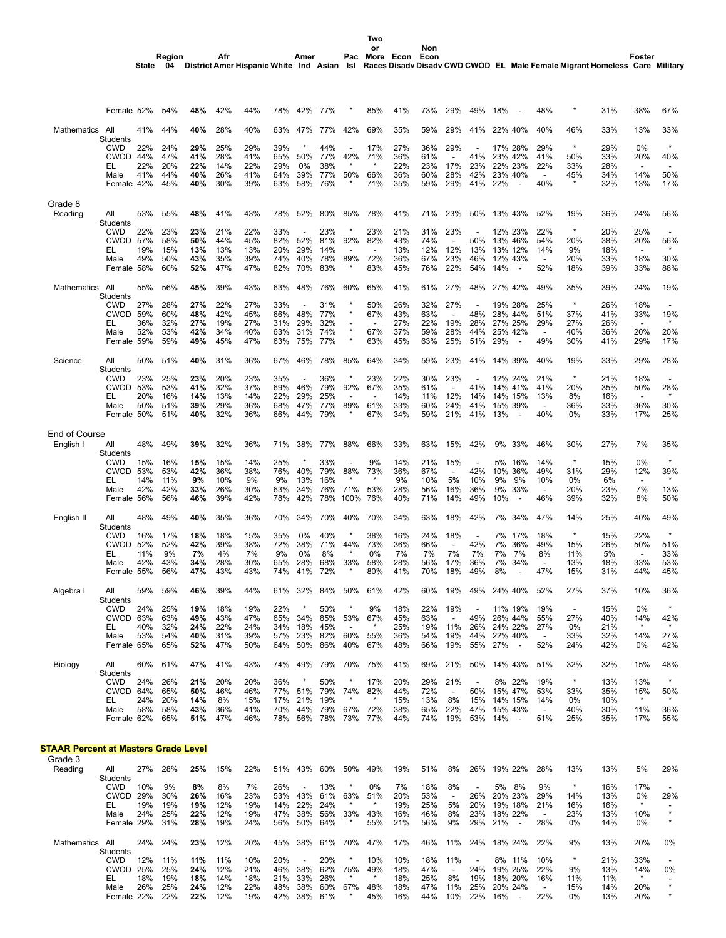**Two**

**Amer**

**Region**

**Afr**

|                                             | Female 52%                    |            | 54%        | 48%        | 42%        | 44%        | 78%        | 42%                      | 77%         |                                 | 85%                      | 41%        | 73%        | 29%                             | 49%        | 18%                                        | 48%                             |                          | 31%        | 38%                             | 67%                      |
|---------------------------------------------|-------------------------------|------------|------------|------------|------------|------------|------------|--------------------------|-------------|---------------------------------|--------------------------|------------|------------|---------------------------------|------------|--------------------------------------------|---------------------------------|--------------------------|------------|---------------------------------|--------------------------|
| Mathematics                                 | All<br>Students               | 41%        | 44%        | 40%        | 28%        | 40%        | 63%        | 47%                      | 77%         | 42%                             | 69%                      | 35%        | 59%        | 29%                             | 41%        | 22% 40%                                    | 40%                             | 46%                      | 33%        | 13%                             | 33%                      |
|                                             | <b>CWD</b>                    | 22%        | 24%        | 29%        | 25%        | 29%        | 39%        |                          | 44%         |                                 | 17%                      | 27%        | 36%        | 29%                             |            | 17% 28%                                    | 29%                             | $\star$                  | 29%        | 0%                              | $\star$                  |
|                                             | CWOD 44%<br>EL                | 22%        | 47%<br>20% | 41%<br>22% | 28%<br>14% | 41%<br>22% | 65%<br>29% | 50%<br>0%                | 77%<br>38%  | 42%                             | 71%                      | 36%<br>22% | 61%<br>23% | $\overline{\phantom{a}}$<br>17% | 41%<br>23% | 23% 42%<br>22% 23%                         | 41%<br>22%                      | 50%<br>33%               | 33%<br>28% | 20%<br>$\blacksquare$           | 40%                      |
|                                             | Male<br>Female 42%            | 41%        | 44%<br>45% | 40%<br>40% | 26%<br>30% | 41%<br>39% | 64%<br>63% | 39%<br>58%               | 77%<br>76%  | 50%                             | 66%<br>71%               | 36%<br>35% | 60%<br>59% | 28%<br>29%                      | 42%<br>41% | 23% 40%<br>22%                             | $\overline{\phantom{a}}$<br>40% | 45%<br>$\star$           | 34%<br>32% | 14%<br>13%                      | 50%<br>17%               |
|                                             |                               |            |            |            |            |            |            |                          |             |                                 |                          |            |            |                                 |            |                                            |                                 |                          |            |                                 |                          |
| Grade 8                                     |                               |            |            |            |            |            |            |                          |             |                                 |                          |            |            |                                 |            |                                            |                                 |                          |            |                                 |                          |
| Reading                                     | All<br>Students               | 53%        | 55%        | 48%        | 41%        | 43%        | 78%        | 52%                      | 80%         | 85%                             | 78%                      | 41%        | 71%        | 23%                             | 50%        | 13% 43%                                    | 52%                             | 19%                      | 36%        | 24%                             | 56%                      |
|                                             | <b>CWD</b><br><b>CWOD 57%</b> | 22%        | 23%<br>58% | 23%<br>50% | 21%<br>44% | 22%<br>45% | 33%<br>82% | 52%                      | 23%<br>81%  | 92%                             | 23%<br>82%               | 21%<br>43% | 31%<br>74% | 23%<br>$\overline{\phantom{a}}$ | 50%        | 12% 23%<br>13% 46%                         | 22%<br>54%                      | $\star$<br>20%           | 20%<br>38% | 25%<br>20%                      | 56%                      |
|                                             | EL.                           | 19%        | 15%        | 13%        | 13%        | 13%        | 20%        | 29%                      | 14%         |                                 | $\overline{\phantom{a}}$ | 13%        | 12%        | 12%                             | 13%        | 13% 12%                                    | 14%                             | 9%                       | 18%        | $\blacksquare$                  |                          |
|                                             | Male<br>Female 58%            | 49%        | 50%<br>60% | 43%<br>52% | 35%<br>47% | 39%<br>47% | 74%<br>82% | 40%<br>70%               | 78%<br>83%  | 89%<br>$\ast$                   | 72%<br>83%               | 36%<br>45% | 67%<br>76% | 23%<br>22%                      | 46%<br>54% | 12% 43%<br>14%<br>$\overline{\phantom{a}}$ | $\overline{\phantom{a}}$<br>52% | 20%<br>18%               | 33%<br>39% | 18%<br>33%                      | 30%<br>88%               |
|                                             |                               |            |            |            |            |            |            |                          |             |                                 |                          |            |            |                                 |            |                                            |                                 |                          |            |                                 |                          |
| Mathematics                                 | All<br>Students               | 55%        | 56%        | 45%        | 39%        | 43%        | 63%        | 48%                      | 76%         | 60%                             | 65%                      | 41%        | 61%        | 27%                             | 48%        | 27% 42%                                    | 49%                             | 35%                      | 39%        | 24%                             | 19%                      |
|                                             | CWD<br><b>CWOD 59%</b>        | 27%        | 28%        | 27%        | 22%<br>42% | 27%        | 33%        | 48%                      | 31%         | $\ast$<br>$\star$               | 50%                      | 26%<br>43% | 32%<br>63% | 27%                             |            | 19% 28%                                    | 25%                             | $\star$                  | 26%        | 18%                             |                          |
|                                             | EL                            | 36%        | 60%<br>32% | 48%<br>27% | 19%        | 45%<br>27% | 66%<br>31% | 29%                      | 77%<br>32%  |                                 | 67%                      | 27%        | 22%        | 19%                             | 48%<br>28% | 28% 44%<br>27% 25%                         | 51%<br>29%                      | 37%<br>27%               | 41%<br>26% | 33%<br>$\overline{\phantom{a}}$ | 19%<br>*                 |
|                                             | Male                          | 52%        | 53%        | 42%        | 34%        | 40%        | 63%        | 31%                      | 74%         | $\star$                         | 67%                      | 37%        | 59%        | 28%                             | 44%        | 25% 42%                                    | $\overline{a}$                  | 40%                      | 36%        | 20%                             | 20%                      |
|                                             | Female 59%                    |            | 59%        | 49%        | 45%        | 47%        | 63%        | 75%                      | 77%         | $\star$                         | 63%                      | 45%        | 63%        | 25%                             | 51%        | 29%<br>$\overline{\phantom{a}}$            | 49%                             | 30%                      | 41%        | 29%                             | 17%                      |
| Science                                     | All<br>Students               | 50%        | 51%        | 40%        | 31%        | 36%        | 67%        | 46%                      | 78%         | 85%                             | 64%                      | 34%        | 59%        | 23%                             | 41%        | 14% 39%                                    | 40%                             | 19%                      | 33%        | 29%                             | 28%                      |
|                                             | <b>CWD</b>                    | 23%        | 25%        | 23%        | 20%        | 23%        | 35%        | $\overline{\phantom{a}}$ | 36%         | $\ast$                          | 23%                      | 22%        | 30%        | 23%                             |            | 12% 24%                                    | 21%                             | $\star$                  | 21%        | 18%                             | $\overline{\phantom{a}}$ |
|                                             | <b>CWOD 53%</b>               | 20%        | 53%        | 41%        | 32%        | 37%        | 69%        | 46%                      | 79%         | 92%                             | 67%                      | 35%        | 61%        |                                 | 41%<br>14% | 14% 41%                                    | 41%                             | 20%                      | 35%        | 50%                             | 28%                      |
|                                             | EL<br>Male                    | 50%        | 16%<br>51% | 14%<br>39% | 13%<br>29% | 14%<br>36% | 22%<br>68% | 29%<br>47%               | 25%<br>77%  | 89%                             | 61%                      | 14%<br>33% | 11%<br>60% | 12%<br>24%                      | 41%        | 14% 15%<br>15% 39%                         | 13%<br>$\overline{\phantom{a}}$ | 8%<br>36%                | 16%<br>33% | $\blacksquare$<br>36%           | 30%                      |
|                                             | Female 50%                    |            | 51%        | 40%        | 32%        | 36%        | 66%        | 44%                      | 79%         |                                 | 67%                      | 34%        | 59%        | 21%                             | 41%        | 13%<br>$\overline{\phantom{a}}$            | 40%                             | 0%                       | 33%        | 17%                             | 25%                      |
| <b>End of Course</b>                        |                               |            |            |            |            |            |            |                          |             |                                 |                          |            |            |                                 |            |                                            |                                 |                          |            |                                 |                          |
| English I                                   | All<br>Students               | 48%        | 49%        | 39%        | 32%        | 36%        | 71%        | 38%                      | 77%         | 88%                             | 66%                      | 33%        | 63%        | 15%                             | 42%        | 9%<br>33%                                  | 46%                             | 30%                      | 27%        | 7%                              | 35%                      |
|                                             | <b>CWD</b>                    | 15%        | 16%        | 15%        | 15%        | 14%        | 25%        | $\star$                  | 33%         |                                 | 9%                       | 14%        | 21%        | 15%                             |            | 5%<br>16%                                  | 14%                             | $\star$                  | 15%        | 0%                              | $\star$                  |
|                                             | <b>CWOD 53%</b><br>EL         | 14%        | 53%<br>11% | 42%<br>9%  | 36%<br>10% | 38%<br>9%  | 76%<br>9%  | 40%<br>13%               | 79%<br>16%  | 88%                             | 73%                      | 36%<br>9%  | 67%<br>10% | $\overline{\phantom{a}}$<br>5%  | 42%<br>10% | 10% 36%<br>9%<br>9%                        | 49%<br>10%                      | 31%<br>0%                | 29%<br>6%  | 12%<br>$\overline{\phantom{a}}$ | 39%                      |
|                                             | Male                          | 42%        | 42%        | 33%        | 26%        | 30%        | 63%        | 34%                      | 76%         | 71%                             | 53%                      | 28%        | 56%        | 16%                             | 36%        | 9%<br>33%                                  | $\overline{\phantom{a}}$        | 20%                      | 23%        | 7%                              | 13%                      |
|                                             | Female 56%                    |            | 56%        | 46%        | 39%        | 42%        | 78%        | 42%                      | 78%         | 100%                            | 76%                      | 40%        | 71%        | 14%                             | 49%        | 10%<br>$\overline{\phantom{a}}$            | 46%                             | 39%                      | 32%        | 8%                              | 50%                      |
| English II                                  | All<br>Students               | 48%        | 49%        | 40%        | 35%        | 36%        | 70%        | 34%                      | 70%         | 40%                             | 70%                      | 34%        | 63%        | 18%                             | 42%        | 7%<br>34%                                  | 47%                             | 14%                      | 25%        | 40%                             | 49%                      |
|                                             | CWD                           | 16%        | 17%        | 18%        | 18%        | 15%        | 35%        | 0%                       | 40%         | $\star$                         | 38%                      | 16%        | 24%        | 18%                             |            | 7%<br>17%                                  | 18%                             | $\star$                  | 15%        | 22%                             | $\star$                  |
|                                             | <b>CWOD 52%</b><br>EL         | 11%        | 52%<br>9%  | 42%<br>7%  | 39%<br>4%  | 38%<br>7%  | 72%<br>9%  | 38%<br>0%                | 71%<br>8%   | 44%                             | 73%<br>0%                | 36%<br>7%  | 66%<br>7%  | $\overline{\phantom{a}}$<br>7%  | 42%<br>7%  | 7%<br>36%<br>7%<br>7%                      | 49%<br>8%                       | 15%<br>11%               | 26%<br>5%  | 50%<br>$\blacksquare$           | 51%<br>33%               |
|                                             | Male                          | 42%        | 43%        | 34%        | 28%        | 30%        | 65%        | 28%                      | 68%         | 33%                             | 58%                      | 28%        | 56%        | 17%                             | 36%        | 7%<br>34%                                  | $\overline{\phantom{a}}$        | 13%                      | 18%        | 33%                             | 53%                      |
|                                             | Female 55%                    |            | 56%        | 47%        | 43%        | 43%        | 74%        | 41%                      | 72%         |                                 | 80%                      | 41%        | 70%        | 18%                             | 49%        | 8%                                         | 47%                             | 15%                      | 31%        | 44%                             | 45%                      |
| Algebra I                                   | All<br>Students               | 59%        | 59%        | 46%        | 39%        | 44%        | 61%        | 32%                      | 84%         | 50%                             | 61%                      | 42%        | 60%        | 19%                             | 49%        | 24% 40%                                    | 52%                             | 27%                      | 37%        | 10%                             | 36%                      |
|                                             | CWD                           | 24%        | 25%        | 19%        | 18%        | 19%        | 22%        |                          | 50%         |                                 | 9%                       | 18%        | 22%        | 19%                             |            | 11% 19%                                    | 19%                             | $\overline{\phantom{a}}$ | 15%        | 0%                              |                          |
|                                             | CWOD                          | 63%        | 63%        | 49%        | 43%        | 47%        | 65%        | 34%                      | 85%         | 53%<br>$\overline{\phantom{a}}$ | 67%<br>$\star$           | 45%        | 63%        |                                 |            | 49% 26% 44%<br>26% 24% 22%                 | 55%                             | 27%                      | 40%        | 14%<br>$\star$                  | 42%<br>$\star$           |
|                                             | EL.<br>Male                   | 40%<br>53% | 32%<br>54% | 24%<br>40% | 22%<br>31% | 24%<br>39% | 34%<br>57% | 18%<br>23%               | 45%         | 82% 60%                         | 55%                      | 25%<br>36% | 19%<br>54% | 11%<br>19%                      |            | 44% 22% 40%                                | 27%<br>$\overline{\phantom{a}}$ | 0%<br>33%                | 21%<br>32% | 14%                             | 27%                      |
|                                             | Female 65%                    |            | 65%        | 52%        | 47%        | 50%        | 64%        | 50%                      | 86%         | 40%                             | 67%                      | 48%        | 66%        | 19%                             |            | 55% 27%                                    | 52%                             | 24%                      | 42%        | 0%                              | 42%                      |
| Biology                                     | All<br>Students               | 60%        | 61%        | 47%        | 41%        | 43%        |            | 74% 49%                  |             | 79% 70%                         | 75%                      | 41%        | 69%        | 21%                             |            | 50% 14% 43%                                | 51%                             | 32%                      | 32%        | 15%                             | 48%                      |
|                                             | <b>CWD</b>                    | 24%        | 26%        | 21%        | 20%        | 20%        | 36%        | $\star$                  | 50%         | *                               | 17%                      | 20%        | 29%        | 21%                             |            | 8% 22%                                     | 19%                             | $\star$                  | 13%        | 13%                             | $\star$                  |
|                                             | CWOD 64%                      |            | 65%        | 50%        | 46%        | 46%        | 77%        | 51%                      |             | 79% 74%                         | 82%                      | 44%        | 72%        | $\overline{\phantom{a}}$        | 50%        | 15% 47%                                    | 53%                             | 33%                      | 35%        | 15%<br>$\star$                  | 50%                      |
|                                             | EL.<br>Male                   | 24%<br>58% | 20%<br>58% | 14%<br>43% | 8%<br>36%  | 15%<br>41% | 17%<br>70% | 21%<br>44%               | 19%         | 79% 67%                         | 72%                      | 15%<br>38% | 13%<br>65% | 8%<br>22%                       | 15%<br>47% | 14% 15%<br>15% 43%                         | 14%<br>$\sim$                   | 0%<br>40%                | 10%<br>30% | 11%                             | 36%                      |
|                                             | Female 62%                    |            | 65%        | 51%        | 47%        | 46%        | 78%        |                          | 56% 78% 73% |                                 | 77%                      | 44%        | 74%        | 19%                             |            | 53% 14%<br>$\sim$                          | 51%                             | 25%                      | 35%        | 17%                             | 55%                      |
| <b>STAAR Percent at Masters Grade Level</b> |                               |            |            |            |            |            |            |                          |             |                                 |                          |            |            |                                 |            |                                            |                                 |                          |            |                                 |                          |

| Grade 3     |                 |     |     |     |     |     |     |                          |     |     |       |     |     |                          |                          |            |     |         |     |         |                          |
|-------------|-----------------|-----|-----|-----|-----|-----|-----|--------------------------|-----|-----|-------|-----|-----|--------------------------|--------------------------|------------|-----|---------|-----|---------|--------------------------|
| Reading     | All             | 27% | 28% | 25% | 15% | 22% | 51% | 43%                      | 60% | 50% | 49%   | 19% | 51% | 8%                       | 26%                      | 19% 22%    | 28% | 13%     | 13% | 5%      | 29%                      |
|             | Students        |     |     |     |     |     |     |                          |     |     |       |     |     |                          |                          |            |     |         |     |         |                          |
|             | <b>CWD</b>      | 10% | 9%  | 8%  | 8%  | 7%  | 26% | $\overline{\phantom{0}}$ | 13% |     | $0\%$ | 7%  | 18% | 8%                       | $\overline{\phantom{a}}$ | 5%<br>8%   | 9%  | $\star$ | 16% | 17%     | $\overline{\phantom{a}}$ |
|             | CWOD            | 29% | 30% | 26% | 16% | 23% | 53% | 43%                      | 61% | 63% | 51%   | 20% | 53% | $\overline{\phantom{a}}$ | 26%                      | 20% 23%    | 29% | 14%     | 13% | 0%      | 29%                      |
|             | EL.             | 19% | 19% | 19% | 12% | 19% | 14% | 22%                      | 24% |     |       | 19% | 25% | 5%                       | 20%                      | 19% 18%    | 21% | 16%     | 16% | $\star$ | -                        |
|             | Male            | 24% | 25% | 22% | 12% | 19% | 47% | 38%                      | 56% | 33% | 43%   | 16% | 46% | 8%                       | 23%                      | 18% 22%    |     | 23%     | 13% | 10%     | $\star$                  |
|             | Female 29%      |     | 31% | 28% | 19% | 24% | 56% | 50%                      | 64% |     | 55%   | 21% | 56% | 9%                       | 29%                      | 21%        | 28% | $0\%$   | 14% | $0\%$   | $\star$                  |
|             |                 |     |     |     |     |     |     |                          |     |     |       |     |     |                          |                          |            |     |         |     |         |                          |
| Mathematics | All             | 24% | 24% | 23% | 12% | 20% | 45% | 38%                      | 61% | 70% | 47%   | 17% | 46% | 11%                      | 24%                      | 18%<br>24% | 22% | 9%      | 13% | 20%     | 0%                       |
|             | <b>Students</b> |     |     |     |     |     |     |                          |     |     |       |     |     |                          |                          |            |     |         |     |         |                          |
|             | CWD             | 12% | 11% | 11% | 11% | 10% | 20% | $\overline{\phantom{a}}$ | 20% |     | 10%   | 10% | 18% | 11%                      | $\overline{\phantom{a}}$ | 8%<br>11%  | 10% | $\star$ | 21% | 33%     | $\overline{\phantom{a}}$ |
|             | CWOD            | 25% | 25% | 24% | 12% | 21% | 46% | 38%                      | 62% | 75% | 49%   | 18% | 47% | $\overline{\phantom{a}}$ | 24%                      | 19% 25%    | 22% | 9%      | 13% | 14%     | 0%                       |
|             | EL              | 18% | 19% | 18% | 14% | 18% | 21% | 33%                      | 26% |     |       | 18% | 25% | 8%                       | 19%                      | 18% 20%    | 16% | 11%     | 11% | $\star$ | -                        |
|             | Male            | 26% | 25% | 24% | 12% | 22% | 48% | 38%                      | 60% | 67% | 48%   | 18% | 47% | 11%                      | 25%                      | 20% 24%    |     | 15%     | 14% | 20%     | $\star$                  |
|             | Female 22%      |     | 22% | 22% | 12% | 19% | 42% | 38%                      | 61% |     | 45%   | 16% | 44% | 10%                      | 22%                      | 16%        | 22% | $0\%$   | 13% | 20%     | $\star$                  |
|             |                 |     |     |     |     |     |     |                          |     |     |       |     |     |                          |                          |            |     |         |     |         |                          |
|             |                 |     |     |     |     |     |     |                          |     |     |       |     |     |                          |                          |            |     |         |     |         |                          |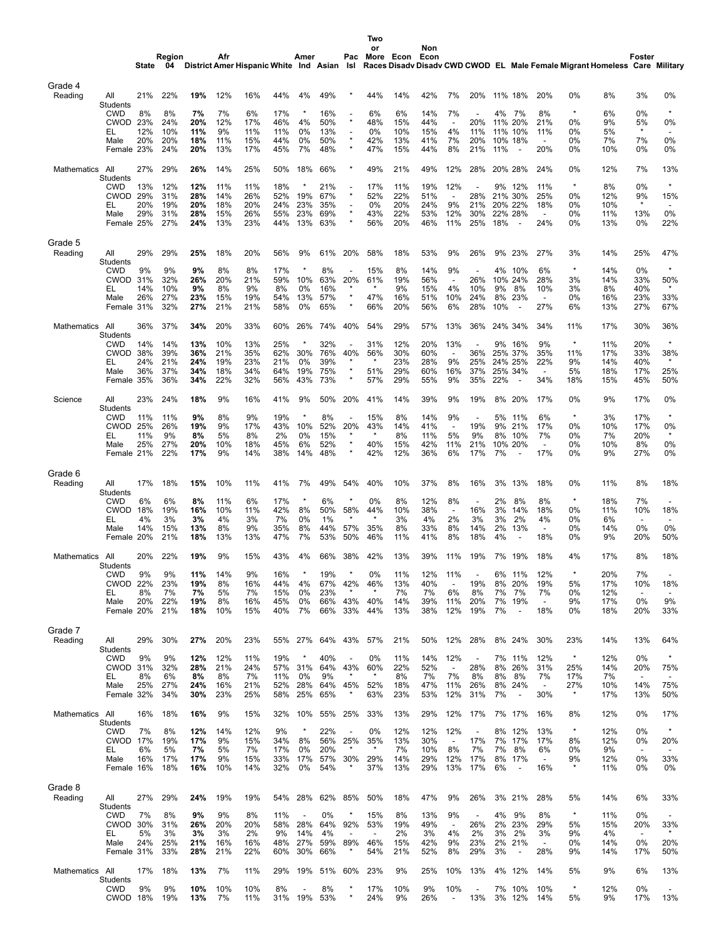|                    |                               |            |              |                                            |            |            |            |                          |            |                                     | Two                   |            |             |                                |                                 |           |                                 |                                 |                |                                                                            |                                 |                                 |
|--------------------|-------------------------------|------------|--------------|--------------------------------------------|------------|------------|------------|--------------------------|------------|-------------------------------------|-----------------------|------------|-------------|--------------------------------|---------------------------------|-----------|---------------------------------|---------------------------------|----------------|----------------------------------------------------------------------------|---------------------------------|---------------------------------|
|                    |                               | State      | Region<br>04 | District Amer Hispanic White Ind Asian Isl | Afr        |            |            | Amer                     |            | Pac                                 | or<br>More Econ       |            | Non<br>Econ |                                |                                 |           |                                 |                                 |                | Races Disadv Disadv CWD CWOD EL Male Female Migrant Homeless Care Military | Foster                          |                                 |
| Grade 4            |                               |            |              |                                            |            |            |            |                          |            |                                     |                       |            |             |                                |                                 |           |                                 |                                 |                |                                                                            |                                 |                                 |
| Reading            | All<br>Students               | 21%        | 22%          | 19%                                        | 12%        | 16%        | 44%        | 4%                       | 49%        |                                     | 44%                   | 14%        | 42%         | 7%                             | 20%                             |           | 11% 18%                         | 20%                             | 0%             | 8%                                                                         | 3%                              | 0%                              |
|                    | <b>CWD</b><br><b>CWOD</b>     | 8%<br>23%  | 8%<br>24%    | 7%<br>20%                                  | 7%<br>12%  | 6%<br>17%  | 17%<br>46% | $\star$<br>4%            | 16%<br>50% | $\star$                             | 6%<br>48%             | 6%<br>15%  | 14%<br>44%  | 7%                             | 20%                             | 4%<br>11% | 7%<br>20%                       | 8%<br>21%                       | $\star$<br>0%  | 6%<br>9%                                                                   | 0%<br>5%                        | $\star$<br>0%                   |
|                    | EL<br>Male                    | 12%<br>20% | 10%<br>20%   | 11%<br>18%                                 | 9%<br>11%  | 11%<br>15% | 11%<br>44% | 0%<br>0%                 | 13%<br>50% | $\overline{a}$                      | 0%<br>42%             | 10%<br>13% | 15%<br>41%  | 4%<br>7%                       | 11%<br>20%                      | 11%       | 10%<br>10% 18%                  | 11%<br>$\overline{a}$           | 0%<br>0%       | 5%<br>7%                                                                   | $\star$<br>7%                   | $\overline{\phantom{a}}$<br>0%  |
|                    | Female 23%                    |            | 24%          | 20%                                        | 13%        | 17%        | 45%        | 7%                       | 48%        |                                     | 47%                   | 15%        | 44%         | 8%                             | 21%                             | 11%       | $\overline{\phantom{a}}$        | 20%                             | 0%             | 10%                                                                        | 0%                              | 0%                              |
| Mathematics        | All<br>Students               | 27%        | 29%          | 26%                                        | 14%        | 25%        | 50%        | 18%                      | 66%        |                                     | 49%                   | 21%        | 49%         | 12%                            | 28%                             |           | 20% 28%                         | 24%                             | 0%             | 12%                                                                        | 7%                              | 13%                             |
|                    | <b>CWD</b><br><b>CWOD 29%</b> | 13%        | 12%<br>31%   | 12%<br>28%                                 | 11%<br>14% | 11%<br>26% | 18%<br>52% | $\ast$<br>19%            | 21%<br>67% | $\star$                             | 17%<br>52%            | 11%<br>22% | 19%<br>51%  | 12%                            | 28%                             | 9%<br>21% | 12%<br>30%                      | 11%<br>25%                      | $\star$<br>0%  | 8%<br>12%                                                                  | 0%<br>9%                        | $\star$<br>15%                  |
|                    | EL<br>Male                    | 20%<br>29% | 19%<br>31%   | 20%<br>28%                                 | 18%<br>15% | 20%<br>26% | 24%<br>55% | 23%<br>23%               | 35%<br>69% | $\overline{\phantom{a}}$<br>$\star$ | 0%<br>43%             | 20%<br>22% | 24%<br>53%  | 9%<br>12%                      | 21%<br>30%                      |           | 20% 22%<br>22% 28%              | 18%<br>$\overline{\phantom{a}}$ | 0%<br>0%       | 10%<br>11%                                                                 | 13%                             | 0%                              |
|                    | Female 25%                    |            | 27%          | 24%                                        | 13%        | 23%        | 44%        | 13%                      | 63%        |                                     | 56%                   | 20%        | 46%         | 11%                            | 25%                             | 18%       | $\overline{\phantom{a}}$        | 24%                             | 0%             | 13%                                                                        | 0%                              | 22%                             |
| Grade 5<br>Reading | All                           | 29%        | 29%          | 25%                                        | 18%        | 20%        | 56%        | 9%                       | 61%        | 20%                                 | 58%                   | 18%        | 53%         | 9%                             | 26%                             | 9%        | 23%                             | 27%                             | 3%             | 14%                                                                        | 25%                             | 47%                             |
|                    | Students<br><b>CWD</b>        | 9%         | 9%           | 9%                                         | 8%         | 8%         | 17%        | $\star$                  | 8%         |                                     | 15%                   | 8%         | 14%         | 9%                             |                                 | 4%        | 10%                             | 6%                              | $\star$        | 14%                                                                        | 0%                              | $\star$                         |
|                    | <b>CWOD 31%</b><br>EL         | 14%        | 32%<br>10%   | 26%<br>9%                                  | 20%<br>8%  | 21%<br>9%  | 59%<br>8%  | 10%<br>0%                | 63%<br>16% | 20%                                 | 61%                   | 19%<br>9%  | 56%<br>15%  | $\overline{\phantom{a}}$<br>4% | 26%<br>10%                      | 10%<br>9% | 24%<br>8%                       | 28%<br>10%                      | 3%<br>3%       | 14%<br>8%                                                                  | 33%<br>40%                      | 50%<br>$\star$                  |
|                    | Male                          | 26%        | 27%          | 23%<br>27%                                 | 15%<br>21% | 19%<br>21% | 54%        | 13%<br>0%                | 57%        |                                     | 47%                   | 16%<br>20% | 51%<br>56%  | 10%<br>6%                      | 24%<br>28%                      | 8%<br>10% | 23%<br>$\overline{\phantom{a}}$ | $\blacksquare$<br>27%           | 0%<br>6%       | 16%                                                                        | 23%                             | 33%<br>67%                      |
|                    | Female 31%                    |            | 32%          |                                            |            |            | 58%        |                          | 65%        |                                     | 66%                   |            |             |                                |                                 |           |                                 |                                 |                | 13%                                                                        | 27%                             |                                 |
| Mathematics        | All<br><b>Students</b>        | 36%        | 37%          | 34%                                        | 20%        | 33%        | 60%        | 26%                      | 74%        | 40%                                 | 54%                   | 29%        | 57%         | 13%                            | 36%                             |           | 24% 34%                         | 34%                             | 11%            | 17%                                                                        | 30%                             | 36%                             |
|                    | <b>CWD</b><br><b>CWOD</b>     | 14%<br>38% | 14%<br>39%   | 13%<br>36%                                 | 10%<br>21% | 13%<br>35% | 25%<br>62% | 30%                      | 32%<br>76% | 40%                                 | 31%<br>56%            | 12%<br>30% | 20%<br>60%  | 13%                            | 36%                             | 9%        | 16%<br>25% 37%                  | 9%<br>35%                       | $\star$<br>11% | 11%<br>17%                                                                 | 20%<br>33%                      | $\star$<br>38%                  |
|                    | EL<br>Male                    | 24%<br>36% | 21%<br>37%   | 24%<br>34%                                 | 19%<br>18% | 23%<br>34% | 21%<br>64% | 0%<br>19%                | 39%<br>75% | $\star$                             | $\star$<br>51%        | 23%<br>29% | 28%<br>60%  | 9%<br>16%                      | 25%<br>37%                      |           | 24% 25%<br>25% 34%              | 22%<br>$\overline{\phantom{a}}$ | 9%<br>5%       | 14%<br>18%                                                                 | 40%<br>17%                      | $\star$<br>25%                  |
|                    | Female 35%                    |            | 36%          | 34%                                        | 22%        | 32%        | 56%        | 43%                      | 73%        |                                     | 57%                   | 29%        | 55%         | 9%                             | 35%                             | 22%       |                                 | 34%                             | 18%            | 15%                                                                        | 45%                             | 50%                             |
| Science            | All<br>Students               | 23%        | 24%          | 18%                                        | 9%         | 16%        | 41%        | 9%                       | 50%        | 20%                                 | 41%                   | 14%        | 39%         | 9%                             | 19%                             | 8%        | 20%                             | 17%                             | 0%             | 9%                                                                         | 17%                             | 0%                              |
|                    | <b>CWD</b><br><b>CWOD 25%</b> | 11%        | 11%<br>26%   | 9%<br>19%                                  | 8%<br>9%   | 9%<br>17%  | 19%<br>43% | ×<br>10%                 | 8%<br>52%  | 20%                                 | 15%<br>43%            | 8%<br>14%  | 14%<br>41%  | 9%<br>$\overline{\phantom{a}}$ | $\overline{\phantom{a}}$<br>19% | 5%<br>9%  | 11%<br>21%                      | 6%<br>17%                       | $\star$<br>0%  | 3%<br>10%                                                                  | 17%<br>17%                      | $\star$<br>0%                   |
|                    | EL<br>Male                    | 11%<br>25% | 9%<br>27%    | 8%<br>20%                                  | 5%<br>10%  | 8%<br>18%  | 2%<br>45%  | 0%<br>6%                 | 15%<br>52% | ×                                   | 40%                   | 8%<br>15%  | 11%<br>42%  | 5%<br>11%                      | 9%<br>21%                       | 8%<br>10% | 10%<br>20%                      | 7%<br>$\overline{\phantom{a}}$  | 0%<br>0%       | 7%<br>10%                                                                  | 20%<br>8%                       | $\star$<br>0%                   |
|                    | Female 21%                    |            | 22%          | 17%                                        | 9%         | 14%        | 38%        | 14%                      | 48%        |                                     | 42%                   | 12%        | 36%         | 6%                             | 17%                             | 7%        | $\overline{\phantom{a}}$        | 17%                             | 0%             | 9%                                                                         | 27%                             | 0%                              |
| Grade 6<br>Reading | All                           | 17%        | 18%          | 15%                                        | 10%        | 11%        | 41%        | 7%                       | 49%        | 54%                                 | 40%                   | 10%        | 37%         | 8%                             | 16%                             | 3%        | 13%                             | 18%                             | 0%             | 11%                                                                        | 8%                              | 18%                             |
|                    | Students<br><b>CWD</b>        | 6%         | 6%           | 8%                                         | 11%        | 6%         | 17%        |                          | 6%         |                                     | 0%                    | 8%         | 12%         | 8%                             |                                 | 2%        | 8%                              | 8%                              | $\ast$         | 18%                                                                        | 7%                              |                                 |
|                    | <b>CWOD</b><br>EL             | 18%<br>4%  | 19%<br>3%    | 16%<br>3%                                  | 10%<br>4%  | 11%<br>3%  | 42%<br>7%  | 8%<br>0%                 | 50%<br>1%  | 58%                                 | 44%                   | 10%<br>3%  | 38%<br>4%   | $\overline{\phantom{a}}$<br>2% | 16%<br>3%                       | 3%<br>3%  | 14%<br>2%                       | 18%<br>4%                       | 0%<br>0%       | 11%<br>6%                                                                  | 10%<br>$\overline{\phantom{a}}$ | 18%<br>$\overline{\phantom{a}}$ |
|                    | Male<br>Female 20%            | 14%        | 15%<br>21%   | 13%<br>18%                                 | 8%<br>13%  | 9%<br>13%  | 35%<br>47% | 8%<br>7%                 | 44%<br>53% | 57%<br>50%                          | 35%<br>46%            | 8%<br>11%  | 33%<br>41%  | 8%<br>8%                       | 14%<br>18%                      | 2%<br>4%  | 13%                             | $\overline{\phantom{a}}$<br>18% | 0%<br>0%       | 14%<br>9%                                                                  | 0%<br>20%                       | 0%<br>50%                       |
| Mathematics All    |                               | 20%        | 22%          | 19%                                        | 9%         | 15%        | 43%        | 4%                       | 66%        | 38%                                 | 42%                   | 13%        | 39%         | 11%                            | 19%                             |           | 7% 19%                          | 18%                             | 4%             | 17%                                                                        | 8%                              | 18%                             |
|                    | Students<br><b>CWD</b>        | 9%         | 9%           | 11%                                        | 14%        | 9%         | 16%        |                          | 19%        |                                     | 0%                    | 11%        | 12%         | 11%                            |                                 | 6%        | 11%                             | 12%                             | $\star$        | 20%                                                                        | 7%                              |                                 |
|                    | <b>CWOD</b><br>EL             | 22%<br>8%  | 23%<br>7%    | 19%<br>7%                                  | 8%<br>5%   | 16%<br>7%  | 44%<br>15% | 4%<br>0%                 | 67%<br>23% | 42%                                 | 46%<br>$\star$        | 13%<br>7%  | 40%<br>7%   | 6%                             | 19%<br>8%                       | 8%<br>7%  | 20%<br>7%                       | 19%<br>7%                       | 5%<br>0%       | 17%<br>12%                                                                 | 10%<br>$\overline{\phantom{a}}$ | 18%<br>$\overline{a}$           |
|                    | Male<br>Female 20%            | 20%        | 22%<br>21%   | 19%<br>18%                                 | 8%<br>10%  | 16%<br>15% | 45%<br>40% | 0%<br>7%                 | 66%<br>66% | 43%<br>33%                          | 40%<br>44%            | 14%<br>13% | 39%<br>38%  | 11%<br>12%                     | 20%<br>19%                      | 7%<br>7%  | 19%<br>$\overline{\phantom{a}}$ | $\overline{\phantom{a}}$<br>18% | 9%<br>0%       | 17%<br>18%                                                                 | 0%<br>20%                       | 9%<br>33%                       |
| Grade 7            |                               |            |              |                                            |            |            |            |                          |            |                                     |                       |            |             |                                |                                 |           |                                 |                                 |                |                                                                            |                                 |                                 |
| Reading            | All<br>Students               | 29%        | 30%          | 27%                                        | 20%        | 23%        | 55%        | 27%                      | 64%        | 43%                                 | 57%                   | 21%        | 50%         | 12%                            | 28%                             |           | 8% 24%                          | 30%                             | 23%            | 14%                                                                        | 13%                             | 64%                             |
|                    | <b>CWD</b><br>CWOD 31%        | 9%         | 9%<br>32%    | 12%<br>28%                                 | 12%<br>21% | 11%<br>24% | 19%<br>57% | $\ast$<br>31%            | 40%<br>64% | $\overline{\phantom{a}}$<br>43%     | 0%<br>60%             | 11%<br>22% | 14%<br>52%  | 12%<br>$\overline{a}$          | $\overline{\phantom{a}}$<br>28% | 8%        | 7% 11%<br>26%                   | 12%<br>31%                      | $\star$<br>25% | 12%<br>14%                                                                 | 0%<br>20%                       | $\star$<br>75%                  |
|                    | EL<br>Male                    | 8%<br>25%  | 6%<br>27%    | 8%<br>24%                                  | 8%<br>16%  | 7%<br>21%  | 11%<br>52% | 0%<br>28%                | 9%<br>64%  | 45%                                 | 52%                   | 8%<br>18%  | 7%<br>47%   | 7%<br>11%                      | 8%<br>26%                       | 8%<br>8%  | 8%<br>24%                       | 7%<br>$\overline{\phantom{a}}$  | 17%<br>27%     | 7%<br>10%                                                                  | $\overline{\phantom{a}}$<br>14% | 75%                             |
|                    | Female 32%                    |            | 34%          | 30%                                        | 23%        | 25%        | 58%        | 25%                      | 65%        |                                     | 63%                   | 23%        | 53%         | 12%                            | 31%                             | 7%        | $\overline{\phantom{a}}$        | 30%                             | $\star$        | 17%                                                                        | 13%                             | 50%                             |
| Mathematics All    | Students                      | 16%        | 18%          | 16%                                        | 9%         | 15%        | 32%        | 10%<br>$\star$           | 55%        | 25%                                 | 33%                   | 13%        | 29%         | 12%                            | 17%                             |           | 7% 17%                          | 16%                             | 8%<br>$\star$  | 12%                                                                        | 0%                              | 17%<br>$\star$                  |
|                    | <b>CWD</b><br><b>CWOD 17%</b> | 7%         | 8%<br>19%    | 12%<br>17%                                 | 14%<br>9%  | 12%<br>15% | 9%<br>34%  | 8%                       | 22%<br>56% | $\overline{\phantom{a}}$<br>25%     | 0%<br>35%<br>$\star$  | 12%<br>13% | 12%<br>30%  | 12%<br>$\blacksquare$          | 17%                             | 8%<br>7%  | 12%<br>17%                      | 13%<br>17%                      | 8%             | 12%<br>12%                                                                 | 0%<br>0%                        | 20%                             |
|                    | EL<br>Male                    | 6%<br>16%  | 5%<br>17%    | 7%<br>17%                                  | 5%<br>9%   | 7%<br>15%  | 17%<br>33% | 0%<br>17%                | 20%<br>57% | 30%                                 | 29%                   | 7%<br>14%  | 10%<br>29%  | 8%<br>12%                      | 7%<br>17%                       | 7%<br>8%  | 8%<br>17%                       | 6%<br>$\overline{\phantom{a}}$  | 0%<br>9%       | 9%<br>12%                                                                  | 0%                              | 33%                             |
|                    | Female 16%                    |            | 18%          | 16%                                        | 10%        | 14%        | 32%        | 0%                       | 54%        |                                     | 37%                   | 13%        | 29%         | 13%                            | 17%                             | 6%        | $\overline{\phantom{a}}$        | 16%                             | $\ast$         | 11%                                                                        | 0%                              | 0%                              |
| Grade 8<br>Reading | All                           | 27%        | 29%          | 24%                                        | 19%        | 19%        | 54%        | 28%                      | 62%        | 85%                                 | 50%                   | 18%        | 47%         | 9%                             | 26%                             |           | 3% 21%                          | 28%                             | 5%             | 14%                                                                        | 6%                              | 33%                             |
|                    | Students<br><b>CWD</b>        | 7%         | 8%           | 9%                                         | 9%         | 8%         | 11%        | $\overline{\phantom{a}}$ | 0%         |                                     | 15%                   | 8%         | 13%         | 9%                             | $\blacksquare$                  | 4%        | 9%                              | 8%                              | $\star$        | 11%                                                                        | 0%                              |                                 |
|                    | <b>CWOD 30%</b><br>EL         | 5%         | 31%<br>3%    | 26%<br>3%                                  | 20%<br>3%  | 20%<br>2%  | 58%<br>9%  | 28%<br>14%               | 64%<br>4%  | 92%                                 | 53%<br>$\overline{a}$ | 19%<br>2%  | 49%<br>3%   | $\overline{\phantom{a}}$<br>4% | 26%<br>2%                       | 2%<br>3%  | 23%<br>2%                       | 29%<br>3%                       | 5%<br>9%       | 15%<br>4%                                                                  | 20%<br>$\overline{\phantom{a}}$ | 33%                             |
|                    | Male<br>Female 31%            | 24%        | 25%<br>33%   | 21%<br>28%                                 | 16%<br>21% | 16%<br>22% | 48%<br>60% | 27%<br>30%               | 59%<br>66% | 89%<br>$\ast$                       | 46%<br>54%            | 15%<br>21% | 42%<br>52%  | 9%<br>8%                       | 23%<br>29%                      | 2%<br>3%  | 21%<br>$\overline{\phantom{a}}$ | $\overline{\phantom{a}}$<br>28% | 0%<br>9%       | 14%<br>14%                                                                 | 0%<br>17%                       | 20%<br>50%                      |
| Mathematics All    |                               | 17%        | 18%          | 13%                                        | 7%         | 11%        | 29%        | 19%                      | 51%        | 60%                                 | 23%                   | 9%         | 25%         | 10%                            | 13%                             |           | 4% 12%                          | 14%                             | 5%             | 9%                                                                         | 6%                              | 13%                             |
|                    | Students<br><b>CWD</b>        | 9%         | 9%           | 10%                                        | 10%        | 10%        | 8%         |                          | 8%         |                                     | 17%                   | 10%        | 9%          | 10%                            |                                 |           | 7% 10%                          | 10%                             | $\star$        | 12%                                                                        | 0%                              |                                 |
|                    | CWOD 18%                      |            | 19%          | 13%                                        | 7%         | 11%        | 31% 19%    |                          | 53%        |                                     | 24%                   | 9%         | 26%         | $\overline{\phantom{a}}$       | 13%                             |           | 3% 12%                          | 14%                             | 5%             | 9%                                                                         | 17%                             | 13%                             |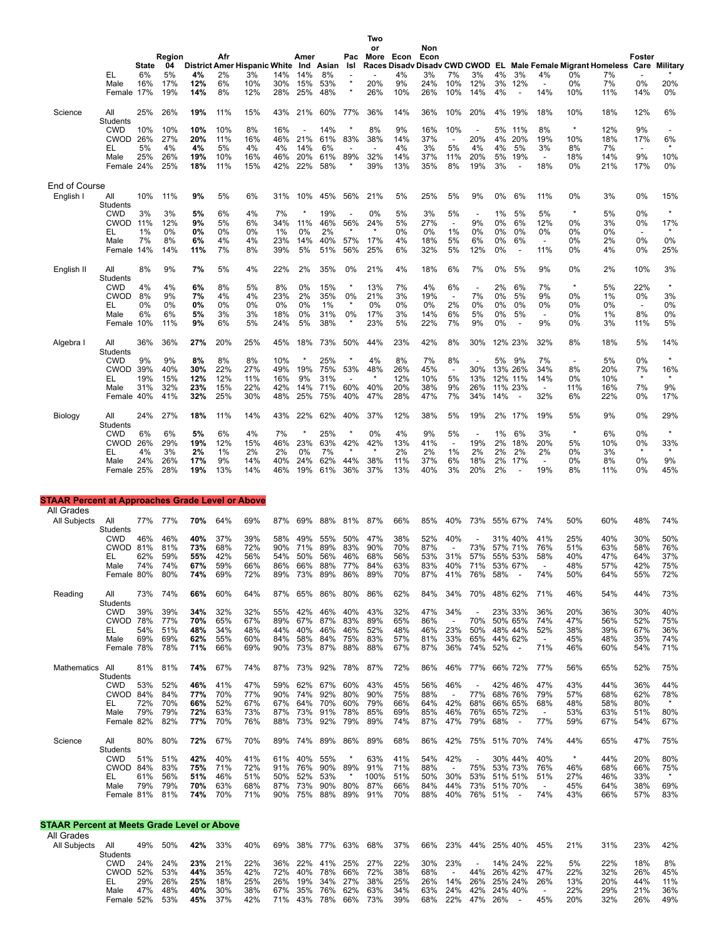|                                                         |                               |              | Region     |                                     | Afr        |            |            | Amer                     |            | Pac                             | Two<br>or<br>More Econ          |            | Non<br>Econ        |                                 |                                 |          |                                     |                                 |                          |                                            | Foster                         |                |
|---------------------------------------------------------|-------------------------------|--------------|------------|-------------------------------------|------------|------------|------------|--------------------------|------------|---------------------------------|---------------------------------|------------|--------------------|---------------------------------|---------------------------------|----------|-------------------------------------|---------------------------------|--------------------------|--------------------------------------------|--------------------------------|----------------|
|                                                         |                               | <b>State</b> | 04         | <b>District Amer Hispanic White</b> |            |            |            |                          | Ind Asian  | Isl                             | <b>Races Disadv</b>             |            | Disady CWD CWOD EL |                                 |                                 |          |                                     |                                 |                          | Male Female Migrant Homeless Care Military |                                |                |
|                                                         | EL<br>Male                    | 6%<br>16%    | 5%<br>17%  | 4%<br>12%                           | 2%<br>6%   | 3%<br>10%  | 14%<br>30% | 14%<br>15%               | 8%<br>53%  |                                 | 20%                             | 4%<br>9%   | 3%<br>24%          | 7%<br>10%                       | 3%<br>12%                       | 4%<br>3% | 3%<br>12%                           | 4%<br>$\overline{a}$            | 0%<br>0%                 | 7%<br>7%                                   | 0%                             | 20%            |
|                                                         | Female 17%                    |              | 19%        | 14%                                 | 8%         | 12%        | 28%        | 25%                      | 48%        | $\star$                         | 26%                             | 10%        | 26%                | 10%                             | 14%                             | 4%       | $\overline{\phantom{a}}$            | 14%                             | 10%                      | 11%                                        | 14%                            | 0%             |
| Science                                                 | All                           | 25%          | 26%        | 19%                                 | 11%        | 15%        | 43%        | 21%                      | 60%        | 77%                             | 36%                             | 14%        | 36%                | 10%                             | 20%                             | 4%       | 19%                                 | 18%                             | 10%                      | 18%                                        | 12%                            | 6%             |
|                                                         | <b>Students</b><br><b>CWD</b> | 10%          | 10%        | 10%                                 | 10%        | 8%         | 16%        | $\overline{\phantom{a}}$ | 14%        |                                 | 8%                              | 9%         | 16%                | 10%                             |                                 | 5%       | 11%                                 | 8%                              | $\star$                  | 12%                                        | 9%                             |                |
|                                                         | CWOD 26%<br>EL                | 5%           | 27%<br>4%  | 20%<br>4%                           | 11%<br>5%  | 16%<br>4%  | 46%<br>4%  | 21%<br>14%               | 61%<br>6%  | 83%                             | 38%<br>$\overline{\phantom{a}}$ | 14%<br>4%  | 37%<br>3%          | $\overline{\phantom{a}}$<br>5%  | 20%<br>4%                       | 4%<br>4% | 20%<br>5%                           | 19%<br>3%                       | 10%<br>8%                | 18%<br>7%                                  | 17%<br>$\blacksquare$          | 6%             |
|                                                         | Male                          | 25%          | 26%        | 19%                                 | 10%        | 16%        | 46%        | 20%                      | 61%        | 89%                             | 32%                             | 14%        | 37%                | 11%                             | 20%                             | 5%       | 19%                                 | $\blacksquare$                  | 18%                      | 14%                                        | 9%                             | 10%            |
|                                                         | Female 24%                    |              | 25%        | 18%                                 | 11%        | 15%        | 42%        | 22%                      | 58%        |                                 | 39%                             | 13%        | 35%                | 8%                              | 19%                             | 3%       | $\overline{\phantom{a}}$            | 18%                             | 0%                       | 21%                                        | 17%                            | 0%             |
| <b>End of Course</b><br>English I                       | All                           | 10%          | 11%        | 9%                                  | 5%         | 6%         | 31%        | 10%                      | 45%        | 56%                             | 21%                             | 5%         | 25%                | 5%                              | 9%                              | 0%       | 6%                                  | 11%                             | 0%                       | 3%                                         | 0%                             | 15%            |
|                                                         | Students                      |              |            |                                     |            |            |            |                          |            |                                 |                                 |            |                    |                                 |                                 |          |                                     |                                 |                          |                                            |                                | $\star$        |
|                                                         | <b>CWD</b><br>CWOD 11%        | 3%           | 3%<br>12%  | 5%<br>9%                            | 6%<br>5%   | 4%<br>6%   | 7%<br>34%  | $\ast$<br>11%            | 19%<br>46% | $\overline{\phantom{a}}$<br>56% | 0%<br>24%                       | 5%<br>5%   | 3%<br>27%          | 5%<br>$\overline{\phantom{a}}$  | $\overline{\phantom{a}}$<br>9%  | 1%<br>0% | 5%<br>6%                            | 5%<br>12%                       | $\ast$<br>0%             | 5%<br>3%                                   | 0%<br>0%                       | 17%            |
|                                                         | EL<br>Male                    | 1%<br>7%     | 0%<br>8%   | 0%<br>6%                            | 0%<br>4%   | 0%<br>4%   | 1%<br>23%  | 0%<br>14%                | 2%<br>40%  | 57%                             | 17%                             | 0%<br>4%   | 0%<br>18%          | 1%<br>5%                        | 0%<br>6%                        | 0%<br>0% | 0%<br>6%                            | 0%<br>$\overline{\phantom{a}}$  | 0%<br>0%                 | $0\%$<br>2%                                | 0%                             | 0%             |
|                                                         | Female 14%                    |              | 14%        | 11%                                 | 7%         | 8%         | 39%        | 5%                       | 51%        | 56%                             | 25%                             | 6%         | 32%                | 5%                              | 12%                             | 0%       | $\overline{\phantom{a}}$            | 11%                             | 0%                       | 4%                                         | 0%                             | 25%            |
| English II                                              | All                           | 8%           | 9%         | 7%                                  | 5%         | 4%         | 22%        | 2%                       | 35%        | 0%                              | 21%                             | 4%         | 18%                | 6%                              | 7%                              | 0%       | 5%                                  | 9%                              | 0%                       | 2%                                         | 10%                            | 3%             |
|                                                         | Students<br><b>CWD</b>        | 4%           | 4%         | 6%                                  | 8%         | 5%         | 8%         | 0%                       | 15%        |                                 | 13%                             | 7%         | 4%                 | 6%                              | $\overline{\phantom{a}}$        | 2%       | 6%                                  | 7%                              |                          | 5%                                         | 22%                            |                |
|                                                         | <b>CWOD</b><br>EL             | 8%<br>0%     | 9%<br>0%   | 7%<br>0%                            | 4%<br>0%   | 4%<br>0%   | 23%<br>0%  | 2%<br>0%                 | 35%<br>1%  | 0%<br>$\star$                   | 21%<br>0%                       | 3%<br>0%   | 19%<br>0%          | $\overline{a}$<br>2%            | 7%<br>0%                        | 0%<br>0% | 5%<br>0%                            | 9%<br>0%                        | 0%<br>0%                 | $1\%$<br>0%                                | 0%<br>$\overline{\phantom{a}}$ | 3%<br>0%       |
|                                                         | Male                          | 6%           | 6%         | 5%                                  | 3%         | 3%         | 18%        | 0%                       | 31%        | 0%                              | 17%                             | 3%         | 14%                | 6%                              | 5%                              | 0%       | 5%                                  | $\overline{\phantom{a}}$        | 0%                       | 1%                                         | 8%                             | 0%             |
|                                                         | Female 10%                    |              | 11%        | 9%                                  | 6%         | 5%         | 24%        | 5%                       | 38%        | $\ast$                          | 23%                             | 5%         | 22%                | 7%                              | 9%                              | 0%       | $\overline{\phantom{a}}$            | 9%                              | 0%                       | 3%                                         | 11%                            | 5%             |
| Algebra I                                               | All<br><b>Students</b>        | 36%          | 36%        | 27%                                 | 20%        | 25%        | 45%        | 18%                      | 73%        | 50%                             | 44%                             | 23%        | 42%                | 8%                              | 30%                             |          | 12% 23%                             | 32%                             | 8%                       | 18%                                        | 5%                             | 14%            |
|                                                         | <b>CWD</b>                    | 9%           | 9%         | 8%                                  | 8%         | 8%         | 10%        |                          | 25%        |                                 | 4%                              | 8%         | 7%                 | 8%                              | $\overline{\phantom{a}}$        | 5%       | 9%                                  | 7%                              | $\overline{\phantom{a}}$ | 5%                                         | 0%                             | $\star$        |
|                                                         | <b>CWOD 39%</b><br>EL         | 19%          | 40%<br>15% | 30%<br>12%                          | 22%<br>12% | 27%<br>11% | 49%<br>16% | 19%<br>9%                | 75%<br>31% | 53%                             | 48%                             | 26%<br>12% | 45%<br>10%         | $\overline{\phantom{a}}$<br>5%  | 30%<br>13%                      |          | 13% 26%<br>12% 11%                  | 34%<br>14%                      | 8%<br>0%                 | 20%<br>10%                                 | 7%                             | 16%<br>$\star$ |
|                                                         | Male<br>Female 40%            | 31%          | 32%<br>41% | 23%<br>32%                          | 15%<br>25% | 22%<br>30% | 42%<br>48% | 14%<br>25%               | 71%<br>75% | 60%<br>40%                      | 40%<br>47%                      | 20%<br>28% | 38%<br>47%         | 9%<br>7%                        | 26%<br>34%                      | 14%      | 11% 23%<br>$\overline{\phantom{a}}$ | $\overline{\phantom{a}}$<br>32% | 11%<br>6%                | 16%<br>22%                                 | 7%<br>0%                       | 9%<br>17%      |
|                                                         |                               |              |            |                                     |            |            |            |                          |            |                                 |                                 |            |                    |                                 |                                 |          |                                     |                                 |                          |                                            |                                |                |
| Biology                                                 | All<br>Students               | 24%          | 27%        | 18%                                 | 11%        | 14%        | 43%        | 22%                      | 62%        | 40%                             | 37%                             | 12%        | 38%                | 5%                              | 19%                             | 2%       | 17%                                 | 19%                             | 5%                       | 9%                                         | 0%                             | 29%            |
|                                                         | <b>CWD</b><br>CWOD 26%        | 6%           | 6%<br>29%  | 5%<br>19%                           | 6%<br>12%  | 4%<br>15%  | 7%<br>46%  | $\star$<br>23%           | 25%<br>63% | $\star$<br>42%                  | 0%<br>42%                       | 4%<br>13%  | 9%<br>41%          | 5%<br>$\overline{\phantom{a}}$  | 19%                             | 1%<br>2% | 6%<br>18%                           | 3%<br>20%                       | $\star$<br>5%            | 6%<br>10%                                  | 0%<br>0%                       | $\star$<br>33% |
|                                                         | EL                            | 4%           | 3%         | 2%                                  | 1%         | 2%         | 2%         | 0%                       | 7%         |                                 |                                 | 2%         | 2%                 | 1%                              | 2%                              | 2%       | 2%                                  | 2%                              | 0%                       | 3%                                         | $\star$                        | $\star$        |
|                                                         | Male<br>Female 25%            | 24%          | 26%<br>28% | 17%<br>19%                          | 9%<br>13%  | 14%<br>14% | 40%<br>46% | 24%<br>19%               | 62%<br>61% | 44%<br>36%                      | 38%<br>37%                      | 11%<br>13% | 37%<br>40%         | 6%<br>3%                        | 18%<br>20%                      | 2%<br>2% | 17%<br>$\overline{a}$               | $\blacksquare$<br>19%           | $0\%$<br>8%              | 8%<br>11%                                  | $0\%$<br>0%                    | 9%<br>45%      |
|                                                         |                               |              |            |                                     |            |            |            |                          |            |                                 |                                 |            |                    |                                 |                                 |          |                                     |                                 |                          |                                            |                                |                |
| <b>STAAR Percent at Approaches Grade Level or Above</b> |                               |              |            |                                     |            |            |            |                          |            |                                 |                                 |            |                    |                                 |                                 |          |                                     |                                 |                          |                                            |                                |                |
| All Grades<br>All Subjects                              | All                           | 77%          | 77%        | 70%                                 | 64%        | 69%        | 87%        | 69%                      | 88%        | 81%                             | 87%                             | 66%        | 85%                | 40%                             | 73%                             |          | 55% 67%                             | 74%                             | 50%                      | 60%                                        | 48%                            | 74%            |
|                                                         | Students<br><b>CWD</b>        |              | 46%        | 40%                                 | 37%        | 39%        | 58%        |                          |            |                                 |                                 | 38%        | 52%                | 40%                             |                                 |          |                                     | 41%                             | 25%                      | 40%                                        | 30%                            | 50%            |
|                                                         | <b>CWOD 81%</b>               | 46%          | 81%        | 73%                                 | 68%        | 72%        | 90%        | 49%<br>71%               | 55%<br>89% | 50%<br>83%                      | 47%<br>90%                      | 70%        | 87%                |                                 | 73%                             |          | 31% 40%<br>57% 71%                  | 76%                             | 51%                      | 63%                                        | 58%                            | 76%            |
|                                                         | EL<br>Male                    | 62%<br>74%   | 59%<br>74% | 55%<br>67%                          | 42%<br>59% | 56%<br>66% | 54%<br>86% | 50%<br>66%               | 56%<br>88% | 46%<br>77%                      | 68%<br>84%                      | 56%<br>63% | 53%<br>83%         | 31%<br>40%                      | 57%<br>71%                      |          | 55% 53%<br>53% 67%                  | 58%                             | 40%<br>48%               | 47%<br>57%                                 | 64%<br>42%                     | 37%<br>75%     |
|                                                         | Female 80%                    |              | 80%        | 74%                                 | 69%        | 72%        | 89%        | 73%                      | 89%        | 86%                             | 89%                             | 70%        | 87%                | 41%                             | 76%                             | 58%      | $\overline{\phantom{a}}$            | 74%                             | 50%                      | 64%                                        | 55%                            | 72%            |
| Reading                                                 | All                           | 73%          | 74%        | 66%                                 | 60%        | 64%        | 87%        | 65%                      | 86%        | 80%                             | 86%                             | 62%        | 84%                | 34%                             | 70%                             |          | 48% 62%                             | 71%                             | 46%                      | 54%                                        | 44%                            | 73%            |
|                                                         | Students<br><b>CWD</b>        | 39%          | 39%        | 34%                                 | 32%        | 32%        | 55%        | 42%                      | 46%        | 40%                             | 43%                             | 32%        | 47%                | 34%                             |                                 |          | 23% 33%                             | 36%                             | 20%                      | 36%                                        | 30%                            | 40%            |
|                                                         | CWOD 78%<br>EL                | 54%          | 77%<br>51% | 70%<br>48%                          | 65%<br>34% | 67%<br>48% | 89%<br>44% | 67%<br>40%               | 87%<br>46% | 83%<br>46%                      | 89%<br>52%                      | 65%<br>48% | 86%<br>46%         | $\overline{\phantom{a}}$<br>23% | 70%<br>50%                      |          | 50% 65%<br>48% 44%                  | 74%<br>52%                      | 47%<br>38%               | 56%<br>39%                                 | 52%<br>67%                     | 75%<br>36%     |
|                                                         | Male                          | 69%          | 69%        | 62%                                 | 55%        | 60%        | 84%        | 58%                      | 84%        | 75%                             | 83%                             | 57%        | 81%                | 33%                             | 65%                             |          | 44% 62%                             | $\overline{\phantom{a}}$        | 45%                      | 48%                                        | 35%                            | 74%            |
|                                                         | Female 78%                    |              | 78%        | 71%                                 | 66%        | 69%        | 90%        | 73% 87%                  |            | 88%                             | 88%                             | 67%        | 87%                | 36%                             | 74%                             | 52%      | $\overline{\phantom{a}}$            | 71%                             | 46%                      | 60%                                        | 54%                            | 71%            |
| Mathematics All                                         | Students                      | 81%          | 81%        | 74%                                 | 67%        | 74%        | 87% 73%    |                          | 92%        | 78%                             | 87%                             | 72%        | 86%                | 46%                             | 77%                             |          | 66% 72%                             | 77%                             | 56%                      | 65%                                        | 52%                            | 75%            |
|                                                         | <b>CWD</b><br>CWOD 84%        | 53%          | 52%<br>84% | 46%                                 | 41%<br>70% | 47%<br>77% | 59%<br>90% | 62%                      | 67%<br>92% | 60%<br>80%                      | 43%                             | 45%        | 56%<br>88%         | 46%                             |                                 |          | 42% 46%<br>68% 76%                  | 47%<br>79%                      | 43%                      | 44%                                        | 36%<br>62%                     | 44%            |
|                                                         | EL                            | 72%          | 70%        | 77%<br>66%                          | 52%        | 67%        | 67%        | 74%<br>64%               | 70%        | 60%                             | 90%<br>79%                      | 75%<br>66% | 64%                | 42%                             | 77%<br>68%                      |          | 66% 65%                             | 68%                             | 57%<br>48%               | 68%<br>58%                                 | 80%                            | 78%            |
|                                                         | Male<br>Female 82%            | 79%          | 79%<br>82% | 72%<br>77%                          | 63%<br>70% | 73%<br>76% | 87%<br>88% | 73%<br>73%               | 91%<br>92% | 78%<br>79%                      | 85%<br>89%                      | 69%<br>74% | 85%<br>87%         | 46%<br>47%                      | 76%<br>79%                      | 68%      | 65% 72%<br>$\sim$                   | $\overline{\phantom{a}}$<br>77% | 53%<br>59%               | 63%<br>67%                                 | 51%<br>54%                     | 80%<br>67%     |
|                                                         |                               |              |            |                                     |            |            |            |                          |            |                                 |                                 |            |                    |                                 |                                 |          |                                     |                                 |                          |                                            |                                |                |
| Science                                                 | All<br>Students               | 80%          | 80%        | 72%                                 | 67%        | 70%        | 89% 74%    |                          | 89%        | 86%                             | 89%                             | 68%        | 86%                | 42%                             | 75%                             |          | 51% 70%                             | 74%                             | 44%                      | 65%                                        | 47%                            | 75%            |
|                                                         | <b>CWD</b><br>CWOD 84%        | 51%          | 51%<br>83% | 42%<br>75%                          | 40%<br>71% | 41%<br>72% | 61%<br>91% | 40%<br>76%               | 55%<br>90% | *<br>89%                        | 63%<br>91%                      | 41%<br>71% | 54%<br>88%         | 42%                             | $\overline{\phantom{a}}$<br>75% |          | 30% 44%<br>53% 73%                  | 40%<br>76%                      | $\star$<br>46%           | 44%<br>68%                                 | 20%<br>66%                     | 80%<br>75%     |
|                                                         | EL.<br>Male                   | 61%<br>79%   | 56%<br>79% | 51%<br>70%                          | 46%<br>63% | 51%<br>68% | 50%<br>87% | 52%<br>73%               | 53%<br>90% | 80%                             | 100%<br>87%                     | 51%<br>66% | 50%<br>84%         | 30%<br>44%                      | 53%<br>73%                      |          | 51% 51%<br>51% 70%                  | 51%<br>$\overline{\phantom{a}}$ | 27%<br>45%               | 46%<br>64%                                 | 33%<br>38%                     | $\star$<br>69% |
|                                                         | Female 81%                    |              | 81%        | 74%                                 | 70%        | 71%        | 90%        | 75%                      | 88%        | 89%                             | 91%                             | 70%        | 88%                | 40%                             | 76%                             | 51%      | $\sim$                              | 74%                             | 43%                      | 66%                                        | 57%                            | 83%            |
|                                                         |                               |              |            |                                     |            |            |            |                          |            |                                 |                                 |            |                    |                                 |                                 |          |                                     |                                 |                          |                                            |                                |                |
| <b>STAAR Percent at Meets Grade Level or Above</b>      |                               |              |            |                                     |            |            |            |                          |            |                                 |                                 |            |                    |                                 |                                 |          |                                     |                                 |                          |                                            |                                |                |
| All Grades<br>All Subjects All                          |                               |              | 49% 50%    | 42% 33%                             |            | 40%        |            |                          |            |                                 | 69% 38% 77% 63% 68% 37%         |            |                    |                                 | 66% 23% 44% 25% 40% 45%         |          |                                     |                                 | 21%                      | 31%                                        | 23%                            | 42%            |

All Subjects All All 49% 50%<br>Students<br>CWD 24% 24% CWD 24% 24% **23%** 21% 22% 36% 22% 41% 25% 27% 22% 30% 23% - 14% 24% 22% 5% 22% 18% 8% CWOD 52% 53% **44%** 35% 42% 72% 40% 78% 66% 72% 38% 68% - 44% 26% 42% 47% 22% 32% 26% 45% EL 29% 26% 2**5%** 18% 25% 26% 19% 34% 27% 38% 25% 26% 14% 26% 26% 24% 20% 44% 11%<br>Male 47% 48% **40%** 30% 38% 67% 35% 76% 62% 63% 34% 63% 24% 24% 40%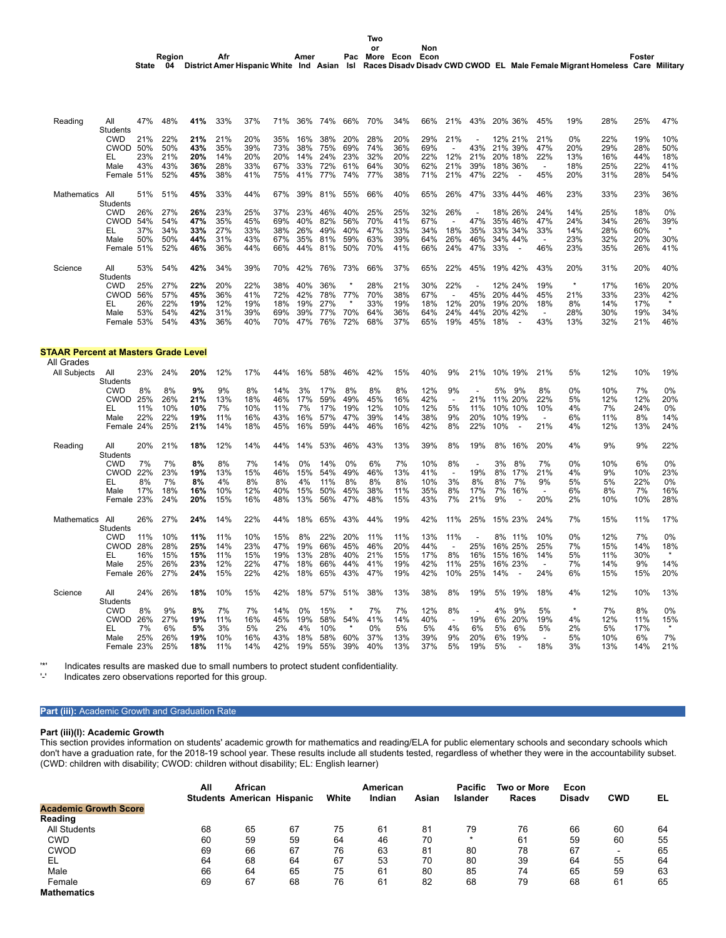| Reading                                     | All             | 47% | 48% | 41% | 33% | 37% | 71% | 36% | 74% | 66% | 70% | 34% | 66% | 21%                      | 43%                      | 20% 36%               | 45%                      | 19%     | 28% | 25% | 47%     |
|---------------------------------------------|-----------------|-----|-----|-----|-----|-----|-----|-----|-----|-----|-----|-----|-----|--------------------------|--------------------------|-----------------------|--------------------------|---------|-----|-----|---------|
|                                             | <b>Students</b> |     |     |     |     |     |     |     |     |     |     |     |     |                          |                          |                       |                          |         |     |     |         |
|                                             | <b>CWD</b>      | 21% | 22% | 21% | 21% | 20% | 35% | 16% | 38% | 20% | 28% | 20% | 29% | 21%                      |                          | 12% 21%               | 21%                      | 0%      | 22% | 19% | 10%     |
|                                             | <b>CWOD 50%</b> |     | 50% | 43% | 35% | 39% | 73% | 38% | 75% | 69% | 74% | 36% | 69% |                          | 43%                      | 21% 39%               | 47%                      | 20%     | 29% | 28% | 50%     |
|                                             | EL              | 23% | 21% | 20% | 14% | 20% | 20% | 14% | 24% | 23% | 32% | 20% | 22% | 12%                      | 21%                      | 20% 18%               | 22%                      | 13%     | 16% | 44% | 18%     |
|                                             | Male            | 43% | 43% | 36% | 28% | 33% | 67% | 33% | 72% | 61% | 64% | 30% | 62% | 21%                      | 39%                      | 18% 36%               |                          | 18%     | 25% | 22% | 41%     |
|                                             | Female 51%      |     | 52% | 45% | 38% | 41% | 75% | 41% | 77% | 74% | 77% | 38% | 71% | 21%                      | 47%                      | 22%<br>$\overline{a}$ | 45%                      | 20%     | 31% | 28% | 54%     |
|                                             |                 |     |     |     |     |     |     |     |     |     |     |     |     |                          |                          |                       |                          |         |     |     |         |
|                                             |                 |     | 51% |     |     |     |     |     |     |     |     |     |     |                          |                          |                       |                          |         |     |     |         |
| Mathematics                                 | All             | 51% |     | 45% | 33% | 44% | 67% | 39% | 81% | 55% | 66% | 40% | 65% | 26%                      | 47%                      | 33% 44%               | 46%                      | 23%     | 33% | 23% | 36%     |
|                                             | <b>Students</b> |     |     |     |     |     |     |     |     |     |     |     |     |                          |                          |                       |                          |         |     |     |         |
|                                             | <b>CWD</b>      | 26% | 27% | 26% | 23% | 25% | 37% | 23% | 46% | 40% | 25% | 25% | 32% | 26%                      |                          | 18% 26%               | 24%                      | 14%     | 25% | 18% | 0%      |
|                                             | CWOD            | 54% | 54% | 47% | 35% | 45% | 69% | 40% | 82% | 56% | 70% | 41% | 67% | $\overline{\phantom{a}}$ | 47%                      | 35% 46%               | 47%                      | 24%     | 34% | 26% | 39%     |
|                                             | EL              | 37% | 34% | 33% | 27% | 33% | 38% | 26% | 49% | 40% | 47% | 33% | 34% | 18%                      | 35%                      | 33% 34%               | 33%                      | 14%     | 28% | 60% | $\star$ |
|                                             | Male            | 50% | 50% | 44% | 31% | 43% | 67% | 35% | 81% | 59% | 63% | 39% | 64% | 26%                      | 46%                      | 34% 44%               |                          | 23%     | 32% | 20% | 30%     |
|                                             | Female 51%      |     | 52% | 46% | 36% | 44% | 66% | 44% | 81% | 50% | 70% | 41% | 66% | 24%                      | 47%                      | 33%                   | 46%                      | 23%     | 35% | 26% | 41%     |
|                                             |                 |     |     |     |     |     |     |     |     |     |     |     |     |                          |                          |                       |                          |         |     |     |         |
| Science                                     | All             | 53% | 54% | 42% | 34% | 39% | 70% | 42% | 76% | 73% | 66% | 37% | 65% | 22%                      | 45%                      | 19% 42%               | 43%                      | 20%     | 31% | 20% | 40%     |
|                                             |                 |     |     |     |     |     |     |     |     |     |     |     |     |                          |                          |                       |                          |         |     |     |         |
|                                             | Students        |     |     |     |     |     |     |     |     |     |     |     |     |                          |                          |                       |                          | $\star$ |     |     |         |
|                                             | <b>CWD</b>      | 25% | 27% | 22% | 20% | 22% | 38% | 40% | 36% |     | 28% | 21% | 30% | 22%                      |                          | 12% 24%               | 19%                      |         | 17% | 16% | 20%     |
|                                             | CWOD            | 56% | 57% | 45% | 36% | 41% | 72% | 42% | 78% | 77% | 70% | 38% | 67% |                          | 45%                      | 20% 44%               | 45%                      | 21%     | 33% | 23% | 42%     |
|                                             | EL              | 26% | 22% | 19% | 12% | 19% | 18% | 19% | 27% |     | 33% | 19% | 18% | 12%                      | 20%                      | 19% 20%               | 18%                      | 8%      | 14% | 17% | $\star$ |
|                                             | Male            | 53% | 54% | 42% | 31% | 39% | 69% | 39% | 77% | 70% | 64% | 36% | 64% | 24%                      | 44%                      | 20%<br>42%            | $\overline{\phantom{a}}$ | 28%     | 30% | 19% | 34%     |
|                                             | Female 53%      |     | 54% | 43% | 36% | 40% | 70% | 47% | 76% | 72% | 68% | 37% | 65% | 19%                      | 45%                      | 18%                   | 43%                      | 13%     | 32% | 21% | 46%     |
|                                             |                 |     |     |     |     |     |     |     |     |     |     |     |     |                          |                          |                       |                          |         |     |     |         |
|                                             |                 |     |     |     |     |     |     |     |     |     |     |     |     |                          |                          |                       |                          |         |     |     |         |
|                                             |                 |     |     |     |     |     |     |     |     |     |     |     |     |                          |                          |                       |                          |         |     |     |         |
| <b>STAAR Percent at Masters Grade Level</b> |                 |     |     |     |     |     |     |     |     |     |     |     |     |                          |                          |                       |                          |         |     |     |         |
| All Grades                                  |                 |     |     |     |     |     |     |     |     |     |     |     |     |                          |                          |                       |                          |         |     |     |         |
| <b>All Subjects</b>                         | All             | 23% | 24% | 20% | 12% | 17% | 44% | 16% | 58% | 46% | 42% | 15% | 40% | 9%                       | 21%                      | 10% 19%               | 21%                      | 5%      | 12% | 10% | 19%     |
|                                             | Students        |     |     |     |     |     |     |     |     |     |     |     |     |                          |                          |                       |                          |         |     |     |         |
|                                             | <b>CWD</b>      | 8%  | 8%  | 9%  | 9%  | 8%  | 14% | 3%  | 17% | 8%  | 8%  | 8%  | 12% | 9%                       |                          | 5%<br>9%              | 8%                       | 0%      | 10% | 7%  | 0%      |
|                                             | <b>CWOD</b>     | 25% | 26% | 21% | 13% | 18% | 46% | 17% | 59% | 49% | 45% | 16% | 42% | $\overline{a}$           | 21%                      | 11% 20%               | 22%                      | 5%      | 12% | 12% | 20%     |
|                                             | EL              | 11% | 10% | 10% | 7%  | 10% | 11% | 7%  | 17% | 19% | 12% | 10% | 12% | 5%                       | 11%                      | 10% 10%               | 10%                      | 4%      | 7%  | 24% | 0%      |
|                                             | Male            | 22% | 22% | 19% | 11% | 16% | 43% | 16% | 57% | 47% | 39% | 14% | 38% | 9%                       | 20%                      | 10% 19%               | $\overline{\phantom{a}}$ | 6%      | 11% | 8%  | 14%     |
|                                             |                 |     | 25% |     |     |     |     |     |     | 44% | 46% |     |     | 8%                       |                          |                       |                          | 4%      |     |     |         |
|                                             | Female 24%      |     |     | 21% | 14% | 18% | 45% | 16% | 59% |     |     | 16% | 42% |                          | 22%                      | 10%                   | 21%                      |         | 12% | 13% | 24%     |
|                                             |                 |     |     |     |     |     |     |     |     |     |     |     |     |                          |                          |                       |                          |         |     |     |         |
| Reading                                     | All             | 20% | 21% | 18% | 12% | 14% | 44% | 14% | 53% | 46% | 43% | 13% | 39% | 8%                       | 19%                      | 8%<br>16%             | 20%                      | 4%      | 9%  | 9%  | 22%     |
|                                             | <b>Students</b> |     |     |     |     |     |     |     |     |     |     |     |     |                          |                          |                       |                          |         |     |     |         |
|                                             | <b>CWD</b>      | 7%  | 7%  | 8%  | 8%  | 7%  | 14% | 0%  | 14% | 0%  | 6%  | 7%  | 10% | 8%                       |                          | 3%<br>8%              | 7%                       | 0%      | 10% | 6%  | 0%      |
|                                             | CWOD            | 22% | 23% | 19% | 13% | 15% | 46% | 15% | 54% | 49% | 46% | 13% | 41% | $\overline{\phantom{a}}$ | 19%                      | 8%<br>17%             | 21%                      | 4%      | 9%  | 10% | 23%     |
|                                             | EL              | 8%  | 7%  | 8%  | 4%  | 8%  | 8%  | 4%  | 11% | 8%  | 8%  | 8%  | 10% | 3%                       | 8%                       | 8%<br>7%              | 9%                       | 5%      | 5%  | 22% | 0%      |
|                                             | Male            | 17% | 18% | 16% | 10% | 12% | 40% | 15% | 50% | 45% | 38% | 11% | 35% | 8%                       | 17%                      | 7%<br>16%             | $\overline{\phantom{a}}$ | 6%      | 8%  | 7%  | 16%     |
|                                             | Female 23%      |     | 24% | 20% | 15% | 16% | 48% | 13% | 56% | 47% | 48% | 15% | 43% | 7%                       | 21%                      | 9%                    | 20%                      | 2%      | 10% | 10% | 28%     |
|                                             |                 |     |     |     |     |     |     |     |     |     |     |     |     |                          |                          |                       |                          |         |     |     |         |
|                                             |                 |     |     |     |     |     |     |     |     |     |     |     |     |                          |                          |                       |                          |         |     |     |         |
| Mathematics                                 | All             | 26% | 27% | 24% | 14% | 22% | 44% | 18% | 65% | 43% | 44% | 19% | 42% | 11%                      | 25%                      | 15% 23%               | 24%                      | 7%      | 15% | 11% | 17%     |
|                                             | <b>Students</b> |     |     |     |     |     |     |     |     |     |     |     |     |                          |                          |                       |                          |         |     |     |         |
|                                             | <b>CWD</b>      | 11% | 10% | 11% | 11% | 10% | 15% | 8%  | 22% | 20% | 11% | 11% | 13% | 11%                      |                          | 8% 11%                | 10%                      | 0%      | 12% | 7%  | 0%      |
|                                             | CWOD 28%        |     | 28% | 25% | 14% | 23% | 47% | 19% | 66% | 45% | 46% | 20% | 44% |                          | 25%                      | 16% 25%               | 25%                      | 7%      | 15% | 14% | 18%     |
|                                             | EL              | 16% | 15% | 15% | 11% | 15% | 19% | 13% | 28% | 40% | 21% | 15% | 17% | 8%                       | 16%                      | 15% 16%               | 14%                      | 5%      | 11% | 30% | $\star$ |
|                                             | Male            | 25% | 26% | 23% | 12% | 22% | 47% | 18% | 66% | 44% | 41% | 19% | 42% | 11%                      | 25%                      | 16% 23%               | $\overline{a}$           | 7%      | 14% | 9%  | 14%     |
|                                             | Female 26%      |     | 27% | 24% | 15% | 22% | 42% | 18% | 65% | 43% | 47% | 19% | 42% | 10%                      | 25%                      | 14%                   | 24%                      | 6%      | 15% | 15% | 20%     |
|                                             |                 |     |     |     |     |     |     |     |     |     |     |     |     |                          |                          |                       |                          |         |     |     |         |
| Science                                     | All             | 24% | 26% | 18% | 10% | 15% | 42% | 18% | 57% | 51% | 38% | 13% | 38% | 8%                       | 19%                      | 5%<br>19%             | 18%                      | 4%      | 12% | 10% | 13%     |
|                                             | Students        |     |     |     |     |     |     |     |     |     |     |     |     |                          |                          |                       |                          |         |     |     |         |
|                                             |                 |     |     |     |     |     |     |     |     | ×   |     |     |     |                          |                          |                       |                          | $\star$ |     |     |         |
|                                             | <b>CWD</b>      | 8%  | 9%  | 8%  | 7%  | 7%  | 14% | 0%  | 15% |     | 7%  | 7%  | 12% | 8%                       | $\overline{\phantom{a}}$ | 4%<br>9%              | 5%                       |         | 7%  | 8%  | 0%      |
|                                             | CWOD            | 26% | 27% | 19% | 11% | 16% | 45% | 19% | 58% | 54% | 41% | 14% | 40% | $\overline{\phantom{a}}$ | 19%                      | 6%<br>20%             | 19%                      | 4%      | 12% | 11% | 15%     |
|                                             | EL              | 7%  | 6%  | 5%  | 3%  | 5%  | 2%  | 4%  | 10% |     | 0%  | 5%  | 5%  | 4%                       | 6%                       | 5%<br>6%              | 5%                       | 2%      | 5%  | 17% |         |
|                                             | Male            | 25% | 26% | 19% | 10% | 16% | 43% | 18% | 58% | 60% | 37% | 13% | 39% | 9%                       | 20%                      | 6%<br>19%             | $\overline{a}$           | 5%      | 10% | 6%  | 7%      |
|                                             | Female 23%      |     | 25% | 18% | 11% | 14% | 42% | 19% | 55% | 39% | 40% | 13% | 37% | 5%                       | 19%                      | 5%                    | 18%                      | 3%      | 13% | 14% | 21%     |
|                                             |                 |     |     |     |     |     |     |     |     |     |     |     |     |                          |                          |                       |                          |         |     |     |         |

'\*' Indicates results are masked due to small numbers to protect student confidentiality.

Indicates zero observations reported for this group.

### **Part (iii):** Academic Growth and Graduation Rate

## **Part (iii)(I): Academic Growth**

This section provides information on students' academic growth for mathematics and reading/ELA for public elementary schools and secondary schools which don't have a graduation rate, for the 2018-19 school year. These results include all students tested, regardless of whether they were in the accountability subset. (CWD: children with disability; CWOD: children without disability; EL: English learner)

| All | African |    |                                   | American |        | <b>Pacific</b> | Two or More | Econ  |               |            |
|-----|---------|----|-----------------------------------|----------|--------|----------------|-------------|-------|---------------|------------|
|     |         |    |                                   |          |        |                |             |       |               | EL         |
|     |         |    |                                   |          |        |                |             |       |               |            |
| 68  | 65      | 67 | 75                                | 61       | 81     | 79             | 76          | 66    | 60            | 64         |
| 60  | 59      | 59 | 64                                | 46       | 70     |                | 61          | 59    | 60            | 55         |
| 69  | 66      | 67 | 76                                | 63       | 81     | 80             | 78          | 67    | -             | 65         |
| 64  | 68      | 64 | 67                                | 53       | 70     | 80             | 39          | 64    | 55            | 64         |
| 66  | 64      | 65 | 75                                | 61       | 80     | 85             | 74          | 65    | 59            | 63         |
| 69  | 67      | 68 | 76                                | 61       | 82     | 68             | 79          | 68    | 61            | 65         |
|     |         |    | <b>Students American Hispanic</b> | White    | Indian | Asian          | Islander    | Races | <b>Disady</b> | <b>CWD</b> |

**Mathematics**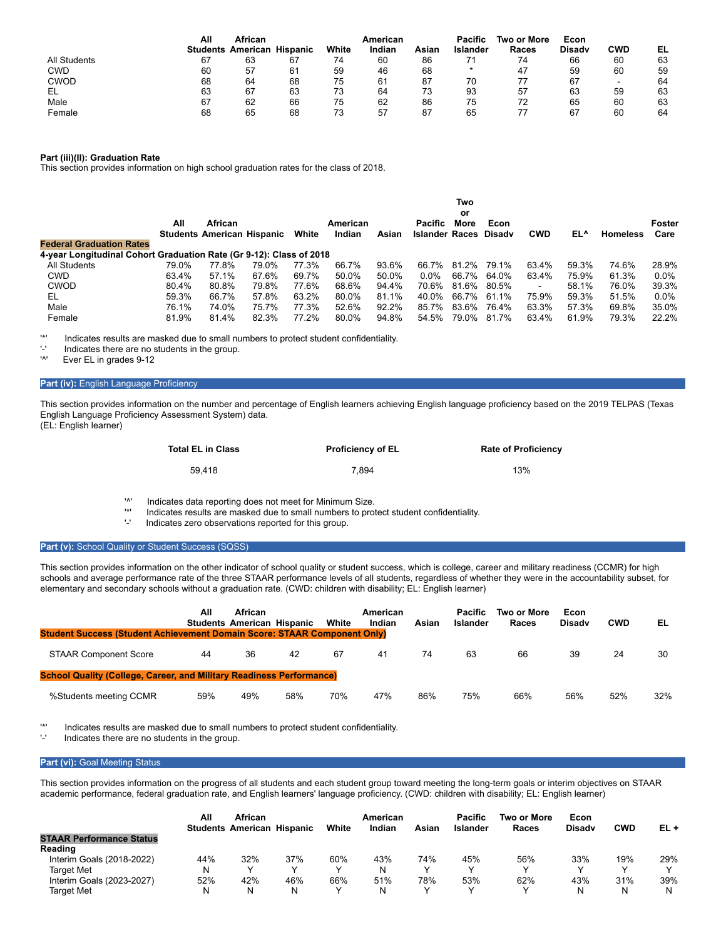|              | All | African                  |          |       | American |       | Pacific  | Two or More | Econ          |                          |    |
|--------------|-----|--------------------------|----------|-------|----------|-------|----------|-------------|---------------|--------------------------|----|
|              |     | <b>Students American</b> | Hispanic | White | Indian   | Asiar | Islander | Races       | <b>Disady</b> | <b>CWD</b>               | EL |
| All Students | 67  | 63                       | 67       | 74    | 60       | 86    |          | 74          | 66            | 60                       | 63 |
| <b>CWD</b>   | 60  | 57                       | 61       | 59    | 46       | 68    |          | 47          | 59            | 60                       | 59 |
| <b>CWOD</b>  | 68  | 64                       | 68       | 75    | 61       | 87    | 70       |             | 67            | $\overline{\phantom{0}}$ | 64 |
| EL           | 63  | 67                       | 63       | 73    | 64       | 73    | 93       | 57          | 63            | 59                       | 63 |
| Male         | 67  | 62                       | 66       | 75    | 62       | 86    | 75       | 72          | 65            | 60                       | 63 |
| Female       | 68  | 65                       | 68       | 73    | 57       | 87    | 65       |             | 67            | 60                       | 64 |

### **Part (iii)(II): Graduation Rate**

This section provides information on high school graduation rates for the class of 2018.

|                                                                     | Two<br>or |         |                                   |       |                    |       |                                  |       |       |            |       |                 |                |
|---------------------------------------------------------------------|-----------|---------|-----------------------------------|-------|--------------------|-------|----------------------------------|-------|-------|------------|-------|-----------------|----------------|
|                                                                     | All       | African | <b>Students American Hispanic</b> | White | American<br>Indian | Asian | Pacific<br>Islander Races Disady | More  | Econ  | <b>CWD</b> | EL^   | <b>Homeless</b> | Foster<br>Care |
| <b>Federal Graduation Rates</b>                                     |           |         |                                   |       |                    |       |                                  |       |       |            |       |                 |                |
| 4-year Longitudinal Cohort Graduation Rate (Gr 9-12): Class of 2018 |           |         |                                   |       |                    |       |                                  |       |       |            |       |                 |                |
| All Students                                                        | 79.0%     | 77.8%   | 79.0%                             | 77.3% | 66.7%              | 93.6% | 66.7%                            | 81.2% | 79.1% | 63.4%      | 59.3% | 74.6%           | 28.9%          |
| <b>CWD</b>                                                          | 63.4%     | 57.1%   | 67.6%                             | 69.7% | 50.0%              | 50.0% | $0.0\%$                          | 66.7% | 64.0% | 63.4%      | 75.9% | 61.3%           | $0.0\%$        |
| <b>CWOD</b>                                                         | 80.4%     | 80.8%   | 79.8%                             | 77.6% | 68.6%              | 94.4% | 70.6%                            | 81.6% | 80.5% | ۰          | 58.1% | 76.0%           | 39.3%          |
| EL                                                                  | 59.3%     | 66.7%   | 57.8%                             | 63.2% | 80.0%              | 81.1% | 40.0%                            | 66.7% | 61.1% | 75.9%      | 59.3% | 51.5%           | $0.0\%$        |
| Male                                                                | 76.1%     | 74.0%   | 75.7%                             | 77.3% | 52.6%              | 92.2% | 85.7%                            | 83.6% | 76.4% | 63.3%      | 57.3% | 69.8%           | 35.0%          |
| Female                                                              | 81.9%     | 81.4%   | 82.3%                             | 77.2% | 80.0%              | 94.8% | 54.5%                            | 79.0% | 81.7% | 63.4%      | 61.9% | 79.3%           | 22.2%          |

'\*' Indicates results are masked due to small numbers to protect student confidentiality.

 $'$ -' Indicates there are no students in the group.

Ever EL in grades 9-12

#### **Part (iv):** English Language Proficiency

This section provides information on the number and percentage of English learners achieving English language proficiency based on the 2019 TELPAS (Texas English Language Proficiency Assessment System) data. (EL: English learner)

| <b>Total EL in Class</b> | <b>Proficiency of EL</b> | <b>Rate of Proficiency</b> |
|--------------------------|--------------------------|----------------------------|
| 59.418                   | 7.894                    | 13%                        |

'<sup>^'</sup> Indicates data reporting does not meet for Minimum Size.<br>
Indicates results are masked due to small numbers to pro-

'\*' Indicates results are masked due to small numbers to protect student confidentiality.

Indicates zero observations reported for this group.

#### Part (v): School Quality or Student Success (SQSS)

This section provides information on the other indicator of school quality or student success, which is college, career and military readiness (CCMR) for high schools and average performance rate of the three STAAR performance levels of all students, regardless of whether they were in the accountability subset, for elementary and secondary schools without a graduation rate. (CWD: children with disability; EL: English learner)

| <b>Student Success (Student Achievement Domain Score: STAAR Component Only)</b> | All | African<br><b>Students American Hispanic</b> |     | White | American<br>Indian | Asian | <b>Pacific</b><br>Islander | Two or More<br>Races | Econ<br><b>Disady</b> | <b>CWD</b> | EL  |
|---------------------------------------------------------------------------------|-----|----------------------------------------------|-----|-------|--------------------|-------|----------------------------|----------------------|-----------------------|------------|-----|
| <b>STAAR Component Score</b>                                                    | 44  | 36                                           | 42  | 67    | 41                 | 74    | 63                         | 66                   | 39                    | 24         | 30  |
| <b>School Quality (College, Career, and Military Readiness Performance)</b>     |     |                                              |     |       |                    |       |                            |                      |                       |            |     |
| %Students meeting CCMR                                                          | 59% | 49%                                          | 58% | 70%   | 47%                | 86%   | 75%                        | 66%                  | 56%                   | 52%        | 32% |

'\*' Indicates results are masked due to small numbers to protect student confidentiality.

Indicates there are no students in the group.

#### **Part (vi): Goal Meeting Status**

This section provides information on the progress of all students and each student group toward meeting the long-term goals or interim objectives on STAAR academic performance, federal graduation rate, and English learners' language proficiency. (CWD: children with disability; EL: English learner)

|                                 | All | African<br><b>Students American Hispanic</b> |     | White | American<br>Indian | Asian | <b>Pacific</b><br>Islander | Two or More<br>Races | Econ<br><b>Disady</b> | <b>CWD</b> | EL+ |
|---------------------------------|-----|----------------------------------------------|-----|-------|--------------------|-------|----------------------------|----------------------|-----------------------|------------|-----|
| <b>STAAR Performance Status</b> |     |                                              |     |       |                    |       |                            |                      |                       |            |     |
| Reading                         |     |                                              |     |       |                    |       |                            |                      |                       |            |     |
| Interim Goals (2018-2022)       | 44% | 32%                                          | 37% | 60%   | 43%                | 74%   | 45%                        | 56%                  | 33%                   | 19%        | 29% |
| Target Met                      | N   |                                              |     |       | N                  |       | v                          |                      |                       |            |     |
| Interim Goals (2023-2027)       | 52% | 42%                                          | 46% | 66%   | 51%                | 78%   | 53%                        | 62%                  | 43%                   | 31%        | 39% |
| Target Met                      |     |                                              |     |       | N                  |       | v                          |                      |                       |            | N   |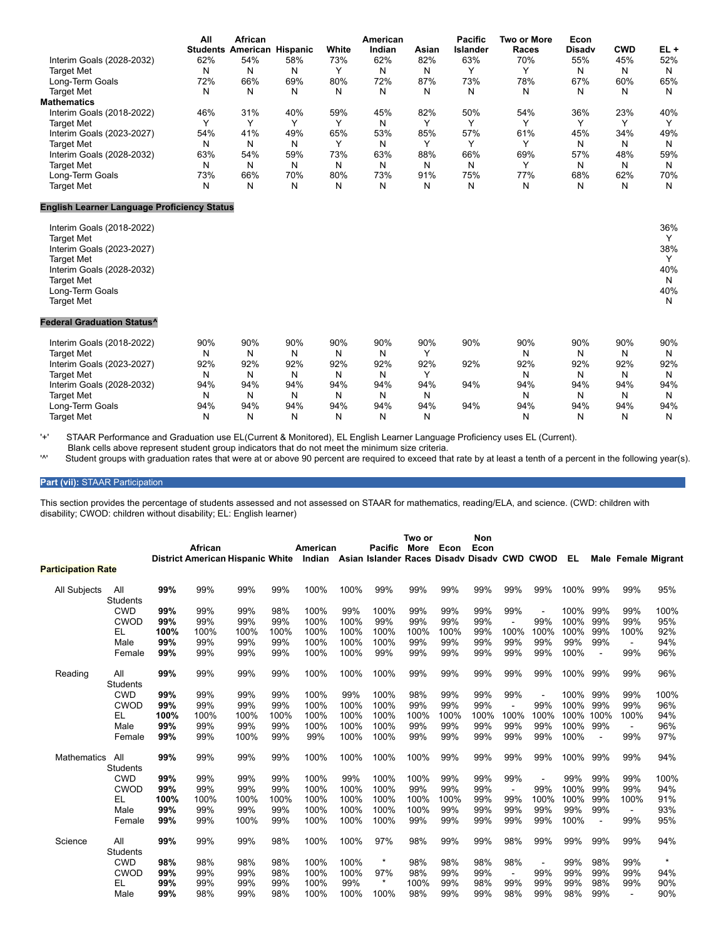|                                                    | All | African                           |     |       | American |       | <b>Pacific</b>  | Two or More | Econ          |            |        |
|----------------------------------------------------|-----|-----------------------------------|-----|-------|----------|-------|-----------------|-------------|---------------|------------|--------|
|                                                    |     | <b>Students American Hispanic</b> |     | White | Indian   | Asian | <b>Islander</b> | Races       | <b>Disadv</b> | <b>CWD</b> | $EL +$ |
| Interim Goals (2028-2032)                          | 62% | 54%                               | 58% | 73%   | 62%      | 82%   | 63%             | 70%         | 55%           | 45%        | 52%    |
| <b>Target Met</b>                                  | N   | N                                 | N   | Y     | Ν        | N     | Y               | Y           | N             | N          | N      |
| Long-Term Goals                                    | 72% | 66%                               | 69% | 80%   | 72%      | 87%   | 73%             | 78%         | 67%           | 60%        | 65%    |
| <b>Target Met</b>                                  | N   | N                                 | N   | N     | N        | N     | N               | N           | N             | N          | N      |
| <b>Mathematics</b>                                 |     |                                   |     |       |          |       |                 |             |               |            |        |
| Interim Goals (2018-2022)                          | 46% | 31%                               | 40% | 59%   | 45%      | 82%   | 50%             | 54%         | 36%           | 23%        | 40%    |
| <b>Target Met</b>                                  | Υ   | Υ                                 | Y   | Υ     | N        | Υ     | Υ               | Y           | Y             | Y          | Υ      |
| Interim Goals (2023-2027)                          | 54% | 41%                               | 49% | 65%   | 53%      | 85%   | 57%             | 61%         | 45%           | 34%        | 49%    |
| <b>Target Met</b>                                  | N   | N                                 | N   | Υ     | N        | Υ     | Υ               | Υ           | N             | N          | N      |
| Interim Goals (2028-2032)                          | 63% | 54%                               | 59% | 73%   | 63%      | 88%   | 66%             | 69%         | 57%           | 48%        | 59%    |
| <b>Target Met</b>                                  | N   | N                                 | N   | N     | N        | N     | N               | Y           | N             | N          | N      |
| Long-Term Goals                                    | 73% | 66%                               | 70% | 80%   | 73%      | 91%   | 75%             | 77%         | 68%           | 62%        | 70%    |
| <b>Target Met</b>                                  | N   | N                                 | N   | N     | N        | N     | N               | N           | N             | N          | N      |
| <b>English Learner Language Proficiency Status</b> |     |                                   |     |       |          |       |                 |             |               |            |        |
| Interim Goals (2018-2022)                          |     |                                   |     |       |          |       |                 |             |               |            | 36%    |
| <b>Target Met</b>                                  |     |                                   |     |       |          |       |                 |             |               |            | Y      |
| Interim Goals (2023-2027)                          |     |                                   |     |       |          |       |                 |             |               |            | 38%    |
| <b>Target Met</b>                                  |     |                                   |     |       |          |       |                 |             |               |            | Y      |
| Interim Goals (2028-2032)                          |     |                                   |     |       |          |       |                 |             |               |            | 40%    |
| <b>Target Met</b>                                  |     |                                   |     |       |          |       |                 |             |               |            | N      |
| Long-Term Goals                                    |     |                                   |     |       |          |       |                 |             |               |            | 40%    |
| <b>Target Met</b>                                  |     |                                   |     |       |          |       |                 |             |               |            | N      |
| <b>Federal Graduation Status^</b>                  |     |                                   |     |       |          |       |                 |             |               |            |        |
| Interim Goals (2018-2022)                          | 90% | 90%                               | 90% | 90%   | 90%      | 90%   | 90%             | 90%         | 90%           | 90%        | 90%    |
| <b>Target Met</b>                                  | N   | N                                 | N   | N     | N        | Υ     |                 | N           | N             | N          | N      |
| Interim Goals (2023-2027)                          | 92% | 92%                               | 92% | 92%   | 92%      | 92%   | 92%             | 92%         | 92%           | 92%        | 92%    |
| <b>Target Met</b>                                  | N   | N                                 | N   | N     | Ν        | Υ     |                 | N           | N             | N          | N      |
| Interim Goals (2028-2032)                          | 94% | 94%                               | 94% | 94%   | 94%      | 94%   | 94%             | 94%         | 94%           | 94%        | 94%    |
| <b>Target Met</b>                                  | N   | N                                 | N   | N     | Ν        | N     |                 | N           | N             | N          | N      |
| Long-Term Goals                                    | 94% | 94%                               | 94% | 94%   | 94%      | 94%   | 94%             | 94%         | 94%           | 94%        | 94%    |
| <b>Target Met</b>                                  | N   | N                                 | N   | N     | N        | N     |                 | N           | N             | N          | N      |

'+' STAAR Performance and Graduation use EL(Current & Monitored), EL English Learner Language Proficiency uses EL (Current).

Blank cells above represent student group indicators that do not meet the minimum size criteria.<br>Student groups with graduation rates that were at or above 90 percent are required to exceed that

Student groups with graduation rates that were at or above 90 percent are required to exceed that rate by at least a tenth of a percent in the following year(s).

## **Part (vii):** STAAR Participation

This section provides the percentage of students assessed and not assessed on STAAR for mathematics, reading/ELA, and science. (CWD: children with disability; CWOD: children without disability; EL: English learner)

|                           |                               |      | African<br><b>District American Hispanic White</b> |      |      | American<br>Indian |      | <b>Pacific</b><br>Asian Islander Races Disady Disady CWD CWOD | Two or<br>More | Econ | Non<br>Econ |                |      | EL   |                | <b>Male Female Migrant</b> |         |
|---------------------------|-------------------------------|------|----------------------------------------------------|------|------|--------------------|------|---------------------------------------------------------------|----------------|------|-------------|----------------|------|------|----------------|----------------------------|---------|
| <b>Participation Rate</b> |                               |      |                                                    |      |      |                    |      |                                                               |                |      |             |                |      |      |                |                            |         |
| All Subjects              | All                           | 99%  | 99%                                                | 99%  | 99%  | 100%               | 100% | 99%                                                           | 99%            | 99%  | 99%         | 99%            | 99%  | 100% | 99%            | 99%                        | 95%     |
|                           | <b>Students</b><br><b>CWD</b> | 99%  | 99%                                                | 99%  | 98%  | 100%               | 99%  | 100%                                                          | 99%            | 99%  | 99%         | 99%            |      | 100% | 99%            | 99%                        | 100%    |
|                           | <b>CWOD</b>                   | 99%  | 99%                                                | 99%  | 99%  | 100%               | 100% | 99%                                                           | 99%            | 99%  | 99%         |                | 99%  | 100% | 99%            | 99%                        | 95%     |
|                           | EL                            | 100% | 100%                                               | 100% | 100% | 100%               | 100% | 100%                                                          | 100%           | 100% | 99%         | 100%           | 100% | 100% | 99%            | 100%                       | 92%     |
|                           | Male                          | 99%  | 99%                                                | 99%  | 99%  | 100%               | 100% | 100%                                                          | 99%            | 99%  | 99%         | 99%            | 99%  | 99%  | 99%            | $\blacksquare$             | 94%     |
|                           | Female                        | 99%  | 99%                                                | 99%  | 99%  | 100%               | 100% | 99%                                                           | 99%            | 99%  | 99%         | 99%            | 99%  | 100% | $\overline{a}$ | 99%                        | 96%     |
| Reading                   | All                           | 99%  | 99%                                                | 99%  | 99%  | 100%               | 100% | 100%                                                          | 99%            | 99%  | 99%         | 99%            | 99%  | 100% | 99%            | 99%                        | 96%     |
|                           | <b>Students</b>               |      |                                                    |      |      |                    |      |                                                               |                |      |             |                |      |      |                |                            |         |
|                           | <b>CWD</b>                    | 99%  | 99%                                                | 99%  | 99%  | 100%               | 99%  | 100%                                                          | 98%            | 99%  | 99%         | 99%            |      | 100% | 99%            | 99%                        | 100%    |
|                           | CWOD                          | 99%  | 99%                                                | 99%  | 99%  | 100%               | 100% | 100%                                                          | 99%            | 99%  | 99%         |                | 99%  | 100% | 99%            | 99%                        | 96%     |
|                           | EL                            | 100% | 100%                                               | 100% | 100% | 100%               | 100% | 100%                                                          | 100%           | 100% | 100%        | 100%           | 100% | 100% | 100%           | 100%                       | 94%     |
|                           | Male                          | 99%  | 99%                                                | 99%  | 99%  | 100%               | 100% | 100%                                                          | 99%            | 99%  | 99%         | 99%            | 99%  | 100% | 99%            | $\blacksquare$             | 96%     |
|                           | Female                        | 99%  | 99%                                                | 100% | 99%  | 99%                | 100% | 100%                                                          | 99%            | 99%  | 99%         | 99%            | 99%  | 100% | $\blacksquare$ | 99%                        | 97%     |
| <b>Mathematics</b>        | All<br><b>Students</b>        | 99%  | 99%                                                | 99%  | 99%  | 100%               | 100% | 100%                                                          | 100%           | 99%  | 99%         | 99%            | 99%  | 100% | 99%            | 99%                        | 94%     |
|                           | <b>CWD</b>                    | 99%  | 99%                                                | 99%  | 99%  | 100%               | 99%  | 100%                                                          | 100%           | 99%  | 99%         | 99%            |      | 99%  | 99%            | 99%                        | 100%    |
|                           | <b>CWOD</b>                   | 99%  | 99%                                                | 99%  | 99%  | 100%               | 100% | 100%                                                          | 99%            | 99%  | 99%         |                | 99%  | 100% | 99%            | 99%                        | 94%     |
|                           | EL                            | 100% | 100%                                               | 100% | 100% | 100%               | 100% | 100%                                                          | 100%           | 100% | 99%         | 99%            | 100% | 100% | 99%            | 100%                       | 91%     |
|                           | Male                          | 99%  | 99%                                                | 99%  | 99%  | 100%               | 100% | 100%                                                          | 100%           | 99%  | 99%         | 99%            | 99%  | 99%  | 99%            | $\blacksquare$             | 93%     |
|                           | Female                        | 99%  | 99%                                                | 100% | 99%  | 100%               | 100% | 100%                                                          | 99%            | 99%  | 99%         | 99%            | 99%  | 100% | $\blacksquare$ | 99%                        | 95%     |
| Science                   | All                           | 99%  | 99%                                                | 99%  | 98%  | 100%               | 100% | 97%                                                           | 98%            | 99%  | 99%         | 98%            | 99%  | 99%  | 99%            | 99%                        | 94%     |
|                           | <b>Students</b>               |      |                                                    |      |      |                    |      |                                                               |                |      |             |                |      |      |                |                            |         |
|                           | <b>CWD</b>                    | 98%  | 98%                                                | 98%  | 98%  | 100%               | 100% | $\ast$                                                        | 98%            | 98%  | 98%         | 98%            |      | 99%  | 98%            | 99%                        | $\star$ |
|                           | <b>CWOD</b>                   | 99%  | 99%                                                | 99%  | 98%  | 100%               | 100% | 97%                                                           | 98%            | 99%  | 99%         | $\blacksquare$ | 99%  | 99%  | 99%            | 99%                        | 94%     |
|                           | EL                            | 99%  | 99%                                                | 99%  | 99%  | 100%               | 99%  | $\star$                                                       | 100%           | 99%  | 98%         | 99%            | 99%  | 99%  | 98%            | 99%                        | 90%     |
|                           | Male                          | 99%  | 98%                                                | 99%  | 98%  | 100%               | 100% | 100%                                                          | 98%            | 99%  | 99%         | 98%            | 99%  | 98%  | 99%            | $\blacksquare$             | 90%     |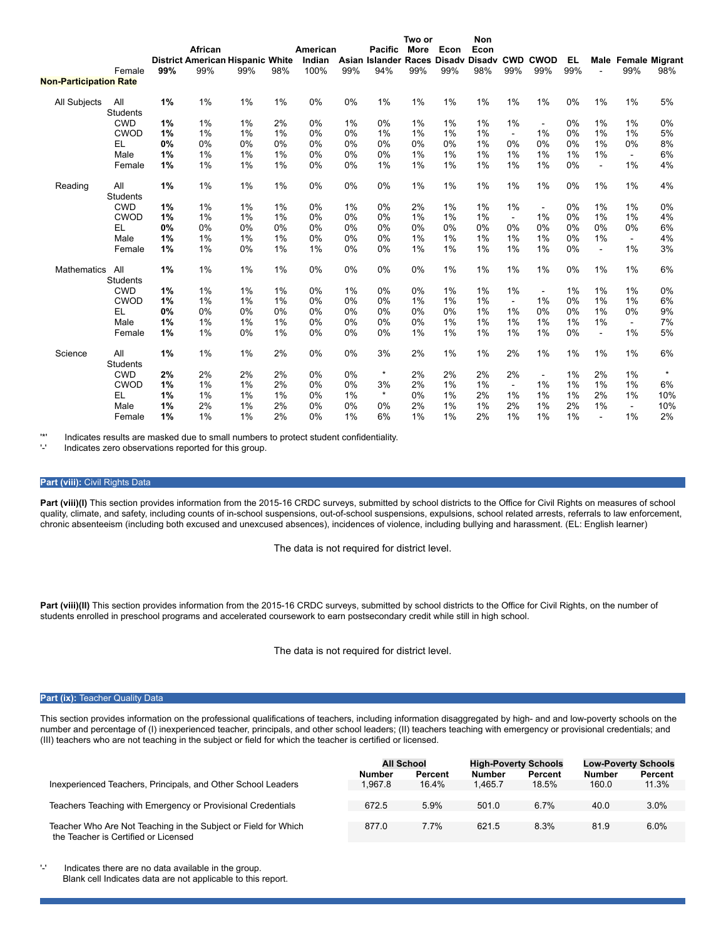|                               |                        |     |                                         |     |       |          |     |                | Two or |      | <b>Non</b>              |                |                          |     |                |                |                            |
|-------------------------------|------------------------|-----|-----------------------------------------|-----|-------|----------|-----|----------------|--------|------|-------------------------|----------------|--------------------------|-----|----------------|----------------|----------------------------|
|                               |                        |     | African                                 |     |       | American |     | <b>Pacific</b> | More   | Econ | Econ                    |                |                          |     |                |                |                            |
|                               |                        |     | <b>District American Hispanic White</b> |     |       | Indian   |     | Asian Islander |        |      | Races Disadv Disadv CWD |                | <b>CWOD</b>              | EL. |                |                | <b>Male Female Migrant</b> |
|                               | Female                 | 99% | 99%                                     | 99% | 98%   | 100%     | 99% | 94%            | 99%    | 99%  | 98%                     | 99%            | 99%                      | 99% |                | 99%            | 98%                        |
| <b>Non-Participation Rate</b> |                        |     |                                         |     |       |          |     |                |        |      |                         |                |                          |     |                |                |                            |
| All Subjects                  | All<br><b>Students</b> | 1%  | $1\%$                                   | 1%  | $1\%$ | 0%       | 0%  | 1%             | 1%     | 1%   | 1%                      | 1%             | 1%                       | 0%  | $1\%$          | 1%             | 5%                         |
|                               | <b>CWD</b>             | 1%  | 1%                                      | 1%  | 2%    | 0%       | 1%  | 0%             | 1%     | 1%   | 1%                      | 1%             | $\overline{\phantom{a}}$ | 0%  | 1%             | 1%             | 0%                         |
|                               | <b>CWOD</b>            | 1%  | 1%                                      | 1%  | 1%    | 0%       | 0%  | 1%             | 1%     | 1%   | 1%                      | $\sim$         | 1%                       | 0%  | 1%             | 1%             | 5%                         |
|                               | EL                     | 0%  | 0%                                      | 0%  | 0%    | 0%       | 0%  | 0%             | 0%     | 0%   | 1%                      | 0%             | 0%                       | 0%  | 1%             | 0%             | 8%                         |
|                               | Male                   | 1%  | 1%                                      | 1%  | 1%    | 0%       | 0%  | 0%             | 1%     | 1%   | 1%                      | 1%             | 1%                       | 1%  | 1%             | $\blacksquare$ | 6%                         |
|                               | Female                 | 1%  | 1%                                      | 1%  | 1%    | 0%       | 0%  | 1%             | 1%     | 1%   | 1%                      | 1%             | 1%                       | 0%  | $\blacksquare$ | 1%             | 4%                         |
| Reading                       | All<br><b>Students</b> | 1%  | 1%                                      | 1%  | 1%    | 0%       | 0%  | 0%             | 1%     | 1%   | 1%                      | 1%             | 1%                       | 0%  | 1%             | 1%             | 4%                         |
|                               | <b>CWD</b>             | 1%  | 1%                                      | 1%  | 1%    | 0%       | 1%  | 0%             | 2%     | 1%   | 1%                      | 1%             | $\blacksquare$           | 0%  | 1%             | 1%             | 0%                         |
|                               | <b>CWOD</b>            | 1%  | $1\%$                                   | 1%  | 1%    | 0%       | 0%  | 0%             | 1%     | 1%   | 1%                      | $\blacksquare$ | 1%                       | 0%  | 1%             | 1%             | 4%                         |
|                               | EL                     | 0%  | 0%                                      | 0%  | 0%    | 0%       | 0%  | 0%             | 0%     | 0%   | 0%                      | 0%             | 0%                       | 0%  | 0%             | 0%             | 6%                         |
|                               | Male                   | 1%  | 1%                                      | 1%  | 1%    | 0%       | 0%  | 0%             | 1%     | 1%   | 1%                      | 1%             | 1%                       | 0%  | 1%             | $\sim$         | 4%                         |
|                               | Female                 | 1%  | 1%                                      | 0%  | $1\%$ | 1%       | 0%  | 0%             | 1%     | 1%   | 1%                      | 1%             | 1%                       | 0%  | $\blacksquare$ | 1%             | 3%                         |
| <b>Mathematics</b>            | All<br><b>Students</b> | 1%  | 1%                                      | 1%  | 1%    | 0%       | 0%  | 0%             | 0%     | 1%   | 1%                      | 1%             | 1%                       | 0%  | $1\%$          | 1%             | 6%                         |
|                               | <b>CWD</b>             | 1%  | $1\%$                                   | 1%  | $1\%$ | 0%       | 1%  | 0%             | 0%     | 1%   | $1\%$                   | 1%             | $\blacksquare$           | 1%  | 1%             | 1%             | 0%                         |
|                               | <b>CWOD</b>            | 1%  | 1%                                      | 1%  | 1%    | 0%       | 0%  | 0%             | 1%     | 1%   | 1%                      | $\sim$         | 1%                       | 0%  | 1%             | 1%             | 6%                         |
|                               | EL                     | 0%  | 0%                                      | 0%  | 0%    | 0%       | 0%  | 0%             | 0%     | 0%   | 1%                      | 1%             | 0%                       | 0%  | 1%             | 0%             | 9%                         |
|                               | Male                   | 1%  | $1\%$                                   | 1%  | 1%    | 0%       | 0%  | 0%             | 0%     | 1%   | 1%                      | 1%             | 1%                       | 1%  | 1%             | $\blacksquare$ | 7%                         |
|                               | Female                 | 1%  | 1%                                      | 0%  | 1%    | 0%       | 0%  | 0%             | 1%     | 1%   | 1%                      | 1%             | 1%                       | 0%  | $\blacksquare$ | 1%             | 5%                         |
| Science                       | All<br><b>Students</b> | 1%  | 1%                                      | 1%  | 2%    | 0%       | 0%  | 3%             | 2%     | 1%   | 1%                      | 2%             | $1\%$                    | 1%  | 1%             | 1%             | 6%                         |
|                               | <b>CWD</b>             | 2%  | 2%                                      | 2%  | 2%    | 0%       | 0%  | $\star$        | 2%     | 2%   | 2%                      | 2%             | $\blacksquare$           | 1%  | 2%             | 1%             | $\star$                    |
|                               | <b>CWOD</b>            | 1%  | 1%                                      | 1%  | 2%    | 0%       | 0%  | 3%             | 2%     | 1%   | 1%                      | $\blacksquare$ | 1%                       | 1%  | 1%             | 1%             | 6%                         |
|                               | EL                     | 1%  | 1%                                      | 1%  | 1%    | 0%       | 1%  | $\star$        | 0%     | 1%   | 2%                      | 1%             | 1%                       | 1%  | 2%             | 1%             | 10%                        |
|                               | Male                   | 1%  | 2%                                      | 1%  | 2%    | 0%       | 0%  | 0%             | 2%     | 1%   | 1%                      | 2%             | 1%                       | 2%  | 1%             | $\blacksquare$ | 10%                        |
|                               | Female                 | 1%  | 1%                                      | 1%  | 2%    | 0%       | 1%  | 6%             | 1%     | 1%   | 2%                      | 1%             | 1%                       | 1%  |                | 1%             | 2%                         |

'\*' Indicates results are masked due to small numbers to protect student confidentiality.

Indicates zero observations reported for this group.

### **Part (viii):** Civil Rights Data

Part (viii)(I) This section provides information from the 2015-16 CRDC surveys, submitted by school districts to the Office for Civil Rights on measures of school quality, climate, and safety, including counts of in-school suspensions, out-of-school suspensions, expulsions, school related arrests, referrals to law enforcement, chronic absenteeism (including both excused and unexcused absences), incidences of violence, including bullying and harassment. (EL: English learner)

The data is not required for district level.

Part (viii)(II) This section provides information from the 2015-16 CRDC surveys, submitted by school districts to the Office for Civil Rights, on the number of students enrolled in preschool programs and accelerated coursework to earn postsecondary credit while still in high school.

The data is not required for district level.

#### **Part (ix): Teacher Quality Data**

This section provides information on the professional qualifications of teachers, including information disaggregated by high- and and low-poverty schools on the number and percentage of (I) inexperienced teacher, principals, and other school leaders; (II) teachers teaching with emergency or provisional credentials; and (III) teachers who are not teaching in the subject or field for which the teacher is certified or licensed.

|                                                                                                        | All School    |         | <b>High-Poverty Schools</b> |         | <b>Low-Poverty Schools</b> |         |  |
|--------------------------------------------------------------------------------------------------------|---------------|---------|-----------------------------|---------|----------------------------|---------|--|
|                                                                                                        | <b>Number</b> | Percent | <b>Number</b>               | Percent | <b>Number</b>              | Percent |  |
| Inexperienced Teachers, Principals, and Other School Leaders                                           | 1.967.8       | 16.4%   | 1.465.7                     | 18.5%   | 160.0                      | 11.3%   |  |
|                                                                                                        |               |         |                             |         |                            |         |  |
| Teachers Teaching with Emergency or Provisional Credentials                                            | 672.5         | 5.9%    | 501.0                       | $6.7\%$ | 40.0                       | 3.0%    |  |
|                                                                                                        |               |         |                             |         |                            |         |  |
| Teacher Who Are Not Teaching in the Subject or Field for Which<br>the Teacher is Certified or Licensed | 877.0         | 7.7%    | 621.5                       | 8.3%    | 81.9                       | 6.0%    |  |

'-' Indicates there are no data available in the group. Blank cell Indicates data are not applicable to this report.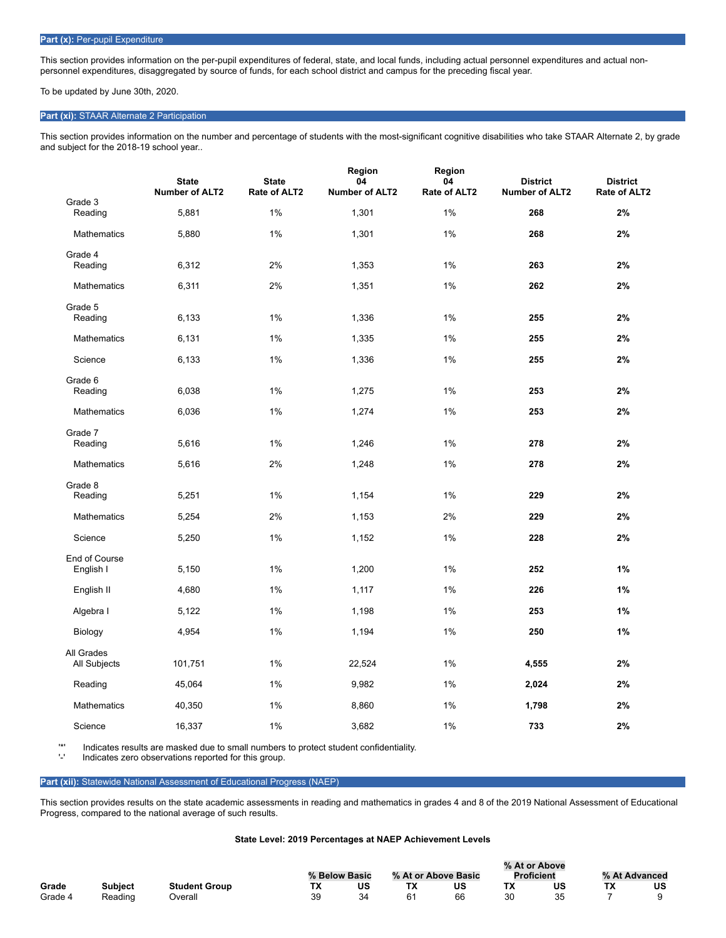### Part (x): Per-pupil Expenditure

This section provides information on the per-pupil expenditures of federal, state, and local funds, including actual personnel expenditures and actual nonpersonnel expenditures, disaggregated by source of funds, for each school district and campus for the preceding fiscal year.

To be updated by June 30th, 2020.

### **Part (xi):** STAAR Alternate 2 Participation

This section provides information on the number and percentage of students with the most-significant cognitive disabilities who take STAAR Alternate 2, by grade and subject for the 2018-19 school year..

|                            | <b>State</b><br><b>Number of ALT2</b> | <b>State</b><br>Rate of ALT2 | Region<br>04<br>Number of ALT2 | Region<br>04<br>Rate of ALT2 | <b>District</b><br><b>Number of ALT2</b> | <b>District</b><br>Rate of ALT2 |
|----------------------------|---------------------------------------|------------------------------|--------------------------------|------------------------------|------------------------------------------|---------------------------------|
| Grade 3<br>Reading         | 5,881                                 | 1%                           | 1,301                          | 1%                           | 268                                      | 2%                              |
| Mathematics                | 5,880                                 | $1\%$                        | 1,301                          | 1%                           | 268                                      | 2%                              |
| Grade 4<br>Reading         | 6,312                                 | 2%                           | 1,353                          | 1%                           | 263                                      | $2\%$                           |
| Mathematics                | 6,311                                 | 2%                           | 1,351                          | 1%                           | 262                                      | 2%                              |
| Grade 5<br>Reading         | 6,133                                 | 1%                           | 1,336                          | 1%                           | 255                                      | 2%                              |
| Mathematics                | 6,131                                 | 1%                           | 1,335                          | 1%                           | 255                                      | 2%                              |
| Science                    | 6,133                                 | 1%                           | 1,336                          | 1%                           | 255                                      | 2%                              |
| Grade 6<br>Reading         | 6,038                                 | $1\%$                        | 1,275                          | $1\%$                        | 253                                      | 2%                              |
| Mathematics                | 6,036                                 | 1%                           | 1,274                          | 1%                           | 253                                      | 2%                              |
| Grade 7<br>Reading         | 5,616                                 | 1%                           | 1,246                          | 1%                           | 278                                      | 2%                              |
| Mathematics                | 5,616                                 | 2%                           | 1,248                          | 1%                           | 278                                      | 2%                              |
| Grade 8<br>Reading         | 5,251                                 | 1%                           | 1,154                          | 1%                           | 229                                      | 2%                              |
| Mathematics                | 5,254                                 | 2%                           | 1,153                          | 2%                           | 229                                      | 2%                              |
| Science                    | 5,250                                 | 1%                           | 1,152                          | 1%                           | 228                                      | 2%                              |
| End of Course<br>English I | 5,150                                 | 1%                           | 1,200                          | 1%                           | 252                                      | 1%                              |
| English II                 | 4,680                                 | 1%                           | 1,117                          | 1%                           | 226                                      | 1%                              |
| Algebra I                  | 5,122                                 | 1%                           | 1,198                          | 1%                           | 253                                      | 1%                              |
| Biology                    | 4,954                                 | 1%                           | 1,194                          | 1%                           | 250                                      | $1\%$                           |
| All Grades<br>All Subjects | 101,751                               | 1%                           | 22,524                         | 1%                           | 4,555                                    | 2%                              |
| Reading                    | 45,064                                | 1%                           | 9,982                          | 1%                           | 2,024                                    | 2%                              |
| Mathematics                | 40,350                                | 1%                           | 8,860                          | 1%                           | 1,798                                    | 2%                              |
| Science                    | 16,337                                | 1%                           | 3,682                          | 1%                           | 733                                      | 2%                              |

'\*' Indicates results are masked due to small numbers to protect student confidentiality.

Indicates zero observations reported for this group.

#### **Part (xii):** Statewide National Assessment of Educational Progress (NAEP)

This section provides results on the state academic assessments in reading and mathematics in grades 4 and 8 of the 2019 National Assessment of Educational Progress, compared to the national average of such results.

## **State Level: 2019 Percentages at NAEP Achievement Levels**

|         |         |                      |         |               |   |                     | % At or Above |                   |               |    |
|---------|---------|----------------------|---------|---------------|---|---------------------|---------------|-------------------|---------------|----|
|         |         |                      |         | % Below Basic |   | % At or Above Basic |               | <b>Proficient</b> | % At Advanced |    |
| Grade   | Subiect | <b>Student Group</b> | т٧<br>^ | บร            | ^ | บร                  |               | US                | ^             | US |
| Grade 4 | Reading | วverall              | 39      | 34            |   | 66                  | 30            |                   |               |    |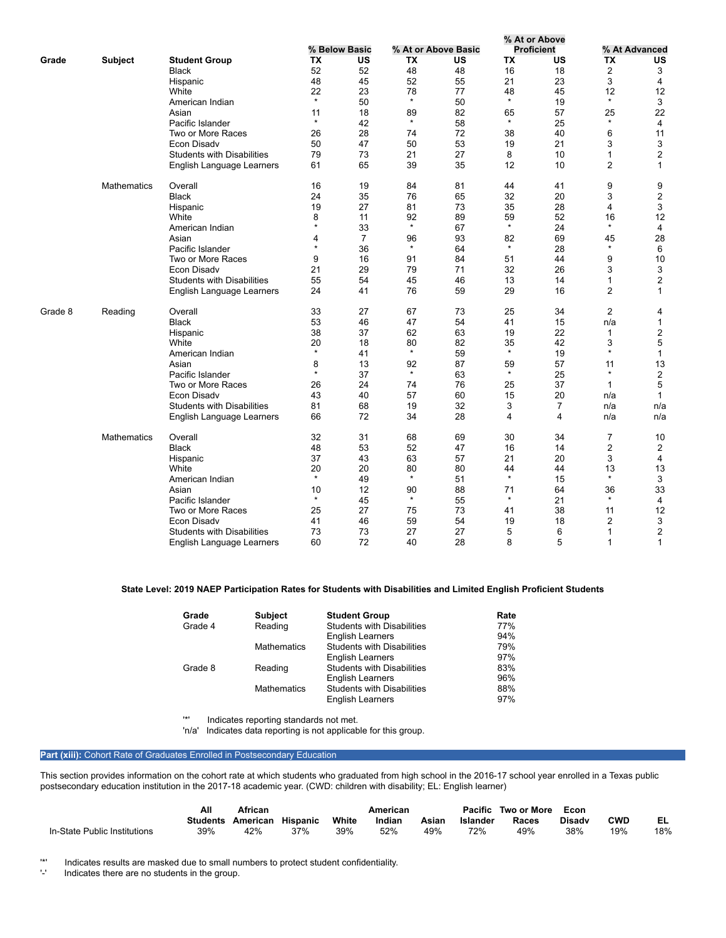|         |                    |                                   |               |                |               |                     |               | % At or Above     |                |                |
|---------|--------------------|-----------------------------------|---------------|----------------|---------------|---------------------|---------------|-------------------|----------------|----------------|
|         |                    |                                   |               | % Below Basic  |               | % At or Above Basic |               | <b>Proficient</b> |                | % At Advanced  |
| Grade   | <b>Subject</b>     | <b>Student Group</b>              | ТX            | US             | ТX            | US                  | ТX            | US                | <b>TX</b>      | US             |
|         |                    | <b>Black</b>                      | 52            | 52             | 48            | 48                  | 16            | 18                | $\mathbf{2}$   | 3              |
|         |                    | Hispanic                          | 48            | 45             | 52            | 55                  | 21            | 23                | 3              | 4              |
|         |                    | White                             | 22            | 23             | 78            | 77                  | 48            | 45                | 12             | 12             |
|         |                    | American Indian                   | $\star$       | 50             | $\star$       | 50                  | $\star$       | 19                | $\star$        | 3              |
|         |                    | Asian                             | 11            | 18             | 89            | 82                  | 65            | 57                | 25             | 22             |
|         |                    | Pacific Islander                  | $\star$       | 42             | $\star$       | 58                  | $\star$       | 25                | $\star$        | 4              |
|         |                    | Two or More Races                 | 26            | 28             | 74            | 72                  | 38            | 40                | 6              | 11             |
|         |                    | Econ Disady                       | 50            | 47             | 50            | 53                  | 19            | 21                | 3              | 3              |
|         |                    | <b>Students with Disabilities</b> | 79            | 73             | 21            | 27                  | 8             | 10                | $\mathbf{1}$   | $\overline{2}$ |
|         |                    | English Language Learners         | 61            | 65             | 39            | 35                  | 12            | 10                | $\overline{2}$ | 1              |
|         | <b>Mathematics</b> | Overall                           | 16            | 19             | 84            | 81                  | 44            | 41                | 9              | 9              |
|         |                    | <b>Black</b>                      | 24            | 35             | 76            | 65                  | 32            | 20                | 3              | $\sqrt{2}$     |
|         |                    | Hispanic                          | 19            | 27             | 81            | 73                  | 35            | 28                | 4              | 3              |
|         |                    | White                             | 8             | 11             | 92            | 89                  | 59            | 52                | 16             | 12             |
|         |                    | American Indian                   | $\star$       | 33             | $\star$       | 67                  | $\star$       | 24                | $\star$        | 4              |
|         |                    | Asian                             | 4             | $\overline{7}$ | 96            | 93                  | 82            | 69                | 45             | 28             |
|         |                    | Pacific Islander                  | $\star$       | 36             | $\star$       | 64                  | $\star$       | 28                | $\star$        | 6              |
|         |                    | Two or More Races                 | 9             | 16             | 91            | 84                  | 51            | 44                | 9              | 10             |
|         |                    | Econ Disady                       | 21            | 29             | 79            | 71                  | 32            | 26                | 3              | 3              |
|         |                    | <b>Students with Disabilities</b> | 55            | 54             | 45            | 46                  | 13            | 14                | $\mathbf{1}$   | $\overline{c}$ |
|         |                    | English Language Learners         | 24            | 41             | 76            | 59                  | 29            | 16                | $\overline{2}$ | $\mathbf{1}$   |
| Grade 8 | Reading            | Overall                           | 33            | 27             | 67            | 73                  | 25            | 34                | $\overline{2}$ | 4              |
|         |                    | <b>Black</b>                      | 53            | 46             | 47            | 54                  | 41            | 15                | n/a            | 1              |
|         |                    | Hispanic                          | 38            | 37             | 62            | 63                  | 19            | 22                | 1              | 2              |
|         |                    | White                             | 20            | 18             | 80            | 82                  | 35            | 42                | 3              | 5              |
|         |                    | American Indian                   | $\star$       | 41             | $\star$       | 59                  | $\star$       | 19                | $\star$        | $\mathbf{1}$   |
|         |                    | Asian                             | 8             | 13             | 92            | 87                  | 59            | 57                | 11             | 13             |
|         |                    | Pacific Islander                  | $\star$       | 37             | $\star$       | 63                  | $\star$       | 25                | $\star$        | $\overline{2}$ |
|         |                    | Two or More Races                 | 26            | 24             | 74            | 76                  | 25            | 37                | $\mathbf{1}$   | $\overline{5}$ |
|         |                    | Econ Disadv                       | 43            | 40             | 57            | 60                  | 15            | 20                | n/a            | $\mathbf{1}$   |
|         |                    | <b>Students with Disabilities</b> | 81            | 68             | 19            | 32                  | 3             | $\overline{7}$    | n/a            | n/a            |
|         |                    | English Language Learners         | 66            | 72             | 34            | 28                  | 4             | 4                 | n/a            | n/a            |
|         | <b>Mathematics</b> | Overall                           | 32            | 31             | 68            | 69                  | 30            | 34                | $\overline{7}$ | 10             |
|         |                    | <b>Black</b>                      | 48            | 53             | 52            | 47                  | 16            | 14                | $\overline{2}$ | 2              |
|         |                    | Hispanic                          | 37            | 43             | 63            | 57                  | 21            | 20                | 3              | 4              |
|         |                    | White                             | 20<br>$\star$ | 20             | 80<br>$\star$ | 80                  | 44<br>$\star$ | 44                | 13<br>$\star$  | 13             |
|         |                    | American Indian                   |               | 49             |               | 51                  |               | 15                |                | 3              |
|         |                    | Asian                             | 10<br>$\star$ | 12             | 90<br>$\star$ | 88                  | 71<br>$\star$ | 64                | 36<br>$\star$  | 33             |
|         |                    | Pacific Islander                  |               | 45             |               | 55                  |               | 21                |                | $\overline{4}$ |
|         |                    | Two or More Races                 | 25            | 27             | 75            | 73                  | 41            | 38                | 11             | 12             |
|         |                    | Econ Disady                       | 41            | 46             | 59            | 54                  | 19            | 18                | 2              | 3              |
|         |                    | <b>Students with Disabilities</b> | 73            | 73             | 27            | 27                  | 5             | 6                 | 1              | 2              |
|         |                    | English Language Learners         | 60            | 72             | 40            | 28                  | 8             | 5                 | $\mathbf{1}$   | 1              |

## **State Level: 2019 NAEP Participation Rates for Students with Disabilities and Limited English Proficient Students**

| Grade   | <b>Subject</b>     | <b>Student Group</b>              | Rate |
|---------|--------------------|-----------------------------------|------|
| Grade 4 | Reading            | <b>Students with Disabilities</b> | 77%  |
|         |                    | <b>English Learners</b>           | 94%  |
|         | <b>Mathematics</b> | <b>Students with Disabilities</b> | 79%  |
|         |                    | <b>English Learners</b>           | 97%  |
| Grade 8 | Reading            | <b>Students with Disabilities</b> | 83%  |
|         |                    | <b>English Learners</b>           | 96%  |
|         | <b>Mathematics</b> | <b>Students with Disabilities</b> | 88%  |
|         |                    | <b>English Learners</b>           | 97%  |

'\*' Indicates reporting standards not met.

'n/a' Indicates data reporting is not applicable for this group.

## Part (xiii): Cohort Rate of Graduates Enrolled in Postsecondary Education

This section provides information on the cohort rate at which students who graduated from high school in the 2016-17 school year enrolled in a Texas public postsecondary education institution in the 2017-18 academic year. (CWD: children with disability; EL: English learner)

|                              | Αll      | African  |                 |       | American |       |          | Pacific Two or More | Econ          |            |     |
|------------------------------|----------|----------|-----------------|-------|----------|-------|----------|---------------------|---------------|------------|-----|
|                              | Students | American | <b>Hispanic</b> | White | Indian   | Asian | Islander | Races               | <b>Disady</b> | <b>CWD</b> |     |
| In-State Public Institutions | 39%      | 42%      | 37%             | 39%   | 52%      | 49%   | 72%      | 49%                 | 38%           | 19%        | 18% |

'\*' Indicates results are masked due to small numbers to protect student confidentiality.

Indicates there are no students in the group.